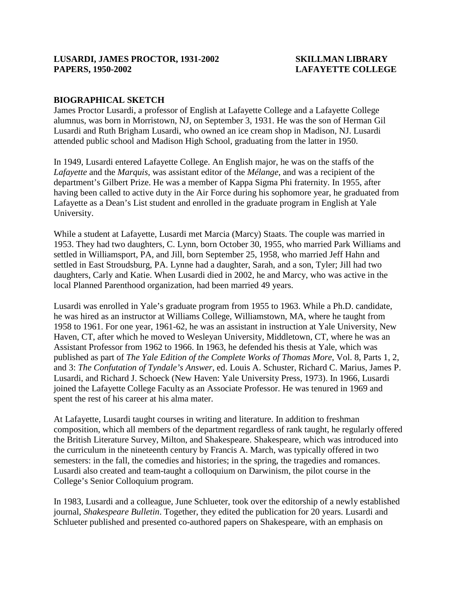# **LUSARDI, JAMES PROCTOR, 1931-2002 SKILLMAN LIBRARY PAPERS, 1950-2002 LAFAYETTE COLLEGE**

# **BIOGRAPHICAL SKETCH**

James Proctor Lusardi, a professor of English at Lafayette College and a Lafayette College alumnus, was born in Morristown, NJ, on September 3, 1931. He was the son of Herman Gil Lusardi and Ruth Brigham Lusardi, who owned an ice cream shop in Madison, NJ. Lusardi attended public school and Madison High School, graduating from the latter in 1950.

In 1949, Lusardi entered Lafayette College. An English major, he was on the staffs of the *Lafayette* and the *Marquis*, was assistant editor of the *Mélange*, and was a recipient of the department's Gilbert Prize. He was a member of Kappa Sigma Phi fraternity. In 1955, after having been called to active duty in the Air Force during his sophomore year, he graduated from Lafayette as a Dean's List student and enrolled in the graduate program in English at Yale University.

While a student at Lafayette, Lusardi met Marcia (Marcy) Staats. The couple was married in 1953. They had two daughters, C. Lynn, born October 30, 1955, who married Park Williams and settled in Williamsport, PA, and Jill, born September 25, 1958, who married Jeff Hahn and settled in East Stroudsburg, PA. Lynne had a daughter, Sarah, and a son, Tyler; Jill had two daughters, Carly and Katie. When Lusardi died in 2002, he and Marcy, who was active in the local Planned Parenthood organization, had been married 49 years.

Lusardi was enrolled in Yale's graduate program from 1955 to 1963. While a Ph.D. candidate, he was hired as an instructor at Williams College, Williamstown, MA, where he taught from 1958 to 1961. For one year, 1961-62, he was an assistant in instruction at Yale University, New Haven, CT, after which he moved to Wesleyan University, Middletown, CT, where he was an Assistant Professor from 1962 to 1966. In 1963, he defended his thesis at Yale, which was published as part of *The Yale Edition of the Complete Works of Thomas More*, Vol. 8, Parts 1, 2, and 3: *The Confutation of Tyndale's Answer*, ed. Louis A. Schuster, Richard C. Marius, James P. Lusardi, and Richard J. Schoeck (New Haven: Yale University Press, 1973). In 1966, Lusardi joined the Lafayette College Faculty as an Associate Professor. He was tenured in 1969 and spent the rest of his career at his alma mater.

At Lafayette, Lusardi taught courses in writing and literature. In addition to freshman composition, which all members of the department regardless of rank taught, he regularly offered the British Literature Survey, Milton, and Shakespeare. Shakespeare, which was introduced into the curriculum in the nineteenth century by Francis A. March, was typically offered in two semesters: in the fall, the comedies and histories; in the spring, the tragedies and romances. Lusardi also created and team-taught a colloquium on Darwinism, the pilot course in the College's Senior Colloquium program.

In 1983, Lusardi and a colleague, June Schlueter, took over the editorship of a newly established journal, *Shakespeare Bulletin*. Together, they edited the publication for 20 years. Lusardi and Schlueter published and presented co-authored papers on Shakespeare, with an emphasis on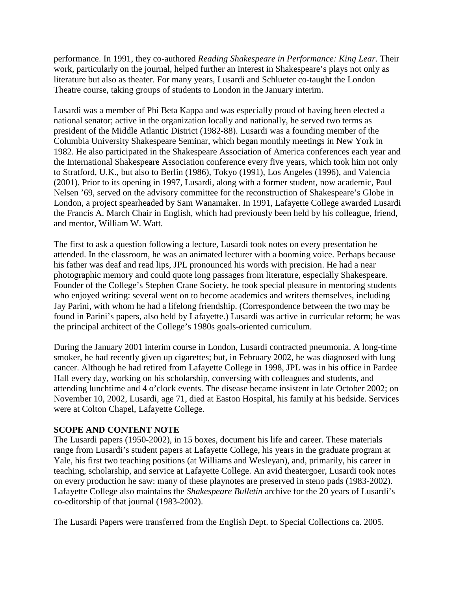performance. In 1991, they co-authored *Reading Shakespeare in Performance: King Lear*. Their work, particularly on the journal, helped further an interest in Shakespeare's plays not only as literature but also as theater. For many years, Lusardi and Schlueter co-taught the London Theatre course, taking groups of students to London in the January interim.

Lusardi was a member of Phi Beta Kappa and was especially proud of having been elected a national senator; active in the organization locally and nationally, he served two terms as president of the Middle Atlantic District (1982-88). Lusardi was a founding member of the Columbia University Shakespeare Seminar, which began monthly meetings in New York in 1982. He also participated in the Shakespeare Association of America conferences each year and the International Shakespeare Association conference every five years, which took him not only to Stratford, U.K., but also to Berlin (1986), Tokyo (1991), Los Angeles (1996), and Valencia (2001). Prior to its opening in 1997, Lusardi, along with a former student, now academic, Paul Nelsen '69, served on the advisory committee for the reconstruction of Shakespeare's Globe in London, a project spearheaded by Sam Wanamaker. In 1991, Lafayette College awarded Lusardi the Francis A. March Chair in English, which had previously been held by his colleague, friend, and mentor, William W. Watt.

The first to ask a question following a lecture, Lusardi took notes on every presentation he attended. In the classroom, he was an animated lecturer with a booming voice. Perhaps because his father was deaf and read lips, JPL pronounced his words with precision. He had a near photographic memory and could quote long passages from literature, especially Shakespeare. Founder of the College's Stephen Crane Society, he took special pleasure in mentoring students who enjoyed writing: several went on to become academics and writers themselves, including Jay Parini, with whom he had a lifelong friendship. (Correspondence between the two may be found in Parini's papers, also held by Lafayette.) Lusardi was active in curricular reform; he was the principal architect of the College's 1980s goals-oriented curriculum.

During the January 2001 interim course in London, Lusardi contracted pneumonia. A long-time smoker, he had recently given up cigarettes; but, in February 2002, he was diagnosed with lung cancer. Although he had retired from Lafayette College in 1998, JPL was in his office in Pardee Hall every day, working on his scholarship, conversing with colleagues and students, and attending lunchtime and 4 o'clock events. The disease became insistent in late October 2002; on November 10, 2002, Lusardi, age 71, died at Easton Hospital, his family at his bedside. Services were at Colton Chapel, Lafayette College.

## **SCOPE AND CONTENT NOTE**

The Lusardi papers (1950-2002), in 15 boxes, document his life and career. These materials range from Lusardi's student papers at Lafayette College, his years in the graduate program at Yale, his first two teaching positions (at Williams and Wesleyan), and, primarily, his career in teaching, scholarship, and service at Lafayette College. An avid theatergoer, Lusardi took notes on every production he saw: many of these playnotes are preserved in steno pads (1983-2002). Lafayette College also maintains the *Shakespeare Bulletin* archive for the 20 years of Lusardi's co-editorship of that journal (1983-2002).

The Lusardi Papers were transferred from the English Dept. to Special Collections ca. 2005.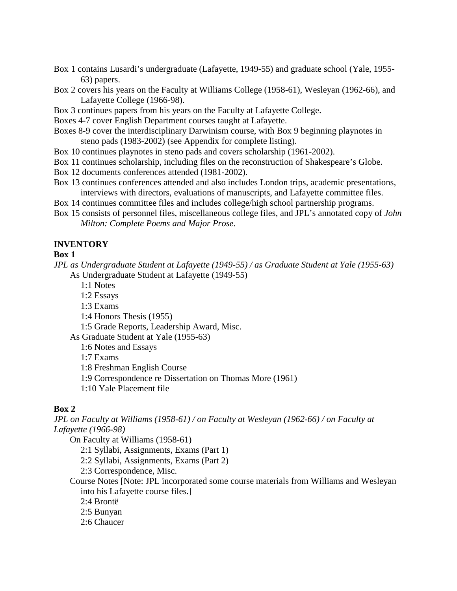- Box 1 contains Lusardi's undergraduate (Lafayette, 1949-55) and graduate school (Yale, 1955- 63) papers.
- Box 2 covers his years on the Faculty at Williams College (1958-61), Wesleyan (1962-66), and Lafayette College (1966-98).
- Box 3 continues papers from his years on the Faculty at Lafayette College.
- Boxes 4-7 cover English Department courses taught at Lafayette.
- Boxes 8-9 cover the interdisciplinary Darwinism course, with Box 9 beginning playnotes in steno pads (1983-2002) (see Appendix for complete listing).
- Box 10 continues playnotes in steno pads and covers scholarship (1961-2002).
- Box 11 continues scholarship, including files on the reconstruction of Shakespeare's Globe.
- Box 12 documents conferences attended (1981-2002).
- Box 13 continues conferences attended and also includes London trips, academic presentations, interviews with directors, evaluations of manuscripts, and Lafayette committee files.
- Box 14 continues committee files and includes college/high school partnership programs.
- Box 15 consists of personnel files, miscellaneous college files, and JPL's annotated copy of *John Milton: Complete Poems and Major Prose*.

## **INVENTORY**

#### **Box 1**

*JPL as Undergraduate Student at Lafayette (1949-55) / as Graduate Student at Yale (1955-63)*

As Undergraduate Student at Lafayette (1949-55)

- 1:1 Notes
- 1:2 Essays
- 1:3 Exams
- 1:4 Honors Thesis (1955)
- 1:5 Grade Reports, Leadership Award, Misc.

As Graduate Student at Yale (1955-63)

1:6 Notes and Essays

1:7 Exams

1:8 Freshman English Course

- 1:9 Correspondence re Dissertation on Thomas More (1961)
- 1:10 Yale Placement file

## **Box 2**

*JPL on Faculty at Williams (1958-61) / on Faculty at Wesleyan (1962-66) / on Faculty at Lafayette (1966-98)* 

On Faculty at Williams (1958-61)

2:1 Syllabi, Assignments, Exams (Part 1)

- 2:2 Syllabi, Assignments, Exams (Part 2)
- 2:3 Correspondence, Misc.

Course Notes [Note: JPL incorporated some course materials from Williams and Wesleyan into his Lafayette course files.]

2:4 Brontë

2:5 Bunyan

2:6 Chaucer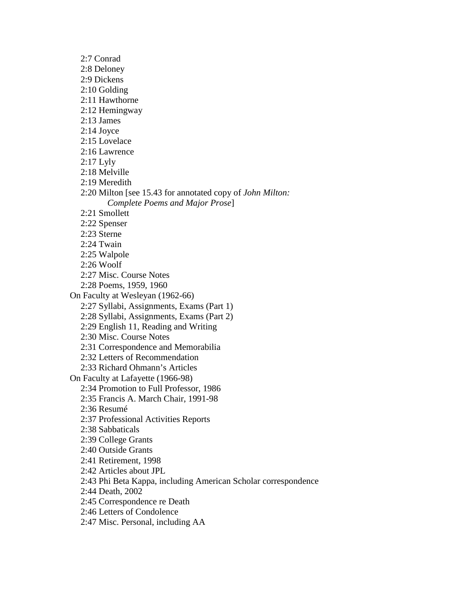2:7 Conrad 2:8 Deloney 2:9 Dickens 2:10 Golding 2:11 Hawthorne 2:12 Hemingway 2:13 James 2:14 Joyce 2:15 Lovelace 2:16 Lawrence 2:17 Lyly 2:18 Melville 2:19 Meredith 2:20 Milton [see 15.43 for annotated copy of *John Milton: Complete Poems and Major Prose*] 2:21 Smollett 2:22 Spenser 2:23 Sterne 2:24 Twain 2:25 Walpole 2:26 Woolf 2:27 Misc. Course Notes 2:28 Poems, 1959, 1960 On Faculty at Wesleyan (1962-66) 2:27 Syllabi, Assignments, Exams (Part 1) 2:28 Syllabi, Assignments, Exams (Part 2) 2:29 English 11, Reading and Writing 2:30 Misc. Course Notes 2:31 Correspondence and Memorabilia 2:32 Letters of Recommendation 2:33 Richard Ohmann's Articles On Faculty at Lafayette (1966-98) 2:34 Promotion to Full Professor, 1986 2:35 Francis A. March Chair, 1991-98 2:36 Resumé 2:37 Professional Activities Reports 2:38 Sabbaticals 2:39 College Grants 2:40 Outside Grants 2:41 Retirement, 1998 2:42 Articles about JPL 2:43 Phi Beta Kappa, including American Scholar correspondence 2:44 Death, 2002 2:45 Correspondence re Death 2:46 Letters of Condolence 2:47 Misc. Personal, including AA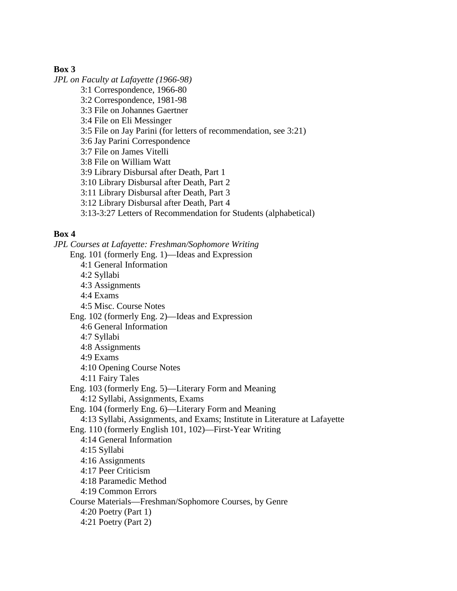## **Box 3**

*JPL on Faculty at Lafayette (1966-98)* 3:1 Correspondence, 1966-80 3:2 Correspondence, 1981-98 3:3 File on Johannes Gaertner 3:4 File on Eli Messinger 3:5 File on Jay Parini (for letters of recommendation, see 3:21) 3:6 Jay Parini Correspondence 3:7 File on James Vitelli 3:8 File on William Watt 3:9 Library Disbursal after Death, Part 1 3:10 Library Disbursal after Death, Part 2 3:11 Library Disbursal after Death, Part 3 3:12 Library Disbursal after Death, Part 4 3:13-3:27 Letters of Recommendation for Students (alphabetical)

# **Box 4**

*JPL Courses at Lafayette: Freshman/Sophomore Writing* Eng. 101 (formerly Eng. 1)—Ideas and Expression 4:1 General Information 4:2 Syllabi 4:3 Assignments 4:4 Exams 4:5 Misc. Course Notes Eng. 102 (formerly Eng. 2)—Ideas and Expression 4:6 General Information 4:7 Syllabi 4:8 Assignments 4:9 Exams 4:10 Opening Course Notes 4:11 Fairy Tales Eng. 103 (formerly Eng. 5)—Literary Form and Meaning 4:12 Syllabi, Assignments, Exams Eng. 104 (formerly Eng. 6)—Literary Form and Meaning 4:13 Syllabi, Assignments, and Exams; Institute in Literature at Lafayette Eng. 110 (formerly English 101, 102)—First-Year Writing 4:14 General Information 4:15 Syllabi 4:16 Assignments 4:17 Peer Criticism 4:18 Paramedic Method 4:19 Common Errors Course Materials—Freshman/Sophomore Courses, by Genre 4:20 Poetry (Part 1) 4:21 Poetry (Part 2)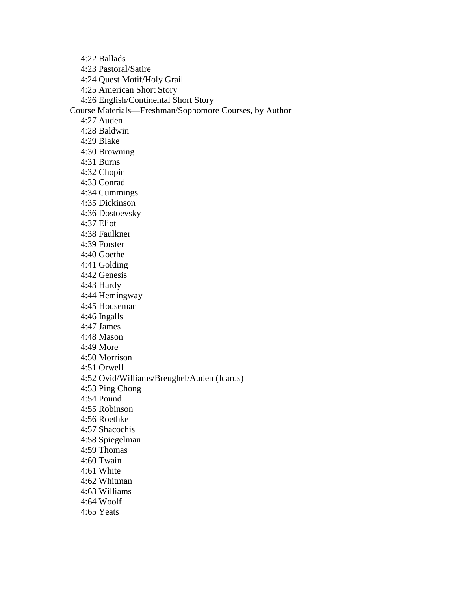4:22 Ballads

4:23 Pastoral/Satire

4:24 Quest Motif/Holy Grail

4:25 American Short Story

4:26 English/Continental Short Story

Course Materials—Freshman/Sophomore Courses, by Author

4:27 Auden

4:28 Baldwin

4:29 Blake

4:30 Browning

4:31 Burns

4:32 Chopin

4:33 Conrad

4:34 Cummings

4:35 Dickinson

4:36 Dostoevsky

4:37 Eliot

4:38 Faulkner

4:39 Forster

4:40 Goethe

4:41 Golding

4:42 Genesis

4:43 Hardy

4:44 Hemingway

4:45 Houseman

4:46 Ingalls

4:47 James

4:48 Mason

4:49 More

4:50 Morrison

4:51 Orwell

4:52 Ovid/Williams/Breughel/Auden (Icarus)

4:53 Ping Chong

4:54 Pound

4:55 Robinson

4:56 Roethke

4:57 Shacochis

4:58 Spiegelman

4:59 Thomas

4:60 Twain

4:61 White

4:62 Whitman

4:63 Williams

4:64 Woolf

4:65 Yeats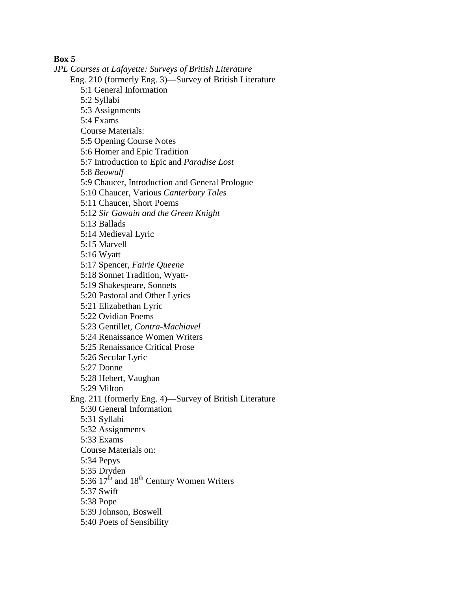**Box 5**

*JPL Courses at Lafayette: Surveys of British Literature* Eng. 210 (formerly Eng. 3)—Survey of British Literature 5:1 General Information 5:2 Syllabi 5:3 Assignments 5:4 Exams Course Materials: 5:5 Opening Course Notes 5:6 Homer and Epic Tradition 5:7 Introduction to Epic and *Paradise Lost* 5:8 *Beowulf* 5:9 Chaucer, Introduction and General Prologue 5:10 Chaucer, Various *Canterbury Tales* 5:11 Chaucer, Short Poems 5:12 *Sir Gawain and the Green Knight* 5:13 Ballads 5:14 Medieval Lyric 5:15 Marvell 5:16 Wyatt 5:17 Spencer, *Fairie Queene* 5:18 Sonnet Tradition, Wyatt-5:19 Shakespeare, Sonnets 5:20 Pastoral and Other Lyrics 5:21 Elizabethan Lyric 5:22 Ovidian Poems 5:23 Gentillet, *Contra-Machiavel* 5:24 Renaissance Women Writers 5:25 Renaissance Critical Prose 5:26 Secular Lyric 5:27 Donne 5:28 Hebert, Vaughan 5:29 Milton Eng. 211 (formerly Eng. 4)—Survey of British Literature 5:30 General Information 5:31 Syllabi 5:32 Assignments 5:33 Exams Course Materials on: 5:34 Pepys 5:35 Dryden 5:36  $17^{\text{th}}$  and  $18^{\text{th}}$  Century Women Writers 5:37 Swift 5:38 Pope 5:39 Johnson, Boswell 5:40 Poets of Sensibility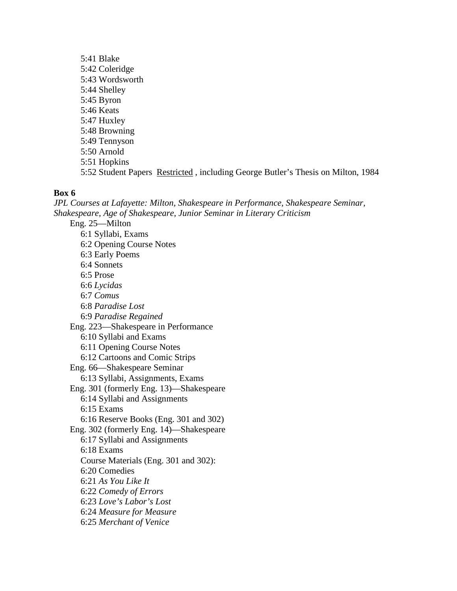5:41 Blake 5:42 Coleridge 5:43 Wordsworth 5:44 Shelley 5:45 Byron 5:46 Keats 5:47 Huxley 5:48 Browning 5:49 Tennyson 5:50 Arnold 5:51 Hopkins 5:52 Student Papers Restricted , including George Butler's Thesis on Milton, 1984

#### **Box 6**

*JPL Courses at Lafayette: Milton, Shakespeare in Performance, Shakespeare Seminar, Shakespeare, Age of Shakespeare, Junior Seminar in Literary Criticism* Eng. 25—Milton 6:1 Syllabi, Exams 6:2 Opening Course Notes 6:3 Early Poems 6:4 Sonnets 6:5 Prose 6:6 *Lycidas* 6:7 *Comus* 6:8 *Paradise Lost* 6:9 *Paradise Regained* Eng. 223—Shakespeare in Performance 6:10 Syllabi and Exams 6:11 Opening Course Notes 6:12 Cartoons and Comic Strips Eng. 66—Shakespeare Seminar 6:13 Syllabi, Assignments, Exams Eng. 301 (formerly Eng. 13)—Shakespeare 6:14 Syllabi and Assignments 6:15 Exams 6:16 Reserve Books (Eng. 301 and 302) Eng. 302 (formerly Eng. 14)—Shakespeare 6:17 Syllabi and Assignments 6:18 Exams Course Materials (Eng. 301 and 302): 6:20 Comedies 6:21 *As You Like It* 6:22 *Comedy of Errors* 6:23 *Love's Labor's Lost* 6:24 *Measure for Measure* 6:25 *Merchant of Venice*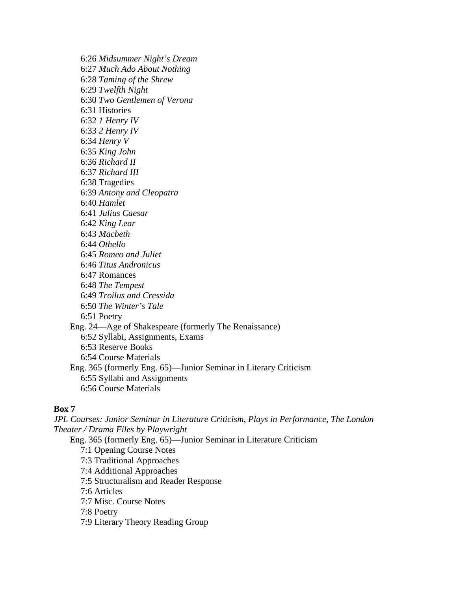6:26 *Midsummer Night's Dream* 6:27 *Much Ado About Nothing* 6:28 *Taming of the Shrew* 6:29 *Twelfth Night* 6:30 *Two Gentlemen of Verona* 6:31 Histories 6:32 *1 Henry IV* 6:33 *2 Henry IV* 6:34 *Henry V* 6:35 *King John* 6:36 *Richard II* 6:37 *Richard III* 6:38 Tragedies 6:39 *Antony and Cleopatra* 6:40 *Hamlet* 6:41 *Julius Caesar* 6:42 *King Lear* 6:43 *Macbeth* 6:44 *Othello* 6:45 *Romeo and Juliet* 6:46 *Titus Andronicus* 6:47 Romances 6:48 *The Tempest* 6:49 *Troilus and Cressida* 6:50 *The Winter's Tale* 6:51 Poetry Eng. 24—Age of Shakespeare (formerly The Renaissance) 6:52 Syllabi, Assignments, Exams 6:53 Reserve Books 6:54 Course Materials Eng. 365 (formerly Eng. 65)—Junior Seminar in Literary Criticism 6:55 Syllabi and Assignments 6:56 Course Materials

## **Box 7**

*JPL Courses: Junior Seminar in Literature Criticism, Plays in Performance, The London Theater / Drama Files by Playwright*

Eng. 365 (formerly Eng. 65)—Junior Seminar in Literature Criticism

- 7:1 Opening Course Notes
- 7:3 Traditional Approaches
- 7:4 Additional Approaches
- 7:5 Structuralism and Reader Response
- 7:6 Articles
- 7:7 Misc. Course Notes
- 7:8 Poetry
- 7:9 Literary Theory Reading Group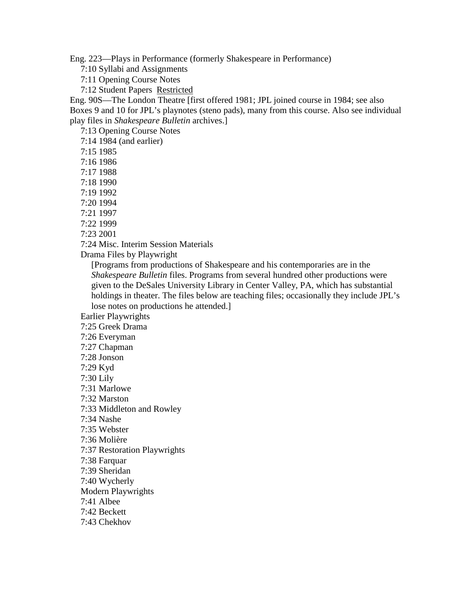Eng. 223—Plays in Performance (formerly Shakespeare in Performance)

7:10 Syllabi and Assignments

7:11 Opening Course Notes

7:12 Student Papers Restricted

Eng. 90S—The London Theatre [first offered 1981; JPL joined course in 1984; see also Boxes 9 and 10 for JPL's playnotes (steno pads), many from this course. Also see individual play files in *Shakespeare Bulletin* archives.]

7:13 Opening Course Notes

7:14 1984 (and earlier)

7:15 1985

7:16 1986

7:17 1988

7:18 1990

- 7:19 1992
- 7:20 1994

7:21 1997

7:22 1999

7:23 2001

7:24 Misc. Interim Session Materials

Drama Files by Playwright

[Programs from productions of Shakespeare and his contemporaries are in the *Shakespeare Bulletin* files. Programs from several hundred other productions were given to the DeSales University Library in Center Valley, PA, which has substantial holdings in theater. The files below are teaching files; occasionally they include JPL's lose notes on productions he attended.]

Earlier Playwrights

7:25 Greek Drama

7:26 Everyman

7:27 Chapman

7:28 Jonson

7:29 Kyd

7:30 Lily

7:31 Marlowe

7:32 Marston

7:33 Middleton and Rowley

7:34 Nashe

7:35 Webster

7:36 Molière

7:37 Restoration Playwrights

7:38 Farquar

7:39 Sheridan

7:40 Wycherly

Modern Playwrights

7:41 Albee

7:42 Beckett

7:43 Chekhov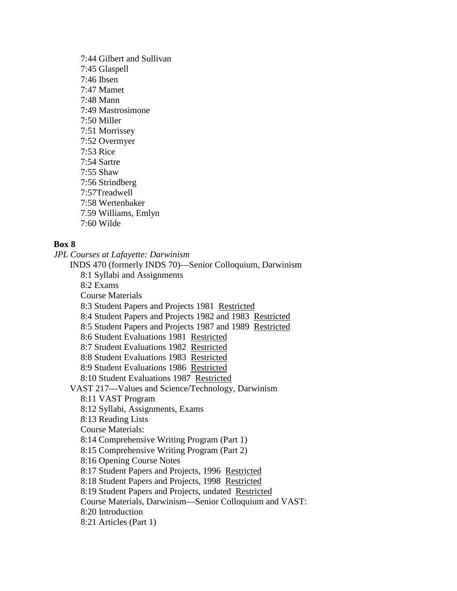7:44 Gilbert and Sullivan 7:45 Glaspell 7:46 Ibsen 7:47 Mamet 7:48 Mann 7:49 Mastrosimone 7:50 Miller 7:51 Morrissey 7:52 Overmyer 7:53 Rice 7:54 Sartre 7:55 Shaw 7:56 Strindberg 7:57Treadwell 7:58 Wertenbaker 7.59 Williams, Emlyn 7:60 Wilde

# **Box 8**

*JPL Courses at Lafayette: Darwinism* INDS 470 (formerly INDS 70)—Senior Colloquium, Darwinism 8:1 Syllabi and Assignments 8:2 Exams Course Materials 8:3 Student Papers and Projects 1981 Restricted 8:4 Student Papers and Projects 1982 and 1983 Restricted 8:5 Student Papers and Projects 1987 and 1989 Restricted 8:6 Student Evaluations 1981 Restricted 8:7 Student Evaluations 1982 Restricted 8:8 Student Evaluations 1983 Restricted 8:9 Student Evaluations 1986 Restricted 8:10 Student Evaluations 1987 Restricted VAST 217—Values and Science/Technology, Darwinism 8:11 VAST Program 8:12 Syllabi, Assignments, Exams 8:13 Reading Lists Course Materials: 8:14 Comprehensive Writing Program (Part 1) 8:15 Comprehensive Writing Program (Part 2) 8:16 Opening Course Notes 8:17 Student Papers and Projects, 1996 Restricted 8:18 Student Papers and Projects, 1998 Restricted 8:19 Student Papers and Projects, undated Restricted Course Materials, Darwinism—Senior Colloquium and VAST: 8:20 Introduction 8:21 Articles (Part 1)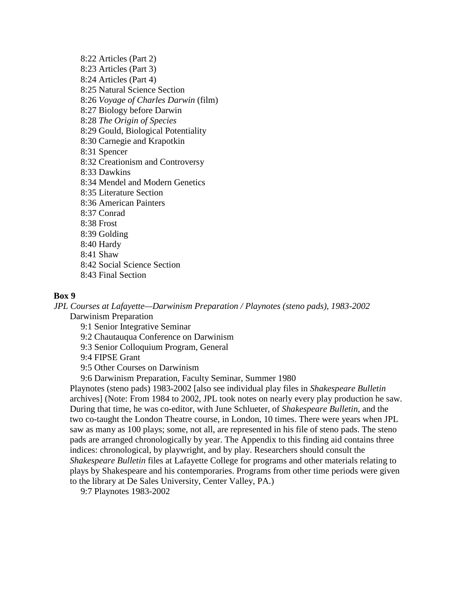8:22 Articles (Part 2) 8:23 Articles (Part 3) 8:24 Articles (Part 4) 8:25 Natural Science Section 8:26 *Voyage of Charles Darwin* (film) 8:27 Biology before Darwin 8:28 *The Origin of Species* 8:29 Gould, Biological Potentiality 8:30 Carnegie and Krapotkin 8:31 Spencer 8:32 Creationism and Controversy 8:33 Dawkins 8:34 Mendel and Modern Genetics 8:35 Literature Section 8:36 American Painters 8:37 Conrad 8:38 Frost 8:39 Golding 8:40 Hardy 8:41 Shaw 8:42 Social Science Section 8:43 Final Section

#### **Box 9**

*JPL Courses at Lafayette—Darwinism Preparation / Playnotes (steno pads), 1983-2002* Darwinism Preparation

9:1 Senior Integrative Seminar

9:2 Chautauqua Conference on Darwinism

9:3 Senior Colloquium Program, General

9:4 FIPSE Grant

9:5 Other Courses on Darwinism

9:6 Darwinism Preparation, Faculty Seminar, Summer 1980

Playnotes (steno pads) 1983-2002 [also see individual play files in *Shakespeare Bulletin* archives] (Note: From 1984 to 2002, JPL took notes on nearly every play production he saw. During that time, he was co-editor, with June Schlueter, of *Shakespeare Bulletin*, and the two co-taught the London Theatre course, in London, 10 times. There were years when JPL saw as many as 100 plays; some, not all, are represented in his file of steno pads. The steno pads are arranged chronologically by year. The Appendix to this finding aid contains three indices: chronological, by playwright, and by play. Researchers should consult the *Shakespeare Bulletin* files at Lafayette College for programs and other materials relating to plays by Shakespeare and his contemporaries. Programs from other time periods were given to the library at De Sales University, Center Valley, PA.)

9:7 Playnotes 1983-2002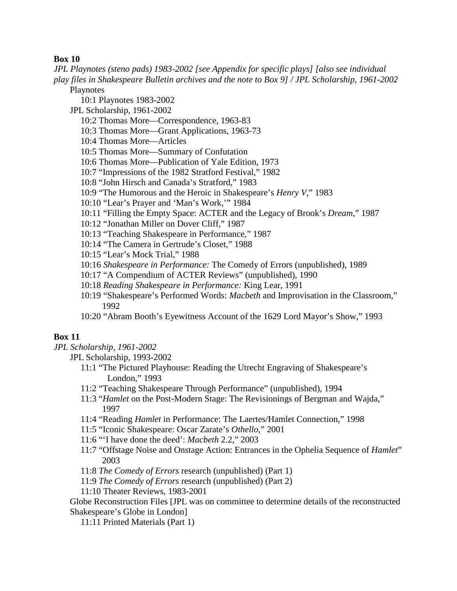## **Box 10**

*JPL Playnotes (steno pads) 1983-2002 [see Appendix for specific plays] [also see individual play files in Shakespeare Bulletin archives and the note to Box 9] / JPL Scholarship, 1961-2002*

Playnotes

- 10:1 Playnotes 1983-2002
- JPL Scholarship, 1961-2002
	- 10:2 Thomas More—Correspondence, 1963-83
	- 10:3 Thomas More—Grant Applications, 1963-73
	- 10:4 Thomas More—Articles
	- 10:5 Thomas More—Summary of Confutation
	- 10:6 Thomas More—Publication of Yale Edition, 1973
	- 10:7 "Impressions of the 1982 Stratford Festival," 1982
	- 10:8 "John Hirsch and Canada's Stratford," 1983
	- 10:9 "The Humorous and the Heroic in Shakespeare's *Henry V*," 1983
	- 10:10 "Lear's Prayer and 'Man's Work,'" 1984
	- 10:11 "Filling the Empty Space: ACTER and the Legacy of Brook's *Dream*," 1987
	- 10:12 "Jonathan Miller on Dover Cliff," 1987
	- 10:13 "Teaching Shakespeare in Performance," 1987
	- 10:14 "The Camera in Gertrude's Closet," 1988
	- 10:15 "Lear's Mock Trial," 1988
	- 10:16 *Shakespeare in Performance:* The Comedy of Errors (unpublished), 1989
	- 10:17 "A Compendium of ACTER Reviews" (unpublished), 1990
	- 10:18 *Reading Shakespeare in Performance:* King Lear, 1991
	- 10:19 "Shakespeare's Performed Words: *Macbeth* and Improvisation in the Classroom," 1992
	- 10:20 "Abram Booth's Eyewitness Account of the 1629 Lord Mayor's Show," 1993

# **Box 11**

*JPL Scholarship, 1961-2002*

JPL Scholarship, 1993-2002

- 11:1 "The Pictured Playhouse: Reading the Utrecht Engraving of Shakespeare's London," 1993
- 11:2 "Teaching Shakespeare Through Performance" (unpublished), 1994
- 11:3 "*Hamlet* on the Post-Modern Stage: The Revisionings of Bergman and Wajda," 1997
- 11:4 "Reading *Hamlet* in Performance: The Laertes/Hamlet Connection," 1998
- 11:5 "Iconic Shakespeare: Oscar Zarate's *Othello*," 2001
- 11:6 "'I have done the deed': *Macbeth* 2.2," 2003
- 11:7 "Offstage Noise and Onstage Action: Entrances in the Ophelia Sequence of *Hamlet*" 2003
- 11:8 *The Comedy of Errors* research (unpublished) (Part 1)
- 11:9 *The Comedy of Errors* research (unpublished) (Part 2)
- 11:10 Theater Reviews, 1983-2001

Globe Reconstruction Files [JPL was on committee to determine details of the reconstructed Shakespeare's Globe in London]

11:11 Printed Materials (Part 1)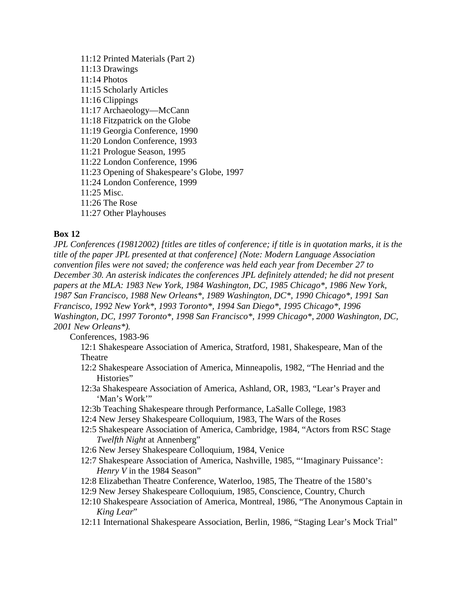11:12 Printed Materials (Part 2) 11:13 Drawings 11:14 Photos 11:15 Scholarly Articles 11:16 Clippings 11:17 Archaeology—McCann 11:18 Fitzpatrick on the Globe 11:19 Georgia Conference, 1990 11:20 London Conference, 1993 11:21 Prologue Season, 1995 11:22 London Conference, 1996 11:23 Opening of Shakespeare's Globe, 1997 11:24 London Conference, 1999 11:25 Misc. 11:26 The Rose 11:27 Other Playhouses

# **Box 12**

*JPL Conferences (19812002) [titles are titles of conference; if title is in quotation marks, it is the title of the paper JPL presented at that conference] (Note: Modern Language Association convention files were not saved; the conference was held each year from December 27 to December 30. An asterisk indicates the conferences JPL definitely attended; he did not present papers at the MLA: 1983 New York, 1984 Washington, DC, 1985 Chicago\*, 1986 New York, 1987 San Francisco, 1988 New Orleans\*, 1989 Washington, DC\*, 1990 Chicago\*, 1991 San Francisco, 1992 New York\*, 1993 Toronto\*, 1994 San Diego\*, 1995 Chicago\*, 1996 Washington, DC, 1997 Toronto\*, 1998 San Francisco\*, 1999 Chicago\*, 2000 Washington, DC, 2001 New Orleans\*).*

Conferences, 1983-96

12:1 Shakespeare Association of America, Stratford, 1981, Shakespeare, Man of the Theatre

- 12:2 Shakespeare Association of America, Minneapolis, 1982, "The Henriad and the Histories"
- 12:3a Shakespeare Association of America, Ashland, OR, 1983, "Lear's Prayer and 'Man's Work""
- 12:3b Teaching Shakespeare through Performance, LaSalle College, 1983
- 12:4 New Jersey Shakespeare Colloquium, 1983, The Wars of the Roses
- 12:5 Shakespeare Association of America, Cambridge, 1984, "Actors from RSC Stage *Twelfth Night* at Annenberg"
- 12:6 New Jersey Shakespeare Colloquium, 1984, Venice
- 12:7 Shakespeare Association of America, Nashville, 1985, "'Imaginary Puissance': *Henry V* in the 1984 Season"
- 12:8 Elizabethan Theatre Conference, Waterloo, 1985, The Theatre of the 1580's
- 12:9 New Jersey Shakespeare Colloquium, 1985, Conscience, Country, Church
- 12:10 Shakespeare Association of America, Montreal, 1986, "The Anonymous Captain in *King Lear*"
- 12:11 International Shakespeare Association, Berlin, 1986, "Staging Lear's Mock Trial"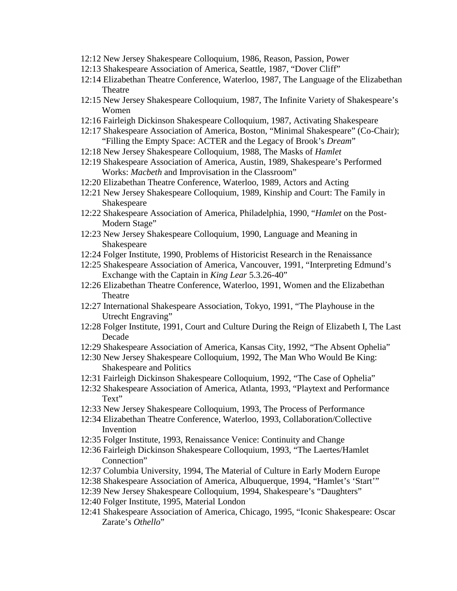- 12:12 New Jersey Shakespeare Colloquium, 1986, Reason, Passion, Power
- 12:13 Shakespeare Association of America, Seattle, 1987, "Dover Cliff"
- 12:14 Elizabethan Theatre Conference, Waterloo, 1987, The Language of the Elizabethan Theatre
- 12:15 New Jersey Shakespeare Colloquium, 1987, The Infinite Variety of Shakespeare's Women
- 12:16 Fairleigh Dickinson Shakespeare Colloquium, 1987, Activating Shakespeare
- 12:17 Shakespeare Association of America, Boston, "Minimal Shakespeare" (Co-Chair); "Filling the Empty Space: ACTER and the Legacy of Brook's *Dream*"
- 12:18 New Jersey Shakespeare Colloquium, 1988, The Masks of *Hamlet*
- 12:19 Shakespeare Association of America, Austin, 1989, Shakespeare's Performed Works: *Macbeth* and Improvisation in the Classroom"
- 12:20 Elizabethan Theatre Conference, Waterloo, 1989, Actors and Acting
- 12:21 New Jersey Shakespeare Colloquium, 1989, Kinship and Court: The Family in Shakespeare
- 12:22 Shakespeare Association of America, Philadelphia, 1990, "*Hamlet* on the Post-Modern Stage"
- 12:23 New Jersey Shakespeare Colloquium, 1990, Language and Meaning in Shakespeare
- 12:24 Folger Institute, 1990, Problems of Historicist Research in the Renaissance
- 12:25 Shakespeare Association of America, Vancouver, 1991, "Interpreting Edmund's Exchange with the Captain in *King Lear* 5.3.26-40"
- 12:26 Elizabethan Theatre Conference, Waterloo, 1991, Women and the Elizabethan Theatre
- 12:27 International Shakespeare Association, Tokyo, 1991, "The Playhouse in the Utrecht Engraving"
- 12:28 Folger Institute, 1991, Court and Culture During the Reign of Elizabeth I, The Last Decade
- 12:29 Shakespeare Association of America, Kansas City, 1992, "The Absent Ophelia"
- 12:30 New Jersey Shakespeare Colloquium, 1992, The Man Who Would Be King: Shakespeare and Politics
- 12:31 Fairleigh Dickinson Shakespeare Colloquium, 1992, "The Case of Ophelia"
- 12:32 Shakespeare Association of America, Atlanta, 1993, "Playtext and Performance Text"
- 12:33 New Jersey Shakespeare Colloquium, 1993, The Process of Performance
- 12:34 Elizabethan Theatre Conference, Waterloo, 1993, Collaboration/Collective Invention
- 12:35 Folger Institute, 1993, Renaissance Venice: Continuity and Change
- 12:36 Fairleigh Dickinson Shakespeare Colloquium, 1993, "The Laertes/Hamlet Connection"
- 12:37 Columbia University, 1994, The Material of Culture in Early Modern Europe
- 12:38 Shakespeare Association of America, Albuquerque, 1994, "Hamlet's 'Start'"
- 12:39 New Jersey Shakespeare Colloquium, 1994, Shakespeare's "Daughters"
- 12:40 Folger Institute, 1995, Material London
- 12:41 Shakespeare Association of America, Chicago, 1995, "Iconic Shakespeare: Oscar Zarate's *Othello*"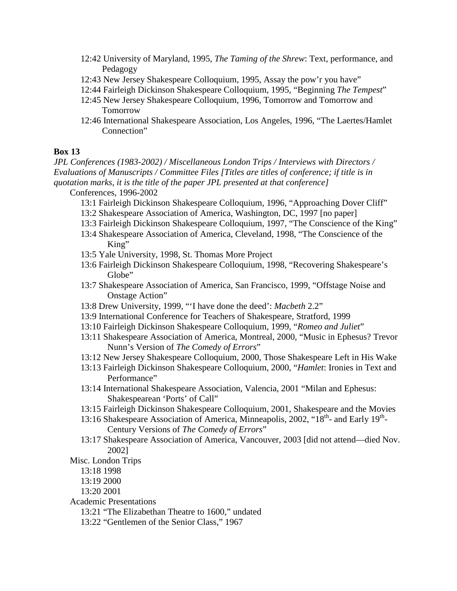- 12:42 University of Maryland, 1995, *The Taming of the Shrew*: Text, performance, and Pedagogy
- 12:43 New Jersey Shakespeare Colloquium, 1995, Assay the pow'r you have"
- 12:44 Fairleigh Dickinson Shakespeare Colloquium, 1995, "Beginning *The Tempest*"
- 12:45 New Jersey Shakespeare Colloquium, 1996, Tomorrow and Tomorrow and Tomorrow
- 12:46 International Shakespeare Association, Los Angeles, 1996, "The Laertes/Hamlet Connection"

## **Box 13**

*JPL Conferences (1983-2002) / Miscellaneous London Trips / Interviews with Directors / Evaluations of Manuscripts / Committee Files [Titles are titles of conference; if title is in quotation marks, it is the title of the paper JPL presented at that conference]*

Conferences, 1996-2002

- 13:1 Fairleigh Dickinson Shakespeare Colloquium, 1996, "Approaching Dover Cliff"
- 13:2 Shakespeare Association of America, Washington, DC, 1997 [no paper]
- 13:3 Fairleigh Dickinson Shakespeare Colloquium, 1997, "The Conscience of the King"
- 13:4 Shakespeare Association of America, Cleveland, 1998, "The Conscience of the King"
- 13:5 Yale University, 1998, St. Thomas More Project
- 13:6 Fairleigh Dickinson Shakespeare Colloquium, 1998, "Recovering Shakespeare's Globe"
- 13:7 Shakespeare Association of America, San Francisco, 1999, "Offstage Noise and Onstage Action"
- 13:8 Drew University, 1999, "'I have done the deed': *Macbeth* 2.2"
- 13:9 International Conference for Teachers of Shakespeare, Stratford, 1999
- 13:10 Fairleigh Dickinson Shakespeare Colloquium, 1999, "*Romeo and Juliet*"
- 13:11 Shakespeare Association of America, Montreal, 2000, "Music in Ephesus? Trevor Nunn's Version of *The Comedy of Errors*"
- 13:12 New Jersey Shakespeare Colloquium, 2000, Those Shakespeare Left in His Wake
- 13:13 Fairleigh Dickinson Shakespeare Colloquium, 2000, "*Hamlet*: Ironies in Text and Performance"
- 13:14 International Shakespeare Association, Valencia, 2001 "Milan and Ephesus: Shakespearean 'Ports' of Call"
- 13:15 Fairleigh Dickinson Shakespeare Colloquium, 2001, Shakespeare and the Movies
- 13:16 Shakespeare Association of America, Minneapolis, 2002, " $18^{th}$  and Early  $19^{th}$ -Century Versions of *The Comedy of Errors*"
- 13:17 Shakespeare Association of America, Vancouver, 2003 [did not attend—died Nov. 2002]
- Misc. London Trips
	- 13:18 1998
	- 13:19 2000
	- 13:20 2001
- Academic Presentations
	- 13:21 "The Elizabethan Theatre to 1600," undated
	- 13:22 "Gentlemen of the Senior Class," 1967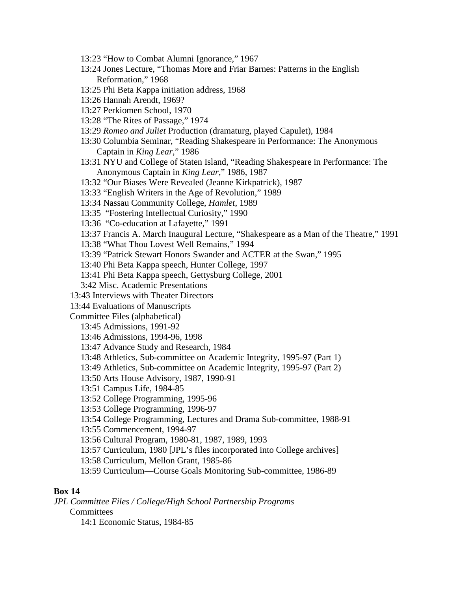- 13:23 "How to Combat Alumni Ignorance," 1967
- 13:24 Jones Lecture, "Thomas More and Friar Barnes: Patterns in the English Reformation," 1968
- 13:25 Phi Beta Kappa initiation address, 1968
- 13:26 Hannah Arendt, 1969?
- 13:27 Perkiomen School, 1970
- 13:28 "The Rites of Passage," 1974
- 13:29 *Romeo and Juliet* Production (dramaturg, played Capulet), 1984
- 13:30 Columbia Seminar, "Reading Shakespeare in Performance: The Anonymous Captain in *King Lear*," 1986
- 13:31 NYU and College of Staten Island, "Reading Shakespeare in Performance: The Anonymous Captain in *King Lear*," 1986, 1987
- 13:32 "Our Biases Were Revealed (Jeanne Kirkpatrick), 1987
- 13:33 "English Writers in the Age of Revolution," 1989
- 13:34 Nassau Community College, *Hamlet*, 1989
- 13:35 "Fostering Intellectual Curiosity," 1990
- 13:36 "Co-education at Lafayette," 1991
- 13:37 Francis A. March Inaugural Lecture, "Shakespeare as a Man of the Theatre," 1991
- 13:38 "What Thou Lovest Well Remains," 1994
- 13:39 "Patrick Stewart Honors Swander and ACTER at the Swan," 1995
- 13:40 Phi Beta Kappa speech, Hunter College, 1997
- 13:41 Phi Beta Kappa speech, Gettysburg College, 2001
- 3:42 Misc. Academic Presentations
- 13:43 Interviews with Theater Directors
- 13:44 Evaluations of Manuscripts

Committee Files (alphabetical)

- 13:45 Admissions, 1991-92
- 13:46 Admissions, 1994-96, 1998
- 13:47 Advance Study and Research, 1984
- 13:48 Athletics, Sub-committee on Academic Integrity, 1995-97 (Part 1)
- 13:49 Athletics, Sub-committee on Academic Integrity, 1995-97 (Part 2)
- 13:50 Arts House Advisory, 1987, 1990-91
- 13:51 Campus Life, 1984-85
- 13:52 College Programming, 1995-96
- 13:53 College Programming, 1996-97
- 13:54 College Programming, Lectures and Drama Sub-committee, 1988-91
- 13:55 Commencement, 1994-97
- 13:56 Cultural Program, 1980-81, 1987, 1989, 1993
- 13:57 Curriculum, 1980 [JPL's files incorporated into College archives]
- 13:58 Curriculum, Mellon Grant, 1985-86
- 13:59 Curriculum—Course Goals Monitoring Sub-committee, 1986-89

### **Box 14**

- *JPL Committee Files / College/High School Partnership Programs* **Committees** 
	- 14:1 Economic Status, 1984-85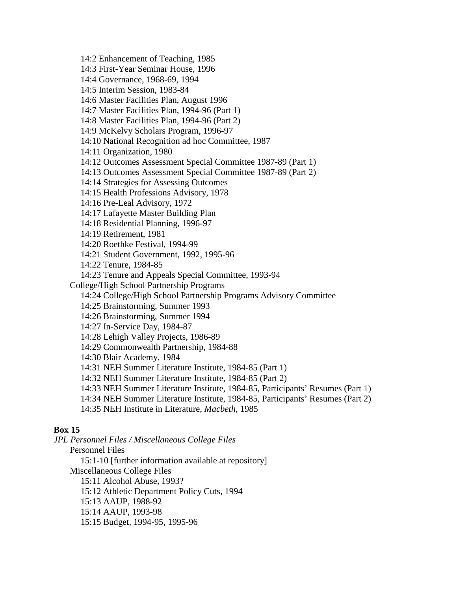14:2 Enhancement of Teaching, 1985 14:3 First-Year Seminar House, 1996 14:4 Governance, 1968-69, 1994 14:5 Interim Session, 1983-84 14:6 Master Facilities Plan, August 1996 14:7 Master Facilities Plan, 1994-96 (Part 1) 14:8 Master Facilities Plan, 1994-96 (Part 2) 14:9 McKelvy Scholars Program, 1996-97 14:10 National Recognition ad hoc Committee, 1987 14:11 Organization, 1980 14:12 Outcomes Assessment Special Committee 1987-89 (Part 1) 14:13 Outcomes Assessment Special Committee 1987-89 (Part 2) 14:14 Strategies for Assessing Outcomes 14:15 Health Professions Advisory, 1978 14:16 Pre-Leal Advisory, 1972 14:17 Lafayette Master Building Plan 14:18 Residential Planning, 1996-97 14:19 Retirement, 1981 14:20 Roethke Festival, 1994-99 14:21 Student Government, 1992, 1995-96 14:22 Tenure, 1984-85 14:23 Tenure and Appeals Special Committee, 1993-94 College/High School Partnership Programs 14:24 College/High School Partnership Programs Advisory Committee 14:25 Brainstorming, Summer 1993 14:26 Brainstorming, Summer 1994 14:27 In-Service Day, 1984-87 14:28 Lehigh Valley Projects, 1986-89 14:29 Commonwealth Partnership, 1984-88 14:30 Blair Academy, 1984 14:31 NEH Summer Literature Institute, 1984-85 (Part 1) 14:32 NEH Summer Literature Institute, 1984-85 (Part 2) 14:33 NEH Summer Literature Institute, 1984-85, Participants' Resumes (Part 1) 14:34 NEH Summer Literature Institute, 1984-85, Participants' Resumes (Part 2) 14:35 NEH Institute in Literature, *Macbeth*, 1985

## **Box 15**

*JPL Personnel Files / Miscellaneous College Files* Personnel Files

15:1-10 [further information available at repository]

Miscellaneous College Files

15:11 Alcohol Abuse, 1993?

15:12 Athletic Department Policy Cuts, 1994

15:13 AAUP, 1988-92

15:14 AAUP, 1993-98

15:15 Budget, 1994-95, 1995-96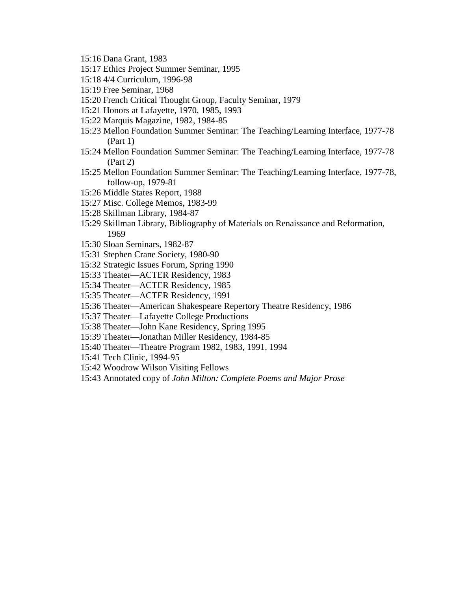- 15:16 Dana Grant, 1983
- 15:17 Ethics Project Summer Seminar, 1995
- 15:18 4/4 Curriculum, 1996-98
- 15:19 Free Seminar, 1968
- 15:20 French Critical Thought Group, Faculty Seminar, 1979
- 15:21 Honors at Lafayette, 1970, 1985, 1993
- 15:22 Marquis Magazine, 1982, 1984-85
- 15:23 Mellon Foundation Summer Seminar: The Teaching/Learning Interface, 1977-78 (Part 1)
- 15:24 Mellon Foundation Summer Seminar: The Teaching/Learning Interface, 1977-78 (Part 2)
- 15:25 Mellon Foundation Summer Seminar: The Teaching/Learning Interface, 1977-78, follow-up, 1979-81
- 15:26 Middle States Report, 1988
- 15:27 Misc. College Memos, 1983-99
- 15:28 Skillman Library, 1984-87
- 15:29 Skillman Library, Bibliography of Materials on Renaissance and Reformation, 1969
- 15:30 Sloan Seminars, 1982-87
- 15:31 Stephen Crane Society, 1980-90
- 15:32 Strategic Issues Forum, Spring 1990
- 15:33 Theater—ACTER Residency, 1983
- 15:34 Theater—ACTER Residency, 1985
- 15:35 Theater—ACTER Residency, 1991
- 15:36 Theater—American Shakespeare Repertory Theatre Residency, 1986
- 15:37 Theater—Lafayette College Productions
- 15:38 Theater—John Kane Residency, Spring 1995
- 15:39 Theater—Jonathan Miller Residency, 1984-85
- 15:40 Theater—Theatre Program 1982, 1983, 1991, 1994
- 15:41 Tech Clinic, 1994-95
- 15:42 Woodrow Wilson Visiting Fellows
- 15:43 Annotated copy of *John Milton: Complete Poems and Major Prose*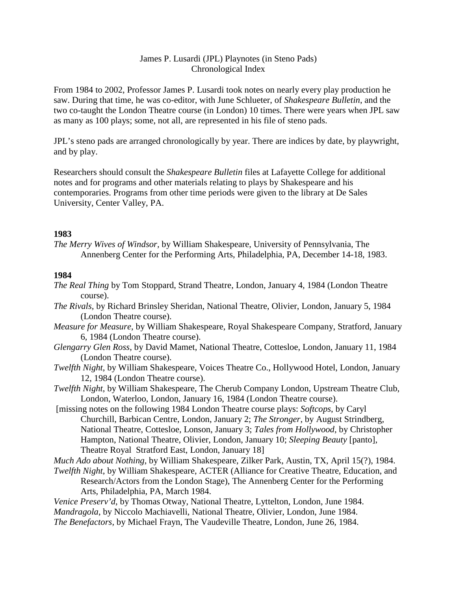# James P. Lusardi (JPL) Playnotes (in Steno Pads) Chronological Index

From 1984 to 2002, Professor James P. Lusardi took notes on nearly every play production he saw. During that time, he was co-editor, with June Schlueter, of *Shakespeare Bulletin*, and the two co-taught the London Theatre course (in London) 10 times. There were years when JPL saw as many as 100 plays; some, not all, are represented in his file of steno pads.

JPL's steno pads are arranged chronologically by year. There are indices by date, by playwright, and by play.

Researchers should consult the *Shakespeare Bulletin* files at Lafayette College for additional notes and for programs and other materials relating to plays by Shakespeare and his contemporaries. Programs from other time periods were given to the library at De Sales University, Center Valley, PA.

# **1983**

*The Merry Wives of Windsor,* by William Shakespeare, University of Pennsylvania, The Annenberg Center for the Performing Arts, Philadelphia, PA, December 14-18, 1983.

# **1984**

- *The Real Thing* by Tom Stoppard, Strand Theatre, London, January 4, 1984 (London Theatre course).
- *The Rivals,* by Richard Brinsley Sheridan, National Theatre, Olivier, London, January 5, 1984 (London Theatre course).
- *Measure for Measure*, by William Shakespeare, Royal Shakespeare Company, Stratford, January 6, 1984 (London Theatre course).
- *Glengarry Glen Ross*, by David Mamet, National Theatre, Cottesloe, London, January 11, 1984 (London Theatre course).
- *Twelfth Night*, by William Shakespeare, Voices Theatre Co., Hollywood Hotel, London, January 12, 1984 (London Theatre course).
- *Twelfth Night*, by William Shakespeare, The Cherub Company London, Upstream Theatre Club, London, Waterloo, London, January 16, 1984 (London Theatre course).
- [missing notes on the following 1984 London Theatre course plays: *Softcops*, by Caryl Churchill, Barbican Centre, London, January 2; *The Stronger*, by August Strindberg, National Theatre, Cottesloe, Lonson, January 3; *Tales from Hollywood*, by Christopher Hampton, National Theatre, Olivier, London, January 10; *Sleeping Beauty* [panto], Theatre Royal Stratford East, London, January 18]

*Much Ado about Nothing*, by William Shakespeare, Zilker Park, Austin, TX, April 15(?), 1984.

- *Twelfth Night*, by William Shakespeare, ACTER (Alliance for Creative Theatre, Education, and Research/Actors from the London Stage), The Annenberg Center for the Performing Arts, Philadelphia, PA, March 1984.
- *Venice Preserv'd*, by Thomas Otway, National Theatre, Lyttelton, London, June 1984. *Mandragola*, by Niccolo Machiavelli, National Theatre, Olivier, London, June 1984.
- *The Benefactors,* by Michael Frayn, The Vaudeville Theatre, London, June 26, 1984.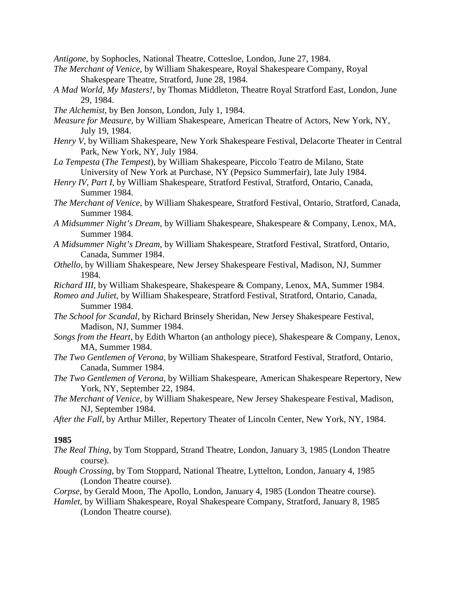*Antigone*, by Sophocles, National Theatre, Cottesloe, London, June 27, 1984.

- *The Merchant of Venice,* by William Shakespeare, Royal Shakespeare Company, Royal Shakespeare Theatre, Stratford, June 28, 1984.
- *A Mad World, My Masters!,* by Thomas Middleton, Theatre Royal Stratford East, London, June 29, 1984.
- *The Alchemist,* by Ben Jonson, London, July 1, 1984.
- *Measure for Measure*, by William Shakespeare, American Theatre of Actors, New York, NY, July 19, 1984.
- *Henry V*, by William Shakespeare, New York Shakespeare Festival, Delacorte Theater in Central Park, New York, NY, July 1984.
- *La Tempesta* (*The Tempest*), by William Shakespeare, Piccolo Teatro de Milano, State University of New York at Purchase, NY (Pepsico Summerfair), late July 1984.
- *Henry IV, Part I*, by William Shakespeare, Stratford Festival, Stratford, Ontario, Canada, Summer 1984.
- *The Merchant of Venice,* by William Shakespeare, Stratford Festival, Ontario, Stratford, Canada, Summer 1984.
- *A Midsummer Night's Dream,* by William Shakespeare, Shakespeare & Company, Lenox, MA, Summer 1984.
- *A Midsummer Night's Dream,* by William Shakespeare, Stratford Festival, Stratford, Ontario, Canada, Summer 1984.
- *Othello*, by William Shakespeare, New Jersey Shakespeare Festival, Madison, NJ, Summer 1984.
- *Richard III*, by William Shakespeare, Shakespeare & Company, Lenox, MA, Summer 1984.
- *Romeo and Juliet*, by William Shakespeare, Stratford Festival, Stratford, Ontario, Canada, Summer 1984.
- *The School for Scandal,* by Richard Brinsely Sheridan, New Jersey Shakespeare Festival, Madison, NJ, Summer 1984.
- *Songs from the Heart*, by Edith Wharton (an anthology piece), Shakespeare & Company, Lenox, MA, Summer 1984.
- *The Two Gentlemen of Verona,* by William Shakespeare, Stratford Festival, Stratford, Ontario, Canada, Summer 1984.
- *The Two Gentlemen of Verona,* by William Shakespeare, American Shakespeare Repertory, New York, NY, September 22, 1984.
- *The Merchant of Venice,* by William Shakespeare, New Jersey Shakespeare Festival, Madison, NJ, September 1984.
- *After the Fall*, by Arthur Miller, Repertory Theater of Lincoln Center, New York, NY, 1984.

- *The Real Thing,* by Tom Stoppard, Strand Theatre, London, January 3, 1985 (London Theatre course).
- *Rough Crossing*, by Tom Stoppard, National Theatre, Lyttelton, London, January 4, 1985 (London Theatre course).
- *Corpse*, by Gerald Moon, The Apollo, London, January 4, 1985 (London Theatre course).
- *Hamlet*, by William Shakespeare, Royal Shakespeare Company, Stratford, January 8, 1985 (London Theatre course).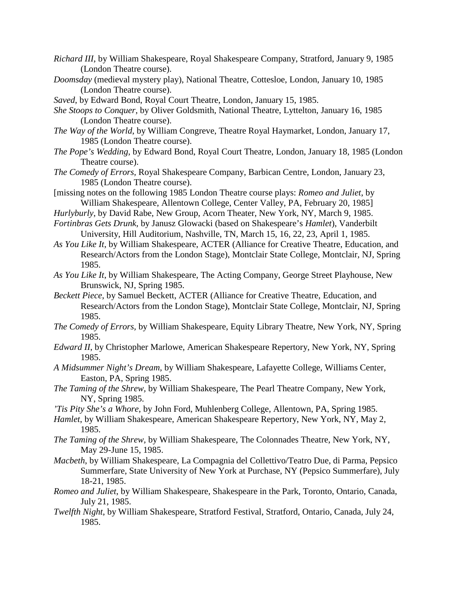- *Richard III*, by William Shakespeare, Royal Shakespeare Company, Stratford, January 9, 1985 (London Theatre course).
- *Doomsday* (medieval mystery play), National Theatre, Cottesloe, London, January 10, 1985 (London Theatre course).
- *Saved*, by Edward Bond, Royal Court Theatre, London, January 15, 1985.
- *She Stoops to Conquer*, by Oliver Goldsmith, National Theatre, Lyttelton, January 16, 1985 (London Theatre course).
- *The Way of the World*, by William Congreve, Theatre Royal Haymarket, London, January 17, 1985 (London Theatre course).
- *The Pope's Wedding*, by Edward Bond, Royal Court Theatre, London, January 18, 1985 (London Theatre course).
- *The Comedy of Errors,* Royal Shakespeare Company, Barbican Centre, London, January 23, 1985 (London Theatre course).
- [missing notes on the following 1985 London Theatre course plays: *Romeo and Juliet*, by William Shakespeare, Allentown College, Center Valley, PA, February 20, 1985]
- *Hurlyburly*, by David Rabe, New Group, Acorn Theater, New York, NY, March 9, 1985.
- *Fortinbras Gets Drunk*, by Janusz Glowacki (based on Shakespeare's *Hamlet*), Vanderbilt University, Hill Auditorium, Nashville, TN, March 15, 16, 22, 23, April 1, 1985.
- *As You Like It*, by William Shakespeare, ACTER (Alliance for Creative Theatre, Education, and Research/Actors from the London Stage), Montclair State College, Montclair, NJ, Spring 1985.
- *As You Like It*, by William Shakespeare, The Acting Company, George Street Playhouse, New Brunswick, NJ, Spring 1985.
- *Beckett Piece*, by Samuel Beckett, ACTER (Alliance for Creative Theatre, Education, and Research/Actors from the London Stage), Montclair State College, Montclair, NJ, Spring 1985.
- *The Comedy of Errors,* by William Shakespeare, Equity Library Theatre, New York, NY, Spring 1985.
- *Edward II*, by Christopher Marlowe, American Shakespeare Repertory, New York, NY, Spring 1985.
- *A Midsummer Night's Dream,* by William Shakespeare, Lafayette College, Williams Center, Easton, PA, Spring 1985.
- *The Taming of the Shrew,* by William Shakespeare, The Pearl Theatre Company, New York, NY, Spring 1985.
- *'Tis Pity She's a Whore*, by John Ford, Muhlenberg College, Allentown, PA, Spring 1985.
- *Hamlet*, by William Shakespeare, American Shakespeare Repertory, New York, NY, May 2, 1985.
- *The Taming of the Shrew,* by William Shakespeare, The Colonnades Theatre, New York, NY, May 29-June 15, 1985.
- *Macbeth*, by William Shakespeare, La Compagnia del Collettivo/Teatro Due, di Parma, Pepsico Summerfare, State University of New York at Purchase, NY (Pepsico Summerfare), July 18-21, 1985.
- *Romeo and Juliet*, by William Shakespeare, Shakespeare in the Park, Toronto, Ontario, Canada, July 21, 1985.
- *Twelfth Night*, by William Shakespeare, Stratford Festival, Stratford, Ontario, Canada, July 24, 1985.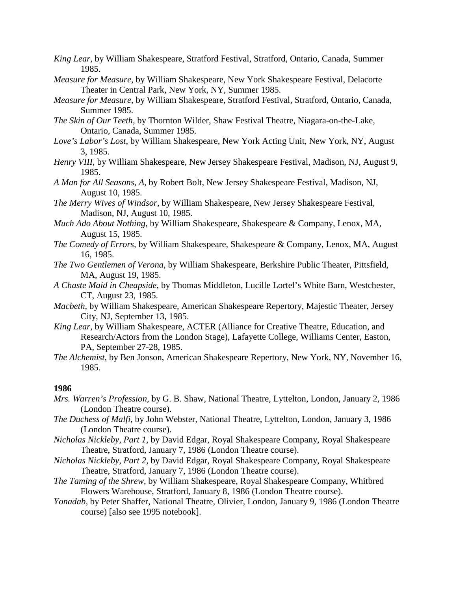- *King Lear*, by William Shakespeare, Stratford Festival, Stratford, Ontario, Canada, Summer 1985.
- *Measure for Measure*, by William Shakespeare, New York Shakespeare Festival, Delacorte Theater in Central Park, New York, NY, Summer 1985.
- *Measure for Measure*, by William Shakespeare, Stratford Festival, Stratford, Ontario, Canada, Summer 1985.
- *The Skin of Our Teeth,* by Thornton Wilder, Shaw Festival Theatre, Niagara-on-the-Lake, Ontario, Canada, Summer 1985.
- *Love's Labor's Lost*, by William Shakespeare, New York Acting Unit, New York, NY, August 3, 1985.
- *Henry VIII*, by William Shakespeare, New Jersey Shakespeare Festival, Madison, NJ, August 9, 1985.
- *A Man for All Seasons, A,* by Robert Bolt, New Jersey Shakespeare Festival, Madison, NJ, August 10, 1985.
- *The Merry Wives of Windsor,* by William Shakespeare, New Jersey Shakespeare Festival, Madison, NJ, August 10, 1985.
- *Much Ado About Nothing*, by William Shakespeare, Shakespeare & Company, Lenox, MA, August 15, 1985.
- *The Comedy of Errors,* by William Shakespeare, Shakespeare & Company, Lenox, MA, August 16, 1985.
- *The Two Gentlemen of Verona,* by William Shakespeare, Berkshire Public Theater, Pittsfield, MA, August 19, 1985.
- *A Chaste Maid in Cheapside,* by Thomas Middleton, Lucille Lortel's White Barn, Westchester, CT, August 23, 1985.
- *Macbeth*, by William Shakespeare, American Shakespeare Repertory, Majestic Theater, Jersey City, NJ, September 13, 1985.
- *King Lear*, by William Shakespeare, ACTER (Alliance for Creative Theatre, Education, and Research/Actors from the London Stage), Lafayette College, Williams Center, Easton, PA, September 27-28, 1985.
- *The Alchemist,* by Ben Jonson, American Shakespeare Repertory, New York, NY, November 16, 1985.

- *Mrs. Warren's Profession*, by G. B. Shaw, National Theatre, Lyttelton, London, January 2, 1986 (London Theatre course).
- *The Duchess of Malfi,* by John Webster, National Theatre, Lyttelton, London, January 3, 1986 (London Theatre course).
- *Nicholas Nickleby, Part 1,* by David Edgar, Royal Shakespeare Company, Royal Shakespeare Theatre, Stratford, January 7, 1986 (London Theatre course).
- *Nicholas Nickleby, Part 2,* by David Edgar, Royal Shakespeare Company, Royal Shakespeare Theatre, Stratford, January 7, 1986 (London Theatre course).
- *The Taming of the Shrew,* by William Shakespeare, Royal Shakespeare Company, Whitbred Flowers Warehouse, Stratford, January 8, 1986 (London Theatre course).
- *Yonadab*, by Peter Shaffer, National Theatre, Olivier, London, January 9, 1986 (London Theatre course) [also see 1995 notebook].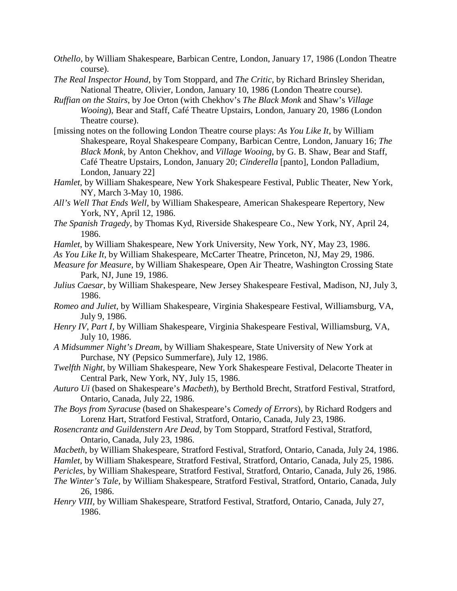- *Othello*, by William Shakespeare, Barbican Centre, London, January 17, 1986 (London Theatre course).
- *The Real Inspector Hound,* by Tom Stoppard, and *The Critic*, by Richard Brinsley Sheridan, National Theatre, Olivier, London, January 10, 1986 (London Theatre course).
- *Ruffian on the Stairs*, by Joe Orton (with Chekhov's *The Black Monk* and Shaw's *Village Wooing*), Bear and Staff, Café Theatre Upstairs, London, January 20, 1986 (London Theatre course).
- [missing notes on the following London Theatre course plays: *As You Like It*, by William Shakespeare, Royal Shakespeare Company, Barbican Centre, London, January 16; *The Black Monk*, by Anton Chekhov, and *Village Wooing*, by G. B. Shaw, Bear and Staff, Café Theatre Upstairs, London, January 20; *Cinderella* [panto], London Palladium, London, January 22]
- *Hamlet*, by William Shakespeare, New York Shakespeare Festival, Public Theater, New York, NY, March 3-May 10, 1986.
- *All's Well That Ends Well*, by William Shakespeare, American Shakespeare Repertory, New York, NY, April 12, 1986.
- *The Spanish Tragedy*, by Thomas Kyd, Riverside Shakespeare Co., New York, NY, April 24, 1986.
- *Hamlet*, by William Shakespeare, New York University, New York, NY, May 23, 1986.
- *As You Like It*, by William Shakespeare, McCarter Theatre, Princeton, NJ, May 29, 1986.
- *Measure for Measure*, by William Shakespeare, Open Air Theatre, Washington Crossing State Park, NJ, June 19, 1986.
- *Julius Caesar*, by William Shakespeare, New Jersey Shakespeare Festival, Madison, NJ, July 3, 1986.
- *Romeo and Juliet,* by William Shakespeare, Virginia Shakespeare Festival, Williamsburg, VA, July 9, 1986.
- *Henry IV, Part I,* by William Shakespeare, Virginia Shakespeare Festival, Williamsburg, VA, July 10, 1986.
- *A Midsummer Night's Dream,* by William Shakespeare, State University of New York at Purchase, NY (Pepsico Summerfare), July 12, 1986.
- *Twelfth Night*, by William Shakespeare, New York Shakespeare Festival, Delacorte Theater in Central Park, New York, NY, July 15, 1986.
- *Auturo Ui* (based on Shakespeare's *Macbeth*), by Berthold Brecht, Stratford Festival, Stratford, Ontario, Canada, July 22, 1986.
- *The Boys from Syracuse* (based on Shakespeare's *Comedy of Errors*), by Richard Rodgers and Lorenz Hart, Stratford Festival, Stratford, Ontario, Canada, July 23, 1986.
- *Rosencrantz and Guildenstern Are Dead,* by Tom Stoppard, Stratford Festival, Stratford, Ontario, Canada, July 23, 1986.
- *Macbeth,* by William Shakespeare, Stratford Festival, Stratford, Ontario, Canada, July 24, 1986.
- *Hamlet*, by William Shakespeare, Stratford Festival, Stratford, Ontario, Canada, July 25, 1986.
- *Pericles*, by William Shakespeare, Stratford Festival, Stratford, Ontario, Canada, July 26, 1986.
- *The Winter's Tale,* by William Shakespeare, Stratford Festival, Stratford, Ontario, Canada, July 26, 1986.
- *Henry VIII,* by William Shakespeare, Stratford Festival, Stratford, Ontario, Canada, July 27, 1986.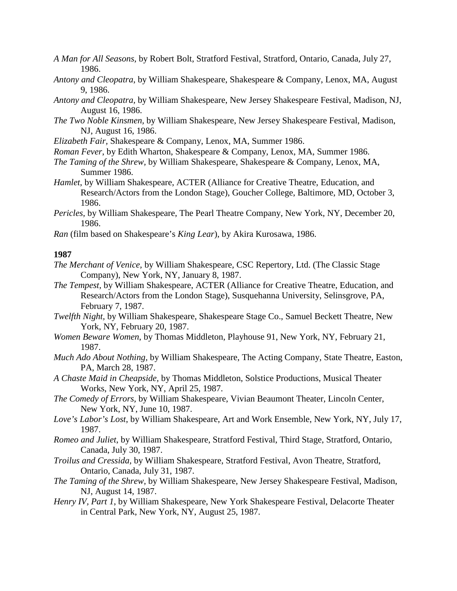- *A Man for All Seasons,* by Robert Bolt, Stratford Festival, Stratford, Ontario, Canada, July 27, 1986.
- *Antony and Cleopatra*, by William Shakespeare, Shakespeare & Company, Lenox, MA, August 9, 1986.
- *Antony and Cleopatra,* by William Shakespeare, New Jersey Shakespeare Festival, Madison, NJ, August 16, 1986.
- *The Two Noble Kinsmen,* by William Shakespeare, New Jersey Shakespeare Festival, Madison, NJ, August 16, 1986.
- *Elizabeth Fair,* Shakespeare & Company, Lenox, MA, Summer 1986.
- *Roman Fever*, by Edith Wharton, Shakespeare & Company, Lenox, MA, Summer 1986.
- *The Taming of the Shrew,* by William Shakespeare, Shakespeare & Company, Lenox, MA, Summer 1986.
- *Hamlet*, by William Shakespeare, ACTER (Alliance for Creative Theatre, Education, and Research/Actors from the London Stage), Goucher College, Baltimore, MD, October 3, 1986.
- *Pericles,* by William Shakespeare, The Pearl Theatre Company, New York, NY, December 20, 1986.
- *Ran* (film based on Shakespeare's *King Lear*), by Akira Kurosawa, 1986.

- *The Merchant of Venice,* by William Shakespeare, CSC Repertory, Ltd. (The Classic Stage Company), New York, NY, January 8, 1987.
- *The Tempest,* by William Shakespeare, ACTER (Alliance for Creative Theatre, Education, and Research/Actors from the London Stage), Susquehanna University, Selinsgrove, PA, February 7, 1987.
- *Twelfth Night,* by William Shakespeare, Shakespeare Stage Co., Samuel Beckett Theatre, New York, NY, February 20, 1987.
- *Women Beware Women*, by Thomas Middleton, Playhouse 91, New York, NY, February 21, 1987.
- *Much Ado About Nothing,* by William Shakespeare, The Acting Company, State Theatre, Easton, PA, March 28, 1987.
- *A Chaste Maid in Cheapside,* by Thomas Middleton, Solstice Productions, Musical Theater Works, New York, NY, April 25, 1987.
- *The Comedy of Errors,* by William Shakespeare, Vivian Beaumont Theater, Lincoln Center, New York, NY, June 10, 1987.
- *Love's Labor's Lost*, by William Shakespeare, Art and Work Ensemble, New York, NY, July 17, 1987.
- *Romeo and Juliet*, by William Shakespeare, Stratford Festival, Third Stage, Stratford, Ontario, Canada, July 30, 1987.
- *Troilus and Cressida,* by William Shakespeare, Stratford Festival, Avon Theatre, Stratford, Ontario, Canada, July 31, 1987.
- *The Taming of the Shrew,* by William Shakespeare, New Jersey Shakespeare Festival, Madison, NJ, August 14, 1987.
- *Henry IV, Part 1*, by William Shakespeare, New York Shakespeare Festival, Delacorte Theater in Central Park, New York, NY, August 25, 1987.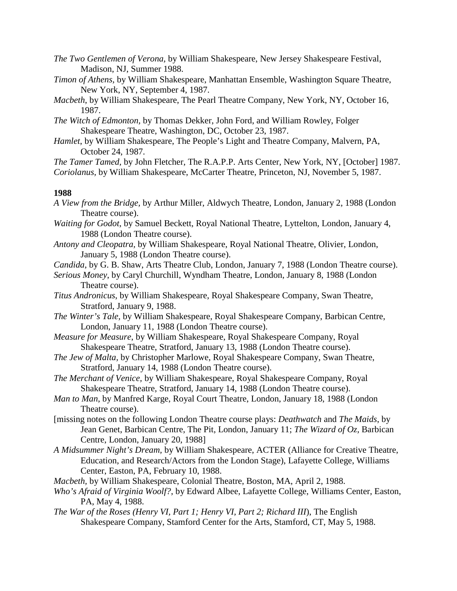- *The Two Gentlemen of Verona,* by William Shakespeare, New Jersey Shakespeare Festival, Madison, NJ, Summer 1988.
- *Timon of Athens,* by William Shakespeare, Manhattan Ensemble, Washington Square Theatre, New York, NY, September 4, 1987.
- *Macbeth*, by William Shakespeare, The Pearl Theatre Company, New York, NY, October 16, 1987.
- *The Witch of Edmonton,* by Thomas Dekker, John Ford, and William Rowley, Folger Shakespeare Theatre, Washington, DC, October 23, 1987.
- *Hamlet*, by William Shakespeare, The People's Light and Theatre Company, Malvern, PA, October 24, 1987.

*The Tamer Tamed,* by John Fletcher, The R.A.P.P. Arts Center, New York, NY, [October] 1987.

*Coriolanus,* by William Shakespeare, McCarter Theatre, Princeton, NJ, November 5, 1987.

- *A View from the Bridge,* by Arthur Miller, Aldwych Theatre, London, January 2, 1988 (London Theatre course).
- *Waiting for Godot*, by Samuel Beckett, Royal National Theatre, Lyttelton, London, January 4, 1988 (London Theatre course).
- *Antony and Cleopatra,* by William Shakespeare, Royal National Theatre, Olivier, London, January 5, 1988 (London Theatre course).
- *Candida*, by G. B. Shaw, Arts Theatre Club, London, January 7, 1988 (London Theatre course).
- *Serious Money*, by Caryl Churchill, Wyndham Theatre, London, January 8, 1988 (London Theatre course).
- *Titus Andronicus*, by William Shakespeare, Royal Shakespeare Company, Swan Theatre, Stratford, January 9, 1988.
- *The Winter's Tale,* by William Shakespeare, Royal Shakespeare Company, Barbican Centre, London, January 11, 1988 (London Theatre course).
- *Measure for Measure*, by William Shakespeare, Royal Shakespeare Company, Royal Shakespeare Theatre, Stratford, January 13, 1988 (London Theatre course).
- *The Jew of Malta,* by Christopher Marlowe, Royal Shakespeare Company, Swan Theatre, Stratford, January 14, 1988 (London Theatre course).
- *The Merchant of Venice,* by William Shakespeare, Royal Shakespeare Company, Royal Shakespeare Theatre, Stratford, January 14, 1988 (London Theatre course).
- *Man to Man*, by Manfred Karge, Royal Court Theatre, London, January 18, 1988 (London Theatre course).
- [missing notes on the following London Theatre course plays: *Deathwatch* and *The Maids*, by Jean Genet, Barbican Centre, The Pit, London, January 11; *The Wizard of Oz,* Barbican Centre, London, January 20, 1988]
- *A Midsummer Night's Dream,* by William Shakespeare, ACTER (Alliance for Creative Theatre, Education, and Research/Actors from the London Stage), Lafayette College, Williams Center, Easton, PA, February 10, 1988.
- *Macbeth,* by William Shakespeare, Colonial Theatre, Boston, MA, April 2, 1988.
- *Who's Afraid of Virginia Woolf?*, by Edward Albee, Lafayette College, Williams Center, Easton, PA, May 4, 1988.
- *The War of the Roses (Henry VI, Part 1; Henry VI, Part 2; Richard III*), The English Shakespeare Company, Stamford Center for the Arts, Stamford, CT, May 5, 1988.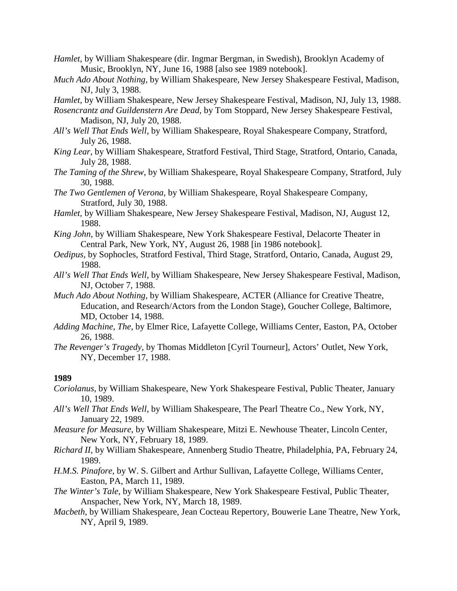- *Hamlet,* by William Shakespeare (dir. Ingmar Bergman, in Swedish), Brooklyn Academy of Music, Brooklyn, NY, June 16, 1988 [also see 1989 notebook].
- *Much Ado About Nothing,* by William Shakespeare, New Jersey Shakespeare Festival, Madison, NJ, July 3, 1988.
- *Hamlet,* by William Shakespeare, New Jersey Shakespeare Festival, Madison, NJ, July 13, 1988.
- *Rosencrantz and Guildenstern Are Dead,* by Tom Stoppard, New Jersey Shakespeare Festival, Madison, NJ, July 20, 1988.
- *All's Well That Ends Well,* by William Shakespeare, Royal Shakespeare Company, Stratford, July 26, 1988.
- *King Lear,* by William Shakespeare, Stratford Festival, Third Stage, Stratford, Ontario, Canada, July 28, 1988.
- *The Taming of the Shrew,* by William Shakespeare, Royal Shakespeare Company, Stratford, July 30, 1988.
- *The Two Gentlemen of Verona,* by William Shakespeare, Royal Shakespeare Company, Stratford, July 30, 1988.
- *Hamlet,* by William Shakespeare, New Jersey Shakespeare Festival, Madison, NJ, August 12, 1988.
- *King John,* by William Shakespeare, New York Shakespeare Festival, Delacorte Theater in Central Park, New York, NY, August 26, 1988 [in 1986 notebook].
- *Oedipus,* by Sophocles, Stratford Festival, Third Stage, Stratford, Ontario, Canada, August 29, 1988.
- *All's Well That Ends Well,* by William Shakespeare, New Jersey Shakespeare Festival, Madison, NJ, October 7, 1988.
- *Much Ado About Nothing,* by William Shakespeare, ACTER (Alliance for Creative Theatre, Education, and Research/Actors from the London Stage), Goucher College, Baltimore, MD, October 14, 1988.
- *Adding Machine, The,* by Elmer Rice, Lafayette College, Williams Center, Easton, PA, October 26, 1988.
- *The Revenger's Tragedy,* by Thomas Middleton [Cyril Tourneur], Actors' Outlet, New York, NY, December 17, 1988.

- *Coriolanus*, by William Shakespeare, New York Shakespeare Festival, Public Theater, January 10, 1989.
- *All's Well That Ends Well*, by William Shakespeare, The Pearl Theatre Co., New York, NY, January 22, 1989.
- *Measure for Measure,* by William Shakespeare, Mitzi E. Newhouse Theater, Lincoln Center, New York, NY, February 18, 1989.
- *Richard II,* by William Shakespeare, Annenberg Studio Theatre, Philadelphia, PA, February 24, 1989.
- *H.M.S. Pinafore,* by W. S. Gilbert and Arthur Sullivan, Lafayette College, Williams Center, Easton, PA, March 11, 1989.
- *The Winter's Tale,* by William Shakespeare, New York Shakespeare Festival, Public Theater, Anspacher, New York, NY, March 18, 1989.
- *Macbeth*, by William Shakespeare, Jean Cocteau Repertory, Bouwerie Lane Theatre, New York, NY, April 9, 1989.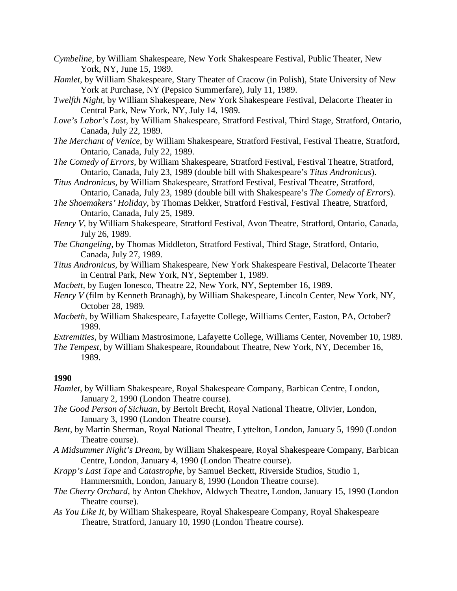- *Cymbeline,* by William Shakespeare, New York Shakespeare Festival, Public Theater, New York, NY, June 15, 1989.
- *Hamlet,* by William Shakespeare, Stary Theater of Cracow (in Polish), State University of New York at Purchase, NY (Pepsico Summerfare), July 11, 1989.
- *Twelfth Night,* by William Shakespeare, New York Shakespeare Festival, Delacorte Theater in Central Park, New York, NY, July 14, 1989.
- *Love's Labor's Lost,* by William Shakespeare, Stratford Festival, Third Stage, Stratford, Ontario, Canada, July 22, 1989.
- *The Merchant of Venice,* by William Shakespeare, Stratford Festival, Festival Theatre, Stratford, Ontario, Canada, July 22, 1989.
- *The Comedy of Errors,* by William Shakespeare, Stratford Festival, Festival Theatre, Stratford, Ontario, Canada, July 23, 1989 (double bill with Shakespeare's *Titus Andronicus*).
- *Titus Andronicus,* by William Shakespeare, Stratford Festival, Festival Theatre, Stratford, Ontario, Canada, July 23, 1989 (double bill with Shakespeare's *The Comedy of Errors*).
- *The Shoemakers' Holiday,* by Thomas Dekker, Stratford Festival, Festival Theatre, Stratford, Ontario, Canada, July 25, 1989.
- *Henry V,* by William Shakespeare, Stratford Festival, Avon Theatre, Stratford, Ontario, Canada, July 26, 1989.
- *The Changeling,* by Thomas Middleton, Stratford Festival, Third Stage, Stratford, Ontario, Canada, July 27, 1989.
- *Titus Andronicus,* by William Shakespeare, New York Shakespeare Festival, Delacorte Theater in Central Park, New York, NY, September 1, 1989.
- *Macbett,* by Eugen Ionesco, Theatre 22, New York, NY, September 16, 1989.
- *Henry V* (film by Kenneth Branagh), by William Shakespeare, Lincoln Center, New York, NY, October 28, 1989*.*
- *Macbeth,* by William Shakespeare, Lafayette College, Williams Center, Easton, PA, October? 1989.
- *Extremities,* by William Mastrosimone, Lafayette College, Williams Center, November 10, 1989.
- *The Tempest,* by William Shakespeare, Roundabout Theatre, New York, NY, December 16, 1989.

- *Hamlet*, by William Shakespeare, Royal Shakespeare Company, Barbican Centre, London, January 2, 1990 (London Theatre course).
- *The Good Person of Sichuan,* by Bertolt Brecht, Royal National Theatre, Olivier, London, January 3, 1990 (London Theatre course).
- *Bent*, by Martin Sherman, Royal National Theatre, Lyttelton, London, January 5, 1990 (London Theatre course).
- *A Midsummer Night's Dream,* by William Shakespeare, Royal Shakespeare Company, Barbican Centre, London, January 4, 1990 (London Theatre course).
- *Krapp's Last Tape* and *Catastrophe*, by Samuel Beckett, Riverside Studios, Studio 1, Hammersmith, London, January 8, 1990 (London Theatre course).
- *The Cherry Orchard,* by Anton Chekhov, Aldwych Theatre, London, January 15, 1990 (London Theatre course).
- *As You Like It*, by William Shakespeare, Royal Shakespeare Company, Royal Shakespeare Theatre, Stratford, January 10, 1990 (London Theatre course).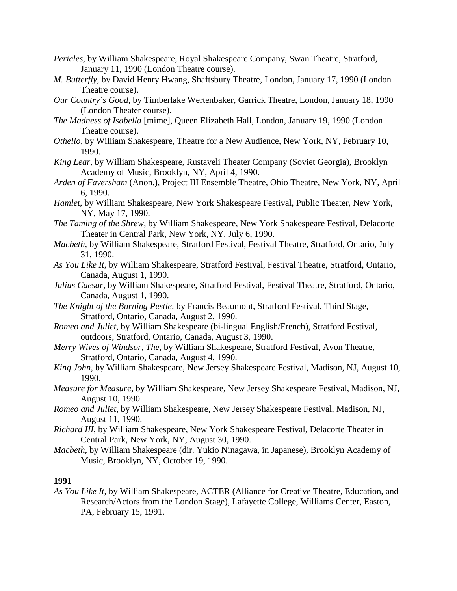- *Pericles*, by William Shakespeare, Royal Shakespeare Company, Swan Theatre, Stratford, January 11, 1990 (London Theatre course).
- *M. Butterfly*, by David Henry Hwang, Shaftsbury Theatre, London, January 17, 1990 (London Theatre course).
- *Our Country's Good*, by Timberlake Wertenbaker, Garrick Theatre, London, January 18, 1990 (London Theater course).
- *The Madness of Isabella* [mime], Queen Elizabeth Hall, London, January 19, 1990 (London Theatre course).
- *Othello,* by William Shakespeare, Theatre for a New Audience, New York, NY, February 10, 1990.
- *King Lear*, by William Shakespeare, Rustaveli Theater Company (Soviet Georgia), Brooklyn Academy of Music, Brooklyn, NY, April 4, 1990.
- *Arden of Faversham* (Anon.), Project III Ensemble Theatre, Ohio Theatre, New York, NY, April 6, 1990.
- *Hamlet*, by William Shakespeare, New York Shakespeare Festival, Public Theater, New York, NY, May 17, 1990.
- *The Taming of the Shrew,* by William Shakespeare, New York Shakespeare Festival, Delacorte Theater in Central Park, New York, NY, July 6, 1990.
- *Macbeth,* by William Shakespeare, Stratford Festival, Festival Theatre, Stratford, Ontario, July 31, 1990.
- *As You Like It*, by William Shakespeare, Stratford Festival, Festival Theatre, Stratford, Ontario, Canada, August 1, 1990.
- *Julius Caesar,* by William Shakespeare, Stratford Festival, Festival Theatre, Stratford, Ontario, Canada, August 1, 1990.
- *The Knight of the Burning Pestle,* by Francis Beaumont, Stratford Festival, Third Stage, Stratford, Ontario, Canada, August 2, 1990.
- *Romeo and Juliet,* by William Shakespeare (bi-lingual English/French), Stratford Festival, outdoors, Stratford, Ontario, Canada, August 3, 1990.
- *Merry Wives of Windsor, The,* by William Shakespeare, Stratford Festival, Avon Theatre, Stratford, Ontario, Canada, August 4, 1990.
- *King John,* by William Shakespeare, New Jersey Shakespeare Festival, Madison, NJ, August 10, 1990.
- *Measure for Measure,* by William Shakespeare, New Jersey Shakespeare Festival, Madison, NJ, August 10, 1990.
- *Romeo and Juliet,* by William Shakespeare, New Jersey Shakespeare Festival, Madison, NJ, August 11, 1990.
- *Richard III*, by William Shakespeare, New York Shakespeare Festival, Delacorte Theater in Central Park, New York, NY, August 30, 1990.
- *Macbeth,* by William Shakespeare (dir. Yukio Ninagawa, in Japanese), Brooklyn Academy of Music, Brooklyn, NY, October 19, 1990.

*As You Like It*, by William Shakespeare, ACTER (Alliance for Creative Theatre, Education, and Research/Actors from the London Stage), Lafayette College, Williams Center, Easton, PA, February 15, 1991.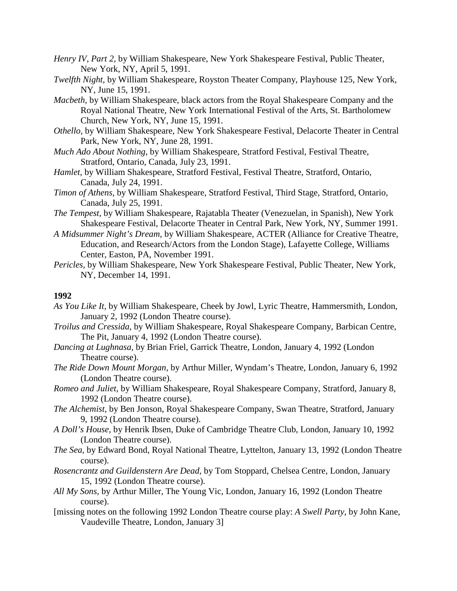- *Henry IV, Part 2,* by William Shakespeare, New York Shakespeare Festival, Public Theater, New York, NY, April 5, 1991.
- *Twelfth Night,* by William Shakespeare, Royston Theater Company, Playhouse 125, New York, NY, June 15, 1991.
- *Macbeth,* by William Shakespeare, black actors from the Royal Shakespeare Company and the Royal National Theatre, New York International Festival of the Arts, St. Bartholomew Church, New York, NY, June 15, 1991.
- *Othello,* by William Shakespeare, New York Shakespeare Festival, Delacorte Theater in Central Park, New York, NY, June 28, 1991.
- *Much Ado About Nothing,* by William Shakespeare, Stratford Festival, Festival Theatre, Stratford, Ontario, Canada, July 23, 1991.
- *Hamlet,* by William Shakespeare, Stratford Festival, Festival Theatre, Stratford, Ontario, Canada, July 24, 1991.
- *Timon of Athens,* by William Shakespeare, Stratford Festival, Third Stage, Stratford, Ontario, Canada, July 25, 1991.
- *The Tempest,* by William Shakespeare, Rajatabla Theater (Venezuelan, in Spanish), New York Shakespeare Festival, Delacorte Theater in Central Park, New York, NY, Summer 1991.
- *A Midsummer Night's Dream,* by William Shakespeare, ACTER (Alliance for Creative Theatre, Education, and Research/Actors from the London Stage), Lafayette College, Williams Center, Easton, PA, November 1991.
- *Pericles,* by William Shakespeare, New York Shakespeare Festival, Public Theater, New York, NY, December 14, 1991.

- *As You Like It,* by William Shakespeare, Cheek by Jowl, Lyric Theatre, Hammersmith, London, January 2, 1992 (London Theatre course).
- *Troilus and Cressida,* by William Shakespeare, Royal Shakespeare Company, Barbican Centre, The Pit, January 4, 1992 (London Theatre course).
- *Dancing at Lughnasa,* by Brian Friel, Garrick Theatre, London, January 4, 1992 (London Theatre course).
- *The Ride Down Mount Morgan,* by Arthur Miller, Wyndam's Theatre, London, January 6, 1992 (London Theatre course).
- *Romeo and Juliet,* by William Shakespeare, Royal Shakespeare Company, Stratford, January 8, 1992 (London Theatre course).
- *The Alchemist,* by Ben Jonson, Royal Shakespeare Company, Swan Theatre, Stratford, January 9, 1992 (London Theatre course).
- *A Doll's House,* by Henrik Ibsen, Duke of Cambridge Theatre Club, London, January 10, 1992 (London Theatre course).
- *The Sea,* by Edward Bond, Royal National Theatre, Lyttelton, January 13, 1992 (London Theatre course).
- *Rosencrantz and Guildenstern Are Dead,* by Tom Stoppard, Chelsea Centre, London, January 15, 1992 (London Theatre course).
- *All My Sons,* by Arthur Miller, The Young Vic, London, January 16, 1992 (London Theatre course).
- [missing notes on the following 1992 London Theatre course play: *A Swell Party*, by John Kane, Vaudeville Theatre, London, January 3]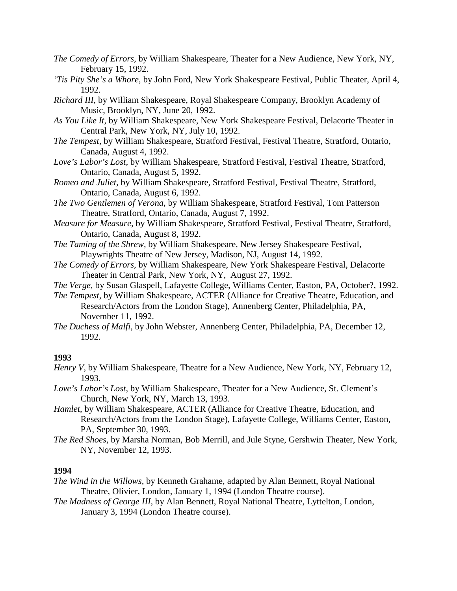- *The Comedy of Errors,* by William Shakespeare, Theater for a New Audience, New York, NY, February 15, 1992.
- *'Tis Pity She's a Whore,* by John Ford, New York Shakespeare Festival, Public Theater, April 4, 1992.
- *Richard III,* by William Shakespeare, Royal Shakespeare Company, Brooklyn Academy of Music, Brooklyn, NY, June 20, 1992.
- *As You Like It,* by William Shakespeare, New York Shakespeare Festival, Delacorte Theater in Central Park, New York, NY, July 10, 1992.
- *The Tempest,* by William Shakespeare, Stratford Festival, Festival Theatre, Stratford, Ontario, Canada, August 4, 1992.
- *Love's Labor's Lost,* by William Shakespeare, Stratford Festival, Festival Theatre, Stratford, Ontario, Canada, August 5, 1992.
- *Romeo and Juliet,* by William Shakespeare, Stratford Festival, Festival Theatre, Stratford, Ontario, Canada, August 6, 1992.
- *The Two Gentlemen of Verona,* by William Shakespeare, Stratford Festival, Tom Patterson Theatre, Stratford, Ontario, Canada, August 7, 1992.
- *Measure for Measure,* by William Shakespeare, Stratford Festival, Festival Theatre, Stratford, Ontario, Canada, August 8, 1992.
- *The Taming of the Shrew,* by William Shakespeare, New Jersey Shakespeare Festival, Playwrights Theatre of New Jersey, Madison, NJ, August 14, 1992.
- *The Comedy of Errors,* by William Shakespeare, New York Shakespeare Festival, Delacorte Theater in Central Park, New York, NY, August 27, 1992.
- *The Verge,* by Susan Glaspell, Lafayette College, Williams Center, Easton, PA, October?, 1992.
- *The Tempest,* by William Shakespeare, ACTER (Alliance for Creative Theatre, Education, and Research/Actors from the London Stage), Annenberg Center, Philadelphia, PA, November 11, 1992.
- *The Duchess of Malfi,* by John Webster, Annenberg Center, Philadelphia, PA, December 12, 1992.

- *Henry V*, by William Shakespeare, Theatre for a New Audience, New York, NY, February 12, 1993.
- *Love's Labor's Lost*, by William Shakespeare, Theater for a New Audience, St. Clement's Church, New York, NY, March 13, 1993.
- *Hamlet*, by William Shakespeare, ACTER (Alliance for Creative Theatre, Education, and Research/Actors from the London Stage), Lafayette College, Williams Center, Easton, PA, September 30, 1993.
- *The Red Shoes,* by Marsha Norman, Bob Merrill, and Jule Styne, Gershwin Theater, New York, NY, November 12, 1993.

- *The Wind in the Willows,* by Kenneth Grahame, adapted by Alan Bennett, Royal National Theatre, Olivier, London, January 1, 1994 (London Theatre course).
- *The Madness of George III,* by Alan Bennett, Royal National Theatre, Lyttelton, London, January 3, 1994 (London Theatre course).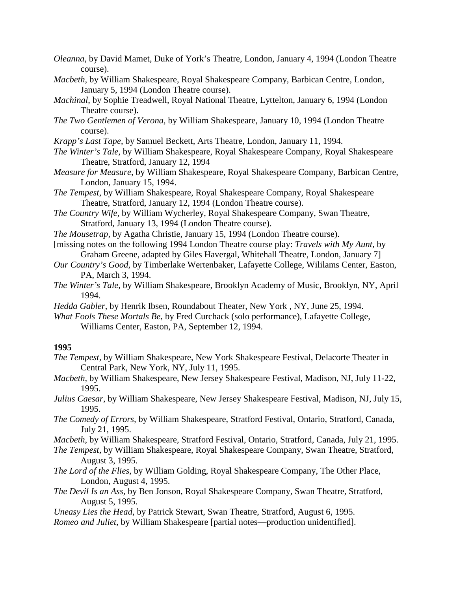- *Oleanna*, by David Mamet, Duke of York's Theatre, London, January 4, 1994 (London Theatre course).
- *Macbeth*, by William Shakespeare, Royal Shakespeare Company, Barbican Centre, London, January 5, 1994 (London Theatre course).
- *Machinal*, by Sophie Treadwell, Royal National Theatre, Lyttelton, January 6, 1994 (London Theatre course).
- *The Two Gentlemen of Verona,* by William Shakespeare, January 10, 1994 (London Theatre course).
- *Krapp's Last Tape*, by Samuel Beckett, Arts Theatre, London, January 11, 1994.
- *The Winter's Tale,* by William Shakespeare, Royal Shakespeare Company, Royal Shakespeare Theatre, Stratford, January 12, 1994
- *Measure for Measure*, by William Shakespeare, Royal Shakespeare Company, Barbican Centre, London, January 15, 1994.
- *The Tempest,* by William Shakespeare, Royal Shakespeare Company, Royal Shakespeare Theatre, Stratford, January 12, 1994 (London Theatre course).
- *The Country Wife,* by William Wycherley, Royal Shakespeare Company, Swan Theatre, Stratford, January 13, 1994 (London Theatre course).
- *The Mousetrap,* by Agatha Christie, January 15, 1994 (London Theatre course).
- [missing notes on the following 1994 London Theatre course play: *Travels with My Aunt*, by Graham Greene, adapted by Giles Havergal, Whitehall Theatre, London, January 7]
- *Our Country's Good*, by Timberlake Wertenbaker, Lafayette College, Wililams Center, Easton, PA, March 3, 1994.
- *The Winter's Tale,* by William Shakespeare, Brooklyn Academy of Music, Brooklyn, NY, April 1994.
- *Hedda Gabler*, by Henrik Ibsen, Roundabout Theater, New York , NY, June 25, 1994.
- *What Fools These Mortals Be*, by Fred Curchack (solo performance), Lafayette College, Williams Center, Easton, PA, September 12, 1994.

- *The Tempest,* by William Shakespeare, New York Shakespeare Festival, Delacorte Theater in Central Park, New York, NY, July 11, 1995.
- *Macbeth,* by William Shakespeare, New Jersey Shakespeare Festival, Madison, NJ, July 11-22, 1995.
- *Julius Caesar*, by William Shakespeare, New Jersey Shakespeare Festival, Madison, NJ, July 15, 1995.
- *The Comedy of Errors,* by William Shakespeare, Stratford Festival, Ontario, Stratford, Canada, July 21, 1995.

*Macbeth*, by William Shakespeare, Stratford Festival, Ontario, Stratford, Canada, July 21, 1995.

*The Tempest,* by William Shakespeare, Royal Shakespeare Company, Swan Theatre, Stratford, August 3, 1995.

- *The Lord of the Flies,* by William Golding, Royal Shakespeare Company, The Other Place, London, August 4, 1995.
- *The Devil Is an Ass,* by Ben Jonson, Royal Shakespeare Company, Swan Theatre, Stratford, August 5, 1995.

*Uneasy Lies the Head*, by Patrick Stewart, Swan Theatre, Stratford, August 6, 1995.

*Romeo and Juliet*, by William Shakespeare [partial notes—production unidentified].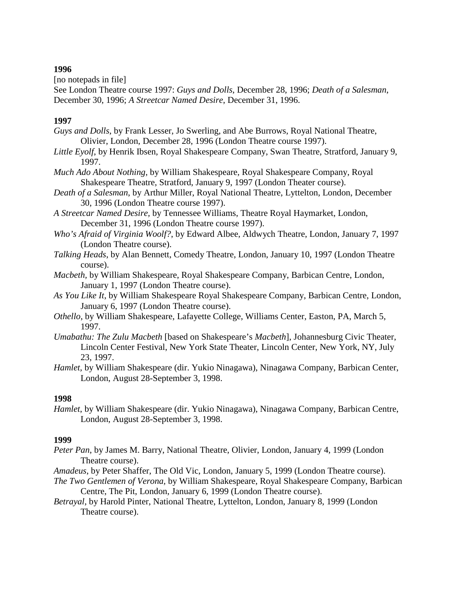[no notepads in file]

See London Theatre course 1997: *Guys and Dolls*, December 28, 1996; *Death of a Salesman*, December 30, 1996; *A Streetcar Named Desire*, December 31, 1996.

# **1997**

- *Guys and Dolls*, by Frank Lesser, Jo Swerling, and Abe Burrows, Royal National Theatre, Olivier, London, December 28, 1996 (London Theatre course 1997).
- *Little Eyolf*, by Henrik Ibsen, Royal Shakespeare Company, Swan Theatre, Stratford, January 9, 1997.
- *Much Ado About Nothing*, by William Shakespeare, Royal Shakespeare Company, Royal Shakespeare Theatre, Stratford, January 9, 1997 (London Theater course).
- *Death of a Salesman*, by Arthur Miller, Royal National Theatre, Lyttelton, London, December 30, 1996 (London Theatre course 1997).
- *A Streetcar Named Desire,* by Tennessee Williams, Theatre Royal Haymarket, London, December 31, 1996 (London Theatre course 1997).
- *Who's Afraid of Virginia Woolf?*, by Edward Albee, Aldwych Theatre, London, January 7, 1997 (London Theatre course).
- *Talking Heads*, by Alan Bennett, Comedy Theatre, London, January 10, 1997 (London Theatre course).
- *Macbeth,* by William Shakespeare, Royal Shakespeare Company, Barbican Centre, London, January 1, 1997 (London Theatre course).
- *As You Like It*, by William Shakespeare Royal Shakespeare Company, Barbican Centre, London, January 6, 1997 (London Theatre course).
- *Othello*, by William Shakespeare, Lafayette College, Williams Center, Easton, PA, March 5, 1997.
- *Umabathu: The Zulu Macbeth* [based on Shakespeare's *Macbeth*], Johannesburg Civic Theater, Lincoln Center Festival, New York State Theater, Lincoln Center, New York, NY, July 23, 1997.
- *Hamlet,* by William Shakespeare (dir. Yukio Ninagawa), Ninagawa Company, Barbican Center, London, August 28-September 3, 1998.

# **1998**

*Hamlet*, by William Shakespeare (dir. Yukio Ninagawa), Ninagawa Company, Barbican Centre, London, August 28-September 3, 1998.

- *Peter Pan*, by James M. Barry, National Theatre, Olivier, London, January 4, 1999 (London Theatre course).
- *Amadeus*, by Peter Shaffer, The Old Vic, London, January 5, 1999 (London Theatre course).
- *The Two Gentlemen of Verona,* by William Shakespeare, Royal Shakespeare Company, Barbican Centre, The Pit, London, January 6, 1999 (London Theatre course).
- *Betrayal*, by Harold Pinter, National Theatre, Lyttelton, London, January 8, 1999 (London Theatre course).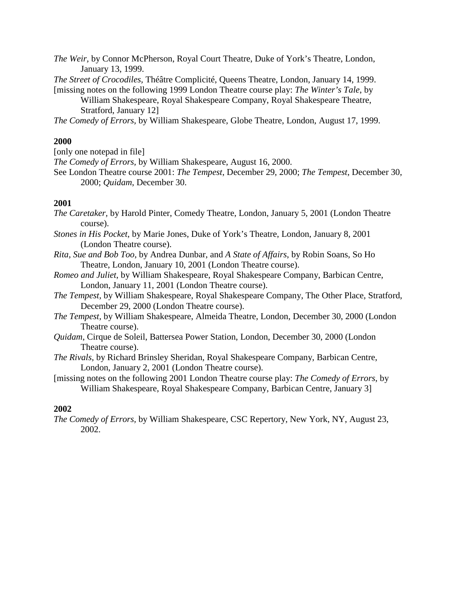*The Weir,* by Connor McPherson, Royal Court Theatre, Duke of York's Theatre, London, January 13, 1999.

*The Street of Crocodiles,* Théâtre Complicité, Queens Theatre, London, January 14, 1999.

[missing notes on the following 1999 London Theatre course play: *The Winter's Tale*, by William Shakespeare, Royal Shakespeare Company, Royal Shakespeare Theatre, Stratford, January 12]

*The Comedy of Errors,* by William Shakespeare, Globe Theatre, London, August 17, 1999.

# **2000**

[only one notepad in file]

*The Comedy of Errors,* by William Shakespeare, August 16, 2000.

See London Theatre course 2001: *The Tempest*, December 29, 2000; *The Tempest*, December 30, 2000; *Quidam*, December 30.

# **2001**

- *The Caretaker,* by Harold Pinter, Comedy Theatre, London, January 5, 2001 (London Theatre course).
- *Stones in His Pocket*, by Marie Jones, Duke of York's Theatre, London, January 8, 2001 (London Theatre course).
- *Rita, Sue and Bob Too*, by Andrea Dunbar, and *A State of Affairs*, by Robin Soans, So Ho Theatre, London, January 10, 2001 (London Theatre course).
- *Romeo and Juliet*, by William Shakespeare, Royal Shakespeare Company, Barbican Centre, London, January 11, 2001 (London Theatre course).
- *The Tempest,* by William Shakespeare, Royal Shakespeare Company, The Other Place, Stratford, December 29, 2000 (London Theatre course).
- *The Tempest,* by William Shakespeare, Almeida Theatre, London, December 30, 2000 (London Theatre course).
- *Quidam*, Cirque de Soleil, Battersea Power Station, London, December 30, 2000 (London Theatre course).
- *The Rivals,* by Richard Brinsley Sheridan, Royal Shakespeare Company, Barbican Centre, London, January 2, 2001 (London Theatre course).

[missing notes on the following 2001 London Theatre course play: *The Comedy of Errors*, by William Shakespeare, Royal Shakespeare Company, Barbican Centre, January 3]

# **2002**

*The Comedy of Errors,* by William Shakespeare, CSC Repertory, New York, NY, August 23, 2002.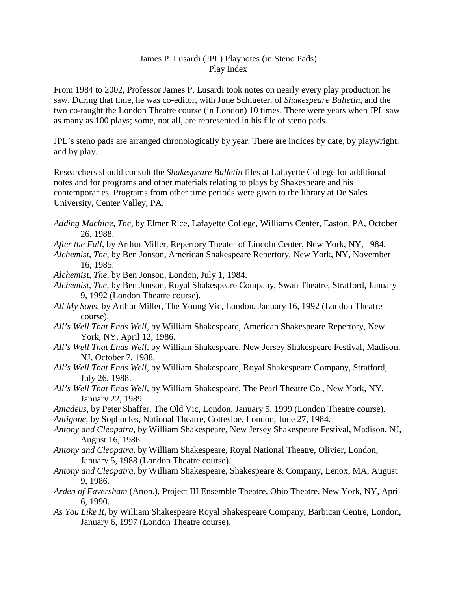# James P. Lusardi (JPL) Playnotes (in Steno Pads) Play Index

From 1984 to 2002, Professor James P. Lusardi took notes on nearly every play production he saw. During that time, he was co-editor, with June Schlueter, of *Shakespeare Bulletin*, and the two co-taught the London Theatre course (in London) 10 times. There were years when JPL saw as many as 100 plays; some, not all, are represented in his file of steno pads.

JPL's steno pads are arranged chronologically by year. There are indices by date, by playwright, and by play.

Researchers should consult the *Shakespeare Bulletin* files at Lafayette College for additional notes and for programs and other materials relating to plays by Shakespeare and his contemporaries. Programs from other time periods were given to the library at De Sales University, Center Valley, PA.

- *Adding Machine, The,* by Elmer Rice, Lafayette College, Williams Center, Easton, PA, October 26, 1988.
- *After the Fall*, by Arthur Miller, Repertory Theater of Lincoln Center, New York, NY, 1984.
- *Alchemist, The,* by Ben Jonson, American Shakespeare Repertory, New York, NY, November 16, 1985.
- *Alchemist, The,* by Ben Jonson, London, July 1, 1984.
- *Alchemist, The,* by Ben Jonson, Royal Shakespeare Company, Swan Theatre, Stratford, January 9, 1992 (London Theatre course).
- *All My Sons,* by Arthur Miller, The Young Vic, London, January 16, 1992 (London Theatre course).
- *All's Well That Ends Well*, by William Shakespeare, American Shakespeare Repertory, New York, NY, April 12, 1986.
- *All's Well That Ends Well,* by William Shakespeare, New Jersey Shakespeare Festival, Madison, NJ, October 7, 1988.
- *All's Well That Ends Well,* by William Shakespeare, Royal Shakespeare Company, Stratford, July 26, 1988.
- *All's Well That Ends Well*, by William Shakespeare, The Pearl Theatre Co., New York, NY, January 22, 1989.
- *Amadeus*, by Peter Shaffer, The Old Vic, London, January 5, 1999 (London Theatre course).

*Antigone*, by Sophocles, National Theatre, Cottesloe, London, June 27, 1984.

- *Antony and Cleopatra,* by William Shakespeare, New Jersey Shakespeare Festival, Madison, NJ, August 16, 1986.
- *Antony and Cleopatra,* by William Shakespeare, Royal National Theatre, Olivier, London, January 5, 1988 (London Theatre course).
- *Antony and Cleopatra*, by William Shakespeare, Shakespeare & Company, Lenox, MA, August 9, 1986.
- *Arden of Faversham* (Anon.), Project III Ensemble Theatre, Ohio Theatre, New York, NY, April 6, 1990.
- *As You Like It*, by William Shakespeare Royal Shakespeare Company, Barbican Centre, London, January 6, 1997 (London Theatre course).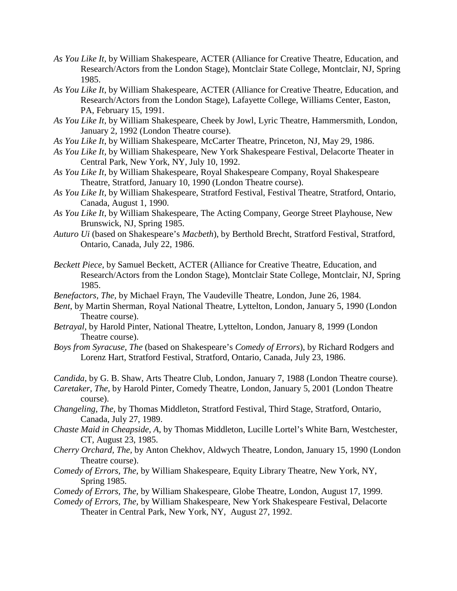- *As You Like It*, by William Shakespeare, ACTER (Alliance for Creative Theatre, Education, and Research/Actors from the London Stage), Montclair State College, Montclair, NJ, Spring 1985.
- *As You Like It*, by William Shakespeare, ACTER (Alliance for Creative Theatre, Education, and Research/Actors from the London Stage), Lafayette College, Williams Center, Easton, PA, February 15, 1991.
- *As You Like It,* by William Shakespeare, Cheek by Jowl, Lyric Theatre, Hammersmith, London, January 2, 1992 (London Theatre course).
- *As You Like It*, by William Shakespeare, McCarter Theatre, Princeton, NJ, May 29, 1986.
- *As You Like It,* by William Shakespeare, New York Shakespeare Festival, Delacorte Theater in Central Park, New York, NY, July 10, 1992.
- *As You Like It*, by William Shakespeare, Royal Shakespeare Company, Royal Shakespeare Theatre, Stratford, January 10, 1990 (London Theatre course).
- *As You Like It*, by William Shakespeare, Stratford Festival, Festival Theatre, Stratford, Ontario, Canada, August 1, 1990.
- *As You Like It*, by William Shakespeare, The Acting Company, George Street Playhouse, New Brunswick, NJ, Spring 1985.
- *Auturo Ui* (based on Shakespeare's *Macbeth*), by Berthold Brecht, Stratford Festival, Stratford, Ontario, Canada, July 22, 1986.
- *Beckett Piece*, by Samuel Beckett, ACTER (Alliance for Creative Theatre, Education, and Research/Actors from the London Stage), Montclair State College, Montclair, NJ, Spring 1985.
- *Benefactors, The,* by Michael Frayn, The Vaudeville Theatre, London, June 26, 1984.
- *Bent*, by Martin Sherman, Royal National Theatre, Lyttelton, London, January 5, 1990 (London Theatre course).
- *Betrayal*, by Harold Pinter, National Theatre, Lyttelton, London, January 8, 1999 (London Theatre course).
- *Boys from Syracuse, The* (based on Shakespeare's *Comedy of Errors*), by Richard Rodgers and Lorenz Hart, Stratford Festival, Stratford, Ontario, Canada, July 23, 1986.

*Candida*, by G. B. Shaw, Arts Theatre Club, London, January 7, 1988 (London Theatre course).

- *Caretaker, The,* by Harold Pinter, Comedy Theatre, London, January 5, 2001 (London Theatre course).
- *Changeling, The,* by Thomas Middleton, Stratford Festival, Third Stage, Stratford, Ontario, Canada, July 27, 1989.
- *Chaste Maid in Cheapside, A,* by Thomas Middleton, Lucille Lortel's White Barn, Westchester, CT, August 23, 1985.
- *Cherry Orchard, The,* by Anton Chekhov, Aldwych Theatre, London, January 15, 1990 (London Theatre course).
- *Comedy of Errors, The,* by William Shakespeare, Equity Library Theatre, New York, NY, Spring 1985.
- *Comedy of Errors, The,* by William Shakespeare, Globe Theatre, London, August 17, 1999.
- *Comedy of Errors, The,* by William Shakespeare, New York Shakespeare Festival, Delacorte Theater in Central Park, New York, NY, August 27, 1992.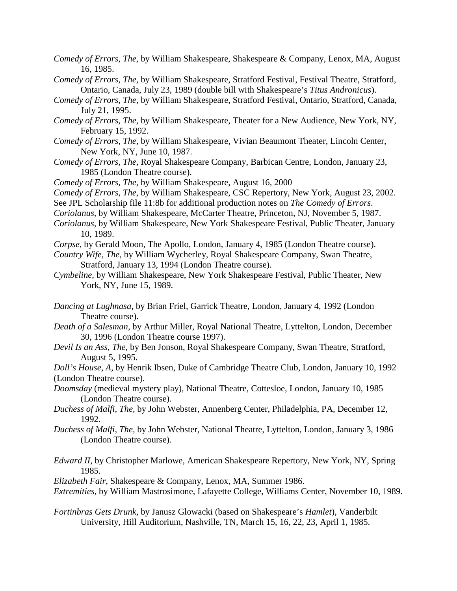- *Comedy of Errors, The,* by William Shakespeare, Shakespeare & Company, Lenox, MA, August 16, 1985.
- *Comedy of Errors, The,* by William Shakespeare, Stratford Festival, Festival Theatre, Stratford, Ontario, Canada, July 23, 1989 (double bill with Shakespeare's *Titus Andronicus*).
- *Comedy of Errors, The,* by William Shakespeare, Stratford Festival, Ontario, Stratford, Canada, July 21, 1995.
- *Comedy of Errors, The,* by William Shakespeare, Theater for a New Audience, New York, NY, February 15, 1992.
- *Comedy of Errors, The,* by William Shakespeare, Vivian Beaumont Theater, Lincoln Center, New York, NY, June 10, 1987.
- *Comedy of Errors, The,* Royal Shakespeare Company, Barbican Centre, London, January 23, 1985 (London Theatre course).
- *Comedy of Errors, The*, by William Shakespeare, August 16, 2000
- *Comedy of Errors, The*, by William Shakespeare, CSC Repertory, New York, August 23, 2002.
- See JPL Scholarship file 11:8b for additional production notes on *The Comedy of Errors*.
- *Coriolanus,* by William Shakespeare, McCarter Theatre, Princeton, NJ, November 5, 1987.
- *Coriolanus*, by William Shakespeare, New York Shakespeare Festival, Public Theater, January 10, 1989.
- *Corpse*, by Gerald Moon, The Apollo, London, January 4, 1985 (London Theatre course).
- *Country Wife, The,* by William Wycherley, Royal Shakespeare Company, Swan Theatre, Stratford, January 13, 1994 (London Theatre course).
- *Cymbeline,* by William Shakespeare, New York Shakespeare Festival, Public Theater, New York, NY, June 15, 1989.
- *Dancing at Lughnasa,* by Brian Friel, Garrick Theatre, London, January 4, 1992 (London Theatre course).
- *Death of a Salesman*, by Arthur Miller, Royal National Theatre, Lyttelton, London, December 30, 1996 (London Theatre course 1997).
- *Devil Is an Ass, The,* by Ben Jonson, Royal Shakespeare Company, Swan Theatre, Stratford, August 5, 1995.

*Doll's House, A,* by Henrik Ibsen, Duke of Cambridge Theatre Club, London, January 10, 1992 (London Theatre course).

- *Doomsday* (medieval mystery play), National Theatre, Cottesloe, London, January 10, 1985 (London Theatre course).
- *Duchess of Malfi, The,* by John Webster, Annenberg Center, Philadelphia, PA, December 12, 1992.
- *Duchess of Malfi, The,* by John Webster, National Theatre, Lyttelton, London, January 3, 1986 (London Theatre course).
- *Edward II*, by Christopher Marlowe, American Shakespeare Repertory, New York, NY, Spring 1985.

*Elizabeth Fair,* Shakespeare & Company, Lenox, MA, Summer 1986.

*Extremities,* by William Mastrosimone, Lafayette College, Williams Center, November 10, 1989.

*Fortinbras Gets Drunk*, by Janusz Glowacki (based on Shakespeare's *Hamlet*), Vanderbilt University, Hill Auditorium, Nashville, TN, March 15, 16, 22, 23, April 1, 1985.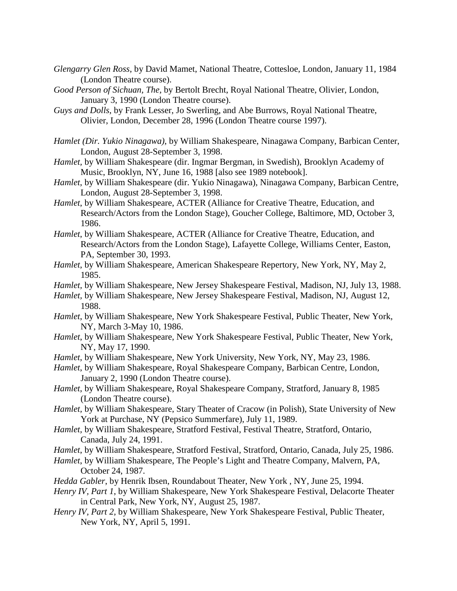- *Glengarry Glen Ross*, by David Mamet, National Theatre, Cottesloe, London, January 11, 1984 (London Theatre course).
- *Good Person of Sichuan, The,* by Bertolt Brecht, Royal National Theatre, Olivier, London, January 3, 1990 (London Theatre course).
- *Guys and Dolls*, by Frank Lesser, Jo Swerling, and Abe Burrows, Royal National Theatre, Olivier, London, December 28, 1996 (London Theatre course 1997).
- *Hamlet (Dir. Yukio Ninagawa)*, by William Shakespeare, Ninagawa Company, Barbican Center, London, August 28-September 3, 1998.
- *Hamlet,* by William Shakespeare (dir. Ingmar Bergman, in Swedish), Brooklyn Academy of Music, Brooklyn, NY, June 16, 1988 [also see 1989 notebook].
- *Hamlet*, by William Shakespeare (dir. Yukio Ninagawa), Ninagawa Company, Barbican Centre, London, August 28-September 3, 1998.
- *Hamlet*, by William Shakespeare, ACTER (Alliance for Creative Theatre, Education, and Research/Actors from the London Stage), Goucher College, Baltimore, MD, October 3, 1986.
- *Hamlet*, by William Shakespeare, ACTER (Alliance for Creative Theatre, Education, and Research/Actors from the London Stage), Lafayette College, Williams Center, Easton, PA, September 30, 1993.
- *Hamlet*, by William Shakespeare, American Shakespeare Repertory, New York, NY, May 2, 1985.
- *Hamlet,* by William Shakespeare, New Jersey Shakespeare Festival, Madison, NJ, July 13, 1988.
- *Hamlet,* by William Shakespeare, New Jersey Shakespeare Festival, Madison, NJ, August 12, 1988.
- *Hamlet*, by William Shakespeare, New York Shakespeare Festival, Public Theater, New York, NY, March 3-May 10, 1986.
- *Hamlet*, by William Shakespeare, New York Shakespeare Festival, Public Theater, New York, NY, May 17, 1990.
- *Hamlet*, by William Shakespeare, New York University, New York, NY, May 23, 1986.
- *Hamlet*, by William Shakespeare, Royal Shakespeare Company, Barbican Centre, London, January 2, 1990 (London Theatre course).
- *Hamlet*, by William Shakespeare, Royal Shakespeare Company, Stratford, January 8, 1985 (London Theatre course).
- *Hamlet,* by William Shakespeare, Stary Theater of Cracow (in Polish), State University of New York at Purchase, NY (Pepsico Summerfare), July 11, 1989.
- *Hamlet,* by William Shakespeare, Stratford Festival, Festival Theatre, Stratford, Ontario, Canada, July 24, 1991.
- *Hamlet*, by William Shakespeare, Stratford Festival, Stratford, Ontario, Canada, July 25, 1986.
- *Hamlet*, by William Shakespeare, The People's Light and Theatre Company, Malvern, PA, October 24, 1987.
- *Hedda Gabler*, by Henrik Ibsen, Roundabout Theater, New York , NY, June 25, 1994.
- *Henry IV, Part 1*, by William Shakespeare, New York Shakespeare Festival, Delacorte Theater in Central Park, New York, NY, August 25, 1987.
- *Henry IV, Part 2,* by William Shakespeare, New York Shakespeare Festival, Public Theater, New York, NY, April 5, 1991.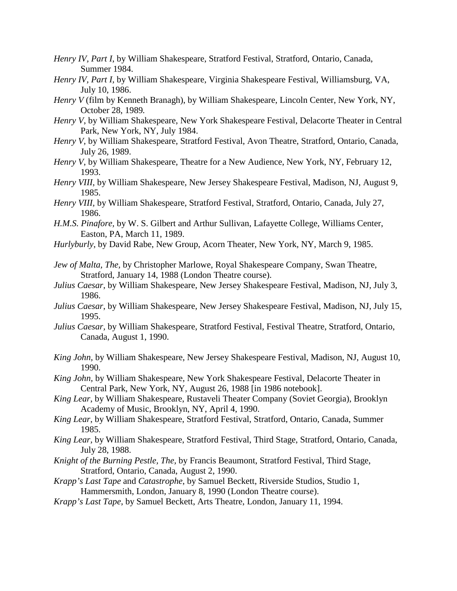- *Henry IV, Part I*, by William Shakespeare, Stratford Festival, Stratford, Ontario, Canada, Summer 1984.
- *Henry IV, Part I,* by William Shakespeare, Virginia Shakespeare Festival, Williamsburg, VA, July 10, 1986.
- *Henry V* (film by Kenneth Branagh), by William Shakespeare, Lincoln Center, New York, NY, October 28, 1989*.*
- *Henry V*, by William Shakespeare, New York Shakespeare Festival, Delacorte Theater in Central Park, New York, NY, July 1984.
- *Henry V,* by William Shakespeare, Stratford Festival, Avon Theatre, Stratford, Ontario, Canada, July 26, 1989.
- *Henry V*, by William Shakespeare, Theatre for a New Audience, New York, NY, February 12, 1993.
- *Henry VIII*, by William Shakespeare, New Jersey Shakespeare Festival, Madison, NJ, August 9, 1985.
- *Henry VIII,* by William Shakespeare, Stratford Festival, Stratford, Ontario, Canada, July 27, 1986.
- *H.M.S. Pinafore,* by W. S. Gilbert and Arthur Sullivan, Lafayette College, Williams Center, Easton, PA, March 11, 1989.
- *Hurlyburly*, by David Rabe, New Group, Acorn Theater, New York, NY, March 9, 1985.
- *Jew of Malta, The,* by Christopher Marlowe, Royal Shakespeare Company, Swan Theatre, Stratford, January 14, 1988 (London Theatre course).
- *Julius Caesar*, by William Shakespeare, New Jersey Shakespeare Festival, Madison, NJ, July 3, 1986.
- *Julius Caesar*, by William Shakespeare, New Jersey Shakespeare Festival, Madison, NJ, July 15, 1995.
- *Julius Caesar,* by William Shakespeare, Stratford Festival, Festival Theatre, Stratford, Ontario, Canada, August 1, 1990.
- *King John,* by William Shakespeare, New Jersey Shakespeare Festival, Madison, NJ, August 10, 1990.
- *King John,* by William Shakespeare, New York Shakespeare Festival, Delacorte Theater in Central Park, New York, NY, August 26, 1988 [in 1986 notebook].
- *King Lear*, by William Shakespeare, Rustaveli Theater Company (Soviet Georgia), Brooklyn Academy of Music, Brooklyn, NY, April 4, 1990.
- *King Lear*, by William Shakespeare, Stratford Festival, Stratford, Ontario, Canada, Summer 1985.
- *King Lear,* by William Shakespeare, Stratford Festival, Third Stage, Stratford, Ontario, Canada, July 28, 1988.
- *Knight of the Burning Pestle, The,* by Francis Beaumont, Stratford Festival, Third Stage, Stratford, Ontario, Canada, August 2, 1990.
- *Krapp's Last Tape* and *Catastrophe*, by Samuel Beckett, Riverside Studios, Studio 1, Hammersmith, London, January 8, 1990 (London Theatre course).
- *Krapp's Last Tape*, by Samuel Beckett, Arts Theatre, London, January 11, 1994.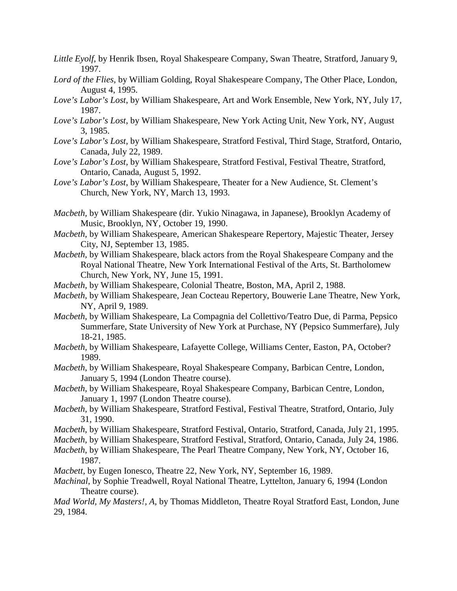- *Little Eyolf*, by Henrik Ibsen, Royal Shakespeare Company, Swan Theatre, Stratford, January 9, 1997.
- *Lord of the Flies,* by William Golding, Royal Shakespeare Company, The Other Place, London, August 4, 1995.
- *Love's Labor's Lost*, by William Shakespeare, Art and Work Ensemble, New York, NY, July 17, 1987.
- *Love's Labor's Lost*, by William Shakespeare, New York Acting Unit, New York, NY, August 3, 1985.
- *Love's Labor's Lost,* by William Shakespeare, Stratford Festival, Third Stage, Stratford, Ontario, Canada, July 22, 1989.
- *Love's Labor's Lost,* by William Shakespeare, Stratford Festival, Festival Theatre, Stratford, Ontario, Canada, August 5, 1992.
- *Love's Labor's Lost*, by William Shakespeare, Theater for a New Audience, St. Clement's Church, New York, NY, March 13, 1993.
- *Macbeth,* by William Shakespeare (dir. Yukio Ninagawa, in Japanese), Brooklyn Academy of Music, Brooklyn, NY, October 19, 1990.
- *Macbeth*, by William Shakespeare, American Shakespeare Repertory, Majestic Theater, Jersey City, NJ, September 13, 1985.
- *Macbeth,* by William Shakespeare, black actors from the Royal Shakespeare Company and the Royal National Theatre, New York International Festival of the Arts, St. Bartholomew Church, New York, NY, June 15, 1991.
- *Macbeth,* by William Shakespeare, Colonial Theatre, Boston, MA, April 2, 1988.
- *Macbeth*, by William Shakespeare, Jean Cocteau Repertory, Bouwerie Lane Theatre, New York, NY, April 9, 1989.
- *Macbeth*, by William Shakespeare, La Compagnia del Collettivo/Teatro Due, di Parma, Pepsico Summerfare, State University of New York at Purchase, NY (Pepsico Summerfare), July 18-21, 1985.
- *Macbeth,* by William Shakespeare, Lafayette College, Williams Center, Easton, PA, October? 1989.
- *Macbeth*, by William Shakespeare, Royal Shakespeare Company, Barbican Centre, London, January 5, 1994 (London Theatre course).
- *Macbeth,* by William Shakespeare, Royal Shakespeare Company, Barbican Centre, London, January 1, 1997 (London Theatre course).
- *Macbeth,* by William Shakespeare, Stratford Festival, Festival Theatre, Stratford, Ontario, July 31, 1990.
- *Macbeth*, by William Shakespeare, Stratford Festival, Ontario, Stratford, Canada, July 21, 1995.
- *Macbeth,* by William Shakespeare, Stratford Festival, Stratford, Ontario, Canada, July 24, 1986.
- *Macbeth*, by William Shakespeare, The Pearl Theatre Company, New York, NY, October 16, 1987.
- *Macbett,* by Eugen Ionesco, Theatre 22, New York, NY, September 16, 1989.
- *Machinal*, by Sophie Treadwell, Royal National Theatre, Lyttelton, January 6, 1994 (London Theatre course).
- *Mad World, My Masters!, A,* by Thomas Middleton, Theatre Royal Stratford East, London, June 29, 1984.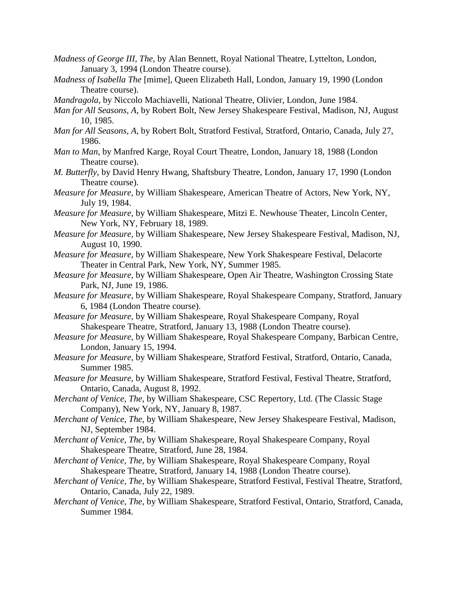- *Madness of George III, The,* by Alan Bennett, Royal National Theatre, Lyttelton, London, January 3, 1994 (London Theatre course).
- *Madness of Isabella The* [mime], Queen Elizabeth Hall, London, January 19, 1990 (London Theatre course).
- *Mandragola*, by Niccolo Machiavelli, National Theatre, Olivier, London, June 1984.
- *Man for All Seasons, A,* by Robert Bolt, New Jersey Shakespeare Festival, Madison, NJ, August 10, 1985.
- *Man for All Seasons, A,* by Robert Bolt, Stratford Festival, Stratford, Ontario, Canada, July 27, 1986.
- *Man to Man*, by Manfred Karge, Royal Court Theatre, London, January 18, 1988 (London Theatre course).
- *M. Butterfly*, by David Henry Hwang, Shaftsbury Theatre, London, January 17, 1990 (London Theatre course).
- *Measure for Measure*, by William Shakespeare, American Theatre of Actors, New York, NY, July 19, 1984.
- *Measure for Measure,* by William Shakespeare, Mitzi E. Newhouse Theater, Lincoln Center, New York, NY, February 18, 1989.
- *Measure for Measure,* by William Shakespeare, New Jersey Shakespeare Festival, Madison, NJ, August 10, 1990.
- *Measure for Measure*, by William Shakespeare, New York Shakespeare Festival, Delacorte Theater in Central Park, New York, NY, Summer 1985.
- *Measure for Measure*, by William Shakespeare, Open Air Theatre, Washington Crossing State Park, NJ, June 19, 1986.
- *Measure for Measure*, by William Shakespeare, Royal Shakespeare Company, Stratford, January 6, 1984 (London Theatre course).
- *Measure for Measure*, by William Shakespeare, Royal Shakespeare Company, Royal Shakespeare Theatre, Stratford, January 13, 1988 (London Theatre course).
- *Measure for Measure*, by William Shakespeare, Royal Shakespeare Company, Barbican Centre, London, January 15, 1994.
- *Measure for Measure*, by William Shakespeare, Stratford Festival, Stratford, Ontario, Canada, Summer 1985.
- *Measure for Measure,* by William Shakespeare, Stratford Festival, Festival Theatre, Stratford, Ontario, Canada, August 8, 1992.
- *Merchant of Venice, The,* by William Shakespeare, CSC Repertory, Ltd. (The Classic Stage Company), New York, NY, January 8, 1987.
- *Merchant of Venice, The,* by William Shakespeare, New Jersey Shakespeare Festival, Madison, NJ, September 1984.
- *Merchant of Venice, The,* by William Shakespeare, Royal Shakespeare Company, Royal Shakespeare Theatre, Stratford, June 28, 1984.
- *Merchant of Venice, The,* by William Shakespeare, Royal Shakespeare Company, Royal Shakespeare Theatre, Stratford, January 14, 1988 (London Theatre course).
- *Merchant of Venice, The,* by William Shakespeare, Stratford Festival, Festival Theatre, Stratford, Ontario, Canada, July 22, 1989.
- *Merchant of Venice, The,* by William Shakespeare, Stratford Festival, Ontario, Stratford, Canada, Summer 1984.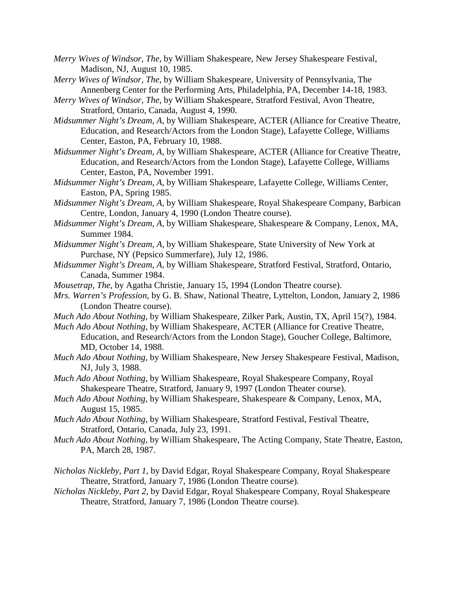- *Merry Wives of Windsor, The,* by William Shakespeare, New Jersey Shakespeare Festival, Madison, NJ, August 10, 1985.
- *Merry Wives of Windsor, The,* by William Shakespeare, University of Pennsylvania, The Annenberg Center for the Performing Arts, Philadelphia, PA, December 14-18, 1983.
- *Merry Wives of Windsor, The,* by William Shakespeare, Stratford Festival, Avon Theatre, Stratford, Ontario, Canada, August 4, 1990.
- *Midsummer Night's Dream, A,* by William Shakespeare, ACTER (Alliance for Creative Theatre, Education, and Research/Actors from the London Stage), Lafayette College, Williams Center, Easton, PA, February 10, 1988.
- *Midsummer Night's Dream, A,* by William Shakespeare, ACTER (Alliance for Creative Theatre, Education, and Research/Actors from the London Stage), Lafayette College, Williams Center, Easton, PA, November 1991.
- *Midsummer Night's Dream, A,* by William Shakespeare, Lafayette College, Williams Center, Easton, PA, Spring 1985.
- *Midsummer Night's Dream, A,* by William Shakespeare, Royal Shakespeare Company, Barbican Centre, London, January 4, 1990 (London Theatre course).
- *Midsummer Night's Dream, A,* by William Shakespeare, Shakespeare & Company, Lenox, MA, Summer 1984.
- *Midsummer Night's Dream, A,* by William Shakespeare, State University of New York at Purchase, NY (Pepsico Summerfare), July 12, 1986.
- *Midsummer Night's Dream, A,* by William Shakespeare, Stratford Festival, Stratford, Ontario, Canada, Summer 1984.
- *Mousetrap, The,* by Agatha Christie, January 15, 1994 (London Theatre course).
- *Mrs. Warren's Profession*, by G. B. Shaw, National Theatre, Lyttelton, London, January 2, 1986 (London Theatre course).
- *Much Ado About Nothing,* by William Shakespeare, Zilker Park, Austin, TX, April 15(?), 1984.
- *Much Ado About Nothing,* by William Shakespeare, ACTER (Alliance for Creative Theatre, Education, and Research/Actors from the London Stage), Goucher College, Baltimore, MD, October 14, 1988.
- *Much Ado About Nothing,* by William Shakespeare, New Jersey Shakespeare Festival, Madison, NJ, July 3, 1988.
- *Much Ado About Nothing*, by William Shakespeare, Royal Shakespeare Company, Royal Shakespeare Theatre, Stratford, January 9, 1997 (London Theater course).
- *Much Ado About Nothing*, by William Shakespeare, Shakespeare & Company, Lenox, MA, August 15, 1985.
- *Much Ado About Nothing,* by William Shakespeare, Stratford Festival, Festival Theatre, Stratford, Ontario, Canada, July 23, 1991.
- *Much Ado About Nothing,* by William Shakespeare, The Acting Company, State Theatre, Easton, PA, March 28, 1987.
- *Nicholas Nickleby, Part 1,* by David Edgar, Royal Shakespeare Company, Royal Shakespeare Theatre, Stratford, January 7, 1986 (London Theatre course).
- *Nicholas Nickleby, Part 2,* by David Edgar, Royal Shakespeare Company, Royal Shakespeare Theatre, Stratford, January 7, 1986 (London Theatre course).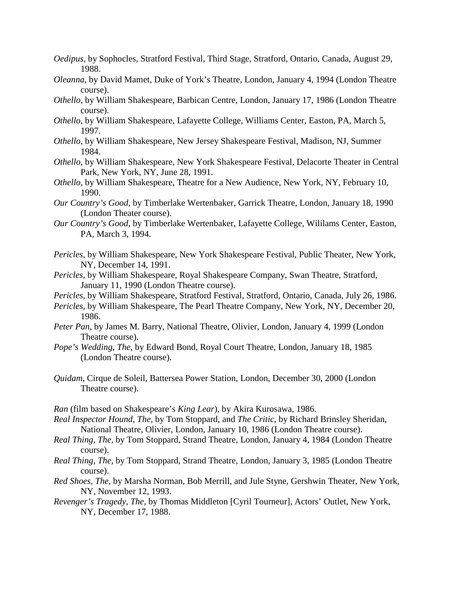- *Oedipus,* by Sophocles, Stratford Festival, Third Stage, Stratford, Ontario, Canada, August 29, 1988.
- *Oleanna*, by David Mamet, Duke of York's Theatre, London, January 4, 1994 (London Theatre course).
- *Othello*, by William Shakespeare, Barbican Centre, London, January 17, 1986 (London Theatre course).
- *Othello*, by William Shakespeare, Lafayette College, Williams Center, Easton, PA, March 5, 1997.
- *Othello*, by William Shakespeare, New Jersey Shakespeare Festival, Madison, NJ, Summer 1984.
- *Othello,* by William Shakespeare, New York Shakespeare Festival, Delacorte Theater in Central Park, New York, NY, June 28, 1991.
- *Othello,* by William Shakespeare, Theatre for a New Audience, New York, NY, February 10, 1990.
- *Our Country's Good*, by Timberlake Wertenbaker, Garrick Theatre, London, January 18, 1990 (London Theater course).
- *Our Country's Good*, by Timberlake Wertenbaker, Lafayette College, Wililams Center, Easton, PA, March 3, 1994.
- *Pericles,* by William Shakespeare, New York Shakespeare Festival, Public Theater, New York, NY, December 14, 1991.
- *Pericles*, by William Shakespeare, Royal Shakespeare Company, Swan Theatre, Stratford, January 11, 1990 (London Theatre course).
- *Pericles*, by William Shakespeare, Stratford Festival, Stratford, Ontario, Canada, July 26, 1986.
- *Pericles,* by William Shakespeare, The Pearl Theatre Company, New York, NY, December 20, 1986.
- *Peter Pan*, by James M. Barry, National Theatre, Olivier, London, January 4, 1999 (London Theatre course).
- *Pope's Wedding, The*, by Edward Bond, Royal Court Theatre, London, January 18, 1985 (London Theatre course).
- *Quidam*, Cirque de Soleil, Battersea Power Station, London, December 30, 2000 (London Theatre course).

*Ran* (film based on Shakespeare's *King Lear*), by Akira Kurosawa, 1986.

- *Real Inspector Hound, The,* by Tom Stoppard, and *The Critic*, by Richard Brinsley Sheridan, National Theatre, Olivier, London, January 10, 1986 (London Theatre course).
- *Real Thing, The,* by Tom Stoppard, Strand Theatre, London, January 4, 1984 (London Theatre course).
- *Real Thing, The,* by Tom Stoppard, Strand Theatre, London, January 3, 1985 (London Theatre course).
- *Red Shoes, The,* by Marsha Norman, Bob Merrill, and Jule Styne, Gershwin Theater, New York, NY, November 12, 1993.
- *Revenger's Tragedy, The,* by Thomas Middleton [Cyril Tourneur], Actors' Outlet, New York, NY, December 17, 1988.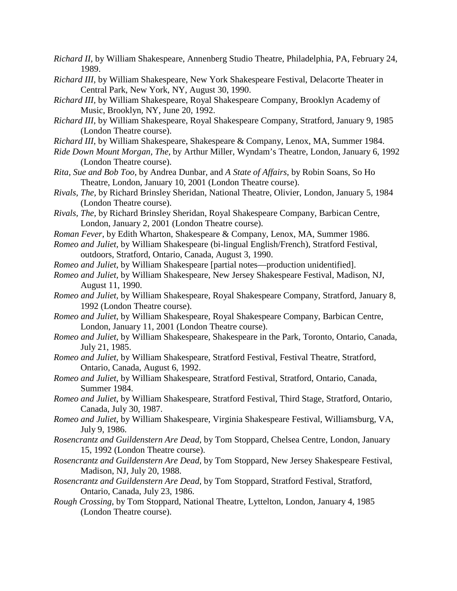- *Richard II,* by William Shakespeare, Annenberg Studio Theatre, Philadelphia, PA, February 24, 1989.
- *Richard III*, by William Shakespeare, New York Shakespeare Festival, Delacorte Theater in Central Park, New York, NY, August 30, 1990.
- *Richard III,* by William Shakespeare, Royal Shakespeare Company, Brooklyn Academy of Music, Brooklyn, NY, June 20, 1992.
- *Richard III*, by William Shakespeare, Royal Shakespeare Company, Stratford, January 9, 1985 (London Theatre course).
- *Richard III*, by William Shakespeare, Shakespeare & Company, Lenox, MA, Summer 1984.
- *Ride Down Mount Morgan, The,* by Arthur Miller, Wyndam's Theatre, London, January 6, 1992 (London Theatre course).
- *Rita, Sue and Bob Too*, by Andrea Dunbar, and *A State of Affairs*, by Robin Soans, So Ho Theatre, London, January 10, 2001 (London Theatre course).
- *Rivals, The,* by Richard Brinsley Sheridan, National Theatre, Olivier, London, January 5, 1984 (London Theatre course).
- *Rivals, The,* by Richard Brinsley Sheridan, Royal Shakespeare Company, Barbican Centre, London, January 2, 2001 (London Theatre course).
- *Roman Fever*, by Edith Wharton, Shakespeare & Company, Lenox, MA, Summer 1986.
- *Romeo and Juliet,* by William Shakespeare (bi-lingual English/French), Stratford Festival, outdoors, Stratford, Ontario, Canada, August 3, 1990.
- *Romeo and Juliet*, by William Shakespeare [partial notes—production unidentified].
- *Romeo and Juliet,* by William Shakespeare, New Jersey Shakespeare Festival, Madison, NJ, August 11, 1990.
- *Romeo and Juliet,* by William Shakespeare, Royal Shakespeare Company, Stratford, January 8, 1992 (London Theatre course).
- *Romeo and Juliet*, by William Shakespeare, Royal Shakespeare Company, Barbican Centre, London, January 11, 2001 (London Theatre course).
- *Romeo and Juliet*, by William Shakespeare, Shakespeare in the Park, Toronto, Ontario, Canada, July 21, 1985.
- *Romeo and Juliet,* by William Shakespeare, Stratford Festival, Festival Theatre, Stratford, Ontario, Canada, August 6, 1992.
- *Romeo and Juliet*, by William Shakespeare, Stratford Festival, Stratford, Ontario, Canada, Summer 1984.
- *Romeo and Juliet*, by William Shakespeare, Stratford Festival, Third Stage, Stratford, Ontario, Canada, July 30, 1987.
- *Romeo and Juliet,* by William Shakespeare, Virginia Shakespeare Festival, Williamsburg, VA, July 9, 1986.
- *Rosencrantz and Guildenstern Are Dead,* by Tom Stoppard, Chelsea Centre, London, January 15, 1992 (London Theatre course).
- *Rosencrantz and Guildenstern Are Dead,* by Tom Stoppard, New Jersey Shakespeare Festival, Madison, NJ, July 20, 1988.
- *Rosencrantz and Guildenstern Are Dead,* by Tom Stoppard, Stratford Festival, Stratford, Ontario, Canada, July 23, 1986.
- *Rough Crossing*, by Tom Stoppard, National Theatre, Lyttelton, London, January 4, 1985 (London Theatre course).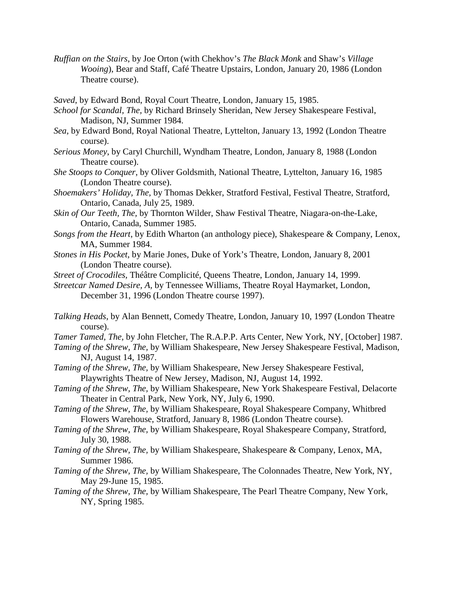*Ruffian on the Stairs*, by Joe Orton (with Chekhov's *The Black Monk* and Shaw's *Village Wooing*), Bear and Staff, Café Theatre Upstairs, London, January 20, 1986 (London Theatre course).

*Saved*, by Edward Bond, Royal Court Theatre, London, January 15, 1985.

- *School for Scandal, The,* by Richard Brinsely Sheridan, New Jersey Shakespeare Festival, Madison, NJ, Summer 1984.
- *Sea,* by Edward Bond, Royal National Theatre, Lyttelton, January 13, 1992 (London Theatre course).
- *Serious Money*, by Caryl Churchill, Wyndham Theatre, London, January 8, 1988 (London Theatre course).
- *She Stoops to Conquer*, by Oliver Goldsmith, National Theatre, Lyttelton, January 16, 1985 (London Theatre course).
- *Shoemakers' Holiday, The,* by Thomas Dekker, Stratford Festival, Festival Theatre, Stratford, Ontario, Canada, July 25, 1989.
- *Skin of Our Teeth, The,* by Thornton Wilder, Shaw Festival Theatre, Niagara-on-the-Lake, Ontario, Canada, Summer 1985.
- *Songs from the Heart*, by Edith Wharton (an anthology piece), Shakespeare & Company, Lenox, MA, Summer 1984.
- *Stones in His Pocket*, by Marie Jones, Duke of York's Theatre, London, January 8, 2001 (London Theatre course).
- *Street of Crocodiles,* Théâtre Complicité, Queens Theatre, London, January 14, 1999.
- *Streetcar Named Desire, A,* by Tennessee Williams, Theatre Royal Haymarket, London, December 31, 1996 (London Theatre course 1997).
- *Talking Heads*, by Alan Bennett, Comedy Theatre, London, January 10, 1997 (London Theatre course).

*Tamer Tamed, The,* by John Fletcher, The R.A.P.P. Arts Center, New York, NY, [October] 1987.

- *Taming of the Shrew, The,* by William Shakespeare, New Jersey Shakespeare Festival, Madison, NJ, August 14, 1987.
- *Taming of the Shrew, The,* by William Shakespeare, New Jersey Shakespeare Festival, Playwrights Theatre of New Jersey, Madison, NJ, August 14, 1992.
- *Taming of the Shrew, The,* by William Shakespeare, New York Shakespeare Festival, Delacorte Theater in Central Park, New York, NY, July 6, 1990.
- *Taming of the Shrew, The,* by William Shakespeare, Royal Shakespeare Company, Whitbred Flowers Warehouse, Stratford, January 8, 1986 (London Theatre course).
- *Taming of the Shrew, The,* by William Shakespeare, Royal Shakespeare Company, Stratford, July 30, 1988.
- *Taming of the Shrew, The,* by William Shakespeare, Shakespeare & Company, Lenox, MA, Summer 1986.
- *Taming of the Shrew, The,* by William Shakespeare, The Colonnades Theatre, New York, NY, May 29-June 15, 1985.
- *Taming of the Shrew, The,* by William Shakespeare, The Pearl Theatre Company, New York, NY, Spring 1985.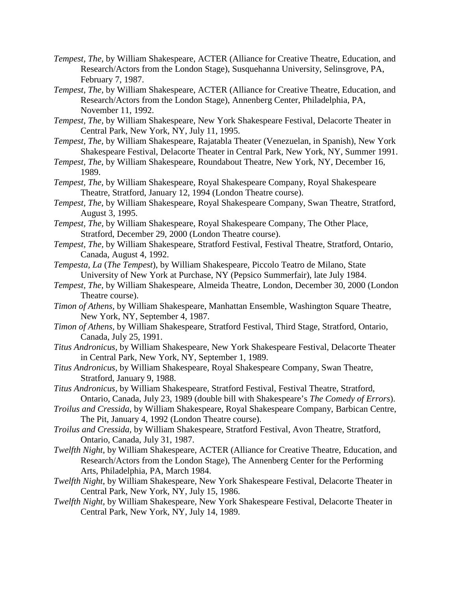- *Tempest, The,* by William Shakespeare, ACTER (Alliance for Creative Theatre, Education, and Research/Actors from the London Stage), Susquehanna University, Selinsgrove, PA, February 7, 1987.
- *Tempest, The,* by William Shakespeare, ACTER (Alliance for Creative Theatre, Education, and Research/Actors from the London Stage), Annenberg Center, Philadelphia, PA, November 11, 1992.
- *Tempest, The,* by William Shakespeare, New York Shakespeare Festival, Delacorte Theater in Central Park, New York, NY, July 11, 1995.
- *Tempest, The,* by William Shakespeare, Rajatabla Theater (Venezuelan, in Spanish), New York Shakespeare Festival, Delacorte Theater in Central Park, New York, NY, Summer 1991.
- *Tempest, The,* by William Shakespeare, Roundabout Theatre, New York, NY, December 16, 1989.
- *Tempest, The,* by William Shakespeare, Royal Shakespeare Company, Royal Shakespeare Theatre, Stratford, January 12, 1994 (London Theatre course).
- *Tempest, The,* by William Shakespeare, Royal Shakespeare Company, Swan Theatre, Stratford, August 3, 1995.
- *Tempest, The,* by William Shakespeare, Royal Shakespeare Company, The Other Place, Stratford, December 29, 2000 (London Theatre course).
- *Tempest, The,* by William Shakespeare, Stratford Festival, Festival Theatre, Stratford, Ontario, Canada, August 4, 1992.
- *Tempesta, La* (*The Tempest*), by William Shakespeare, Piccolo Teatro de Milano, State University of New York at Purchase, NY (Pepsico Summerfair), late July 1984.
- *Tempest, The,* by William Shakespeare, Almeida Theatre, London, December 30, 2000 (London Theatre course).
- *Timon of Athens,* by William Shakespeare, Manhattan Ensemble, Washington Square Theatre, New York, NY, September 4, 1987.
- *Timon of Athens,* by William Shakespeare, Stratford Festival, Third Stage, Stratford, Ontario, Canada, July 25, 1991.
- *Titus Andronicus,* by William Shakespeare, New York Shakespeare Festival, Delacorte Theater in Central Park, New York, NY, September 1, 1989.
- *Titus Andronicus*, by William Shakespeare, Royal Shakespeare Company, Swan Theatre, Stratford, January 9, 1988.
- *Titus Andronicus,* by William Shakespeare, Stratford Festival, Festival Theatre, Stratford, Ontario, Canada, July 23, 1989 (double bill with Shakespeare's *The Comedy of Errors*).
- *Troilus and Cressida,* by William Shakespeare, Royal Shakespeare Company, Barbican Centre, The Pit, January 4, 1992 (London Theatre course).
- *Troilus and Cressida,* by William Shakespeare, Stratford Festival, Avon Theatre, Stratford, Ontario, Canada, July 31, 1987.
- *Twelfth Night*, by William Shakespeare, ACTER (Alliance for Creative Theatre, Education, and Research/Actors from the London Stage), The Annenberg Center for the Performing Arts, Philadelphia, PA, March 1984.
- *Twelfth Night*, by William Shakespeare, New York Shakespeare Festival, Delacorte Theater in Central Park, New York, NY, July 15, 1986.
- *Twelfth Night,* by William Shakespeare, New York Shakespeare Festival, Delacorte Theater in Central Park, New York, NY, July 14, 1989.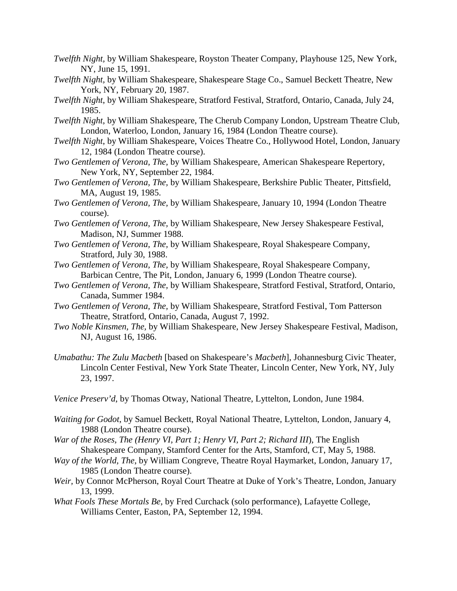- *Twelfth Night,* by William Shakespeare, Royston Theater Company, Playhouse 125, New York, NY, June 15, 1991.
- *Twelfth Night,* by William Shakespeare, Shakespeare Stage Co., Samuel Beckett Theatre, New York, NY, February 20, 1987.
- *Twelfth Night*, by William Shakespeare, Stratford Festival, Stratford, Ontario, Canada, July 24, 1985.
- *Twelfth Night*, by William Shakespeare, The Cherub Company London, Upstream Theatre Club, London, Waterloo, London, January 16, 1984 (London Theatre course).
- *Twelfth Night*, by William Shakespeare, Voices Theatre Co., Hollywood Hotel, London, January 12, 1984 (London Theatre course).
- *Two Gentlemen of Verona, The,* by William Shakespeare, American Shakespeare Repertory, New York, NY, September 22, 1984.
- *Two Gentlemen of Verona, The,* by William Shakespeare, Berkshire Public Theater, Pittsfield, MA, August 19, 1985.
- *Two Gentlemen of Verona, The,* by William Shakespeare, January 10, 1994 (London Theatre course).
- *Two Gentlemen of Verona, The,* by William Shakespeare, New Jersey Shakespeare Festival, Madison, NJ, Summer 1988.
- *Two Gentlemen of Verona, The,* by William Shakespeare, Royal Shakespeare Company, Stratford, July 30, 1988.
- *Two Gentlemen of Verona, The,* by William Shakespeare, Royal Shakespeare Company, Barbican Centre, The Pit, London, January 6, 1999 (London Theatre course).
- *Two Gentlemen of Verona, The,* by William Shakespeare, Stratford Festival, Stratford, Ontario, Canada, Summer 1984.
- *Two Gentlemen of Verona, The,* by William Shakespeare, Stratford Festival, Tom Patterson Theatre, Stratford, Ontario, Canada, August 7, 1992.
- *Two Noble Kinsmen, The,* by William Shakespeare, New Jersey Shakespeare Festival, Madison, NJ, August 16, 1986.
- *Umabathu: The Zulu Macbeth* [based on Shakespeare's *Macbeth*], Johannesburg Civic Theater, Lincoln Center Festival, New York State Theater, Lincoln Center, New York, NY, July 23, 1997.
- *Venice Preserv'd*, by Thomas Otway, National Theatre, Lyttelton, London, June 1984.
- *Waiting for Godot*, by Samuel Beckett, Royal National Theatre, Lyttelton, London, January 4, 1988 (London Theatre course).
- *War of the Roses, The (Henry VI, Part 1; Henry VI, Part 2; Richard III*), The English Shakespeare Company, Stamford Center for the Arts, Stamford, CT, May 5, 1988.
- *Way of the World, The*, by William Congreve, Theatre Royal Haymarket, London, January 17, 1985 (London Theatre course).
- *Weir,* by Connor McPherson, Royal Court Theatre at Duke of York's Theatre, London, January 13, 1999.
- *What Fools These Mortals Be*, by Fred Curchack (solo performance), Lafayette College, Williams Center, Easton, PA, September 12, 1994.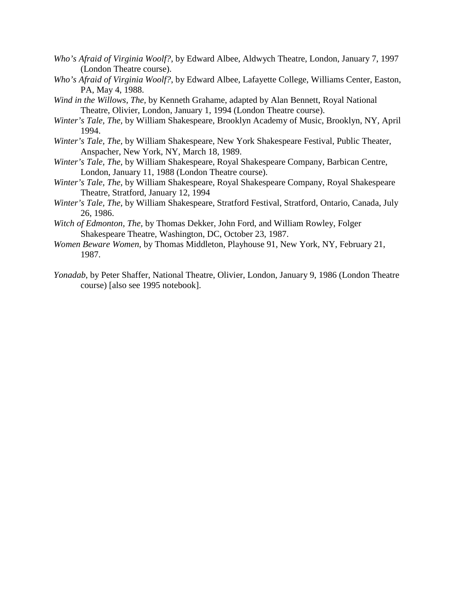- *Who's Afraid of Virginia Woolf?*, by Edward Albee, Aldwych Theatre, London, January 7, 1997 (London Theatre course).
- *Who's Afraid of Virginia Woolf?*, by Edward Albee, Lafayette College, Williams Center, Easton, PA, May 4, 1988.
- *Wind in the Willows, The,* by Kenneth Grahame, adapted by Alan Bennett, Royal National Theatre, Olivier, London, January 1, 1994 (London Theatre course).
- *Winter's Tale, The,* by William Shakespeare, Brooklyn Academy of Music, Brooklyn, NY, April 1994.
- *Winter's Tale, The,* by William Shakespeare, New York Shakespeare Festival, Public Theater, Anspacher, New York, NY, March 18, 1989.
- *Winter's Tale, The,* by William Shakespeare, Royal Shakespeare Company, Barbican Centre, London, January 11, 1988 (London Theatre course).
- *Winter's Tale, The,* by William Shakespeare, Royal Shakespeare Company, Royal Shakespeare Theatre, Stratford, January 12, 1994
- *Winter's Tale, The,* by William Shakespeare, Stratford Festival, Stratford, Ontario, Canada, July 26, 1986.
- *Witch of Edmonton, The,* by Thomas Dekker, John Ford, and William Rowley, Folger Shakespeare Theatre, Washington, DC, October 23, 1987.
- *Women Beware Women*, by Thomas Middleton, Playhouse 91, New York, NY, February 21, 1987.
- *Yonadab*, by Peter Shaffer, National Theatre, Olivier, London, January 9, 1986 (London Theatre course) [also see 1995 notebook].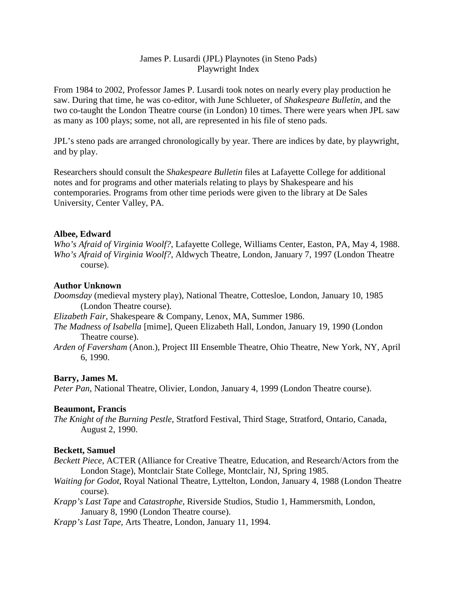# James P. Lusardi (JPL) Playnotes (in Steno Pads) Playwright Index

From 1984 to 2002, Professor James P. Lusardi took notes on nearly every play production he saw. During that time, he was co-editor, with June Schlueter, of *Shakespeare Bulletin*, and the two co-taught the London Theatre course (in London) 10 times. There were years when JPL saw as many as 100 plays; some, not all, are represented in his file of steno pads.

JPL's steno pads are arranged chronologically by year. There are indices by date, by playwright, and by play.

Researchers should consult the *Shakespeare Bulletin* files at Lafayette College for additional notes and for programs and other materials relating to plays by Shakespeare and his contemporaries. Programs from other time periods were given to the library at De Sales University, Center Valley, PA.

# **Albee, Edward**

*Who's Afraid of Virginia Woolf?*, Lafayette College, Williams Center, Easton, PA, May 4, 1988. *Who's Afraid of Virginia Woolf?*, Aldwych Theatre, London, January 7, 1997 (London Theatre course).

## **Author Unknown**

*Doomsday* (medieval mystery play), National Theatre, Cottesloe, London, January 10, 1985 (London Theatre course).

*Elizabeth Fair,* Shakespeare & Company, Lenox, MA, Summer 1986.

- *The Madness of Isabella* [mime], Queen Elizabeth Hall, London, January 19, 1990 (London Theatre course).
- *Arden of Faversham* (Anon.), Project III Ensemble Theatre, Ohio Theatre, New York, NY, April 6, 1990.

## **Barry, James M.**

*Peter Pan*, National Theatre, Olivier, London, January 4, 1999 (London Theatre course).

## **Beaumont, Francis**

*The Knight of the Burning Pestle,* Stratford Festival, Third Stage, Stratford, Ontario, Canada, August 2, 1990.

## **Beckett, Samuel**

- *Beckett Piece*, ACTER (Alliance for Creative Theatre, Education, and Research/Actors from the London Stage), Montclair State College, Montclair, NJ, Spring 1985.
- *Waiting for Godot*, Royal National Theatre, Lyttelton, London, January 4, 1988 (London Theatre course).
- *Krapp's Last Tape* and *Catastrophe*, Riverside Studios, Studio 1, Hammersmith, London, January 8, 1990 (London Theatre course).

*Krapp's Last Tape*, Arts Theatre, London, January 11, 1994.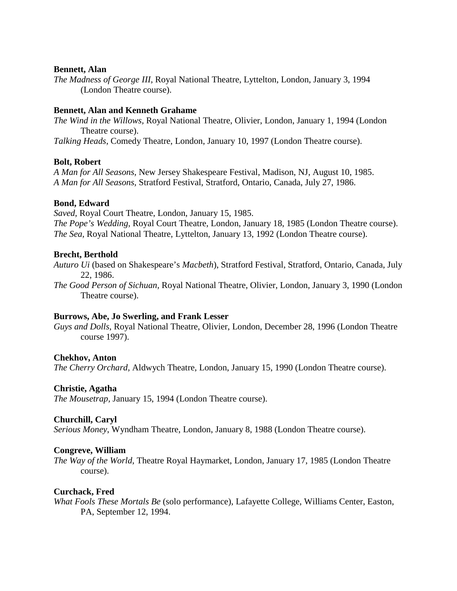### **Bennett, Alan**

*The Madness of George III,* Royal National Theatre, Lyttelton, London, January 3, 1994 (London Theatre course).

## **Bennett, Alan and Kenneth Grahame**

*The Wind in the Willows,* Royal National Theatre, Olivier, London, January 1, 1994 (London Theatre course).

*Talking Heads*, Comedy Theatre, London, January 10, 1997 (London Theatre course).

### **Bolt, Robert**

*A Man for All Seasons,* New Jersey Shakespeare Festival, Madison, NJ, August 10, 1985. *A Man for All Seasons,* Stratford Festival, Stratford, Ontario, Canada, July 27, 1986.

### **Bond, Edward**

*Saved*, Royal Court Theatre, London, January 15, 1985.

*The Pope's Wedding*, Royal Court Theatre, London, January 18, 1985 (London Theatre course). *The Sea,* Royal National Theatre, Lyttelton, January 13, 1992 (London Theatre course).

### **Brecht, Berthold**

*Auturo Ui* (based on Shakespeare's *Macbeth*), Stratford Festival, Stratford, Ontario, Canada, July 22, 1986.

*The Good Person of Sichuan,* Royal National Theatre, Olivier, London, January 3, 1990 (London Theatre course).

## **Burrows, Abe, Jo Swerling, and Frank Lesser**

*Guys and Dolls*, Royal National Theatre, Olivier, London, December 28, 1996 (London Theatre course 1997).

#### **Chekhov, Anton**

*The Cherry Orchard,* Aldwych Theatre, London, January 15, 1990 (London Theatre course).

#### **Christie, Agatha**

*The Mousetrap,* January 15, 1994 (London Theatre course).

#### **Churchill, Caryl**

*Serious Money*, Wyndham Theatre, London, January 8, 1988 (London Theatre course).

#### **Congreve, William**

*The Way of the World*, Theatre Royal Haymarket, London, January 17, 1985 (London Theatre course).

#### **Curchack, Fred**

*What Fools These Mortals Be* (solo performance), Lafayette College, Williams Center, Easton, PA, September 12, 1994.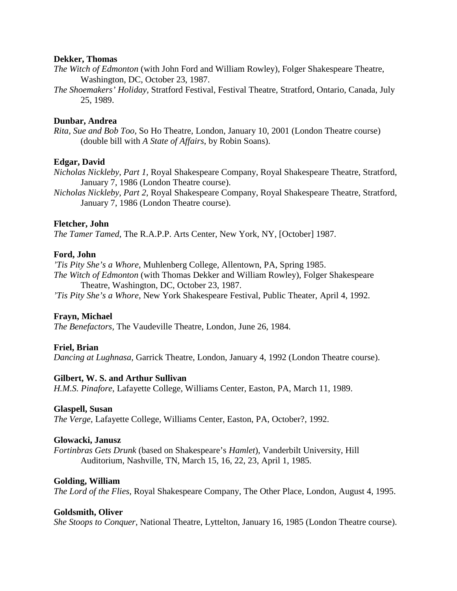#### **Dekker, Thomas**

- *The Witch of Edmonton* (with John Ford and William Rowley), Folger Shakespeare Theatre, Washington, DC, October 23, 1987.
- *The Shoemakers' Holiday,* Stratford Festival, Festival Theatre, Stratford, Ontario, Canada, July 25, 1989.

## **Dunbar, Andrea**

*Rita, Sue and Bob Too*, So Ho Theatre, London, January 10, 2001 (London Theatre course) (double bill with *A State of Affairs*, by Robin Soans).

## **Edgar, David**

*Nicholas Nickleby, Part 1,* Royal Shakespeare Company, Royal Shakespeare Theatre, Stratford, January 7, 1986 (London Theatre course).

*Nicholas Nickleby, Part 2,* Royal Shakespeare Company, Royal Shakespeare Theatre, Stratford, January 7, 1986 (London Theatre course).

### **Fletcher, John**

*The Tamer Tamed*, The R.A.P.P. Arts Center, New York, NY, [October] 1987.

### **Ford, John**

*'Tis Pity She's a Whore*, Muhlenberg College, Allentown, PA, Spring 1985. *The Witch of Edmonton* (with Thomas Dekker and William Rowley), Folger Shakespeare

Theatre, Washington, DC, October 23, 1987. *'Tis Pity She's a Whore,* New York Shakespeare Festival, Public Theater, April 4, 1992.

## **Frayn, Michael**

*The Benefactors,* The Vaudeville Theatre, London, June 26, 1984.

## **Friel, Brian**

*Dancing at Lughnasa,* Garrick Theatre, London, January 4, 1992 (London Theatre course).

#### **Gilbert, W. S. and Arthur Sullivan**

*H.M.S. Pinafore*, Lafayette College, Williams Center, Easton, PA, March 11, 1989.

#### **Glaspell, Susan**

*The Verge,* Lafayette College, Williams Center, Easton, PA, October?, 1992.

#### **Glowacki, Janusz**

*Fortinbras Gets Drunk* (based on Shakespeare's *Hamlet*), Vanderbilt University, Hill Auditorium, Nashville, TN, March 15, 16, 22, 23, April 1, 1985.

#### **Golding, William**

*The Lord of the Flies,* Royal Shakespeare Company, The Other Place, London, August 4, 1995.

#### **Goldsmith, Oliver**

*She Stoops to Conquer*, National Theatre, Lyttelton, January 16, 1985 (London Theatre course).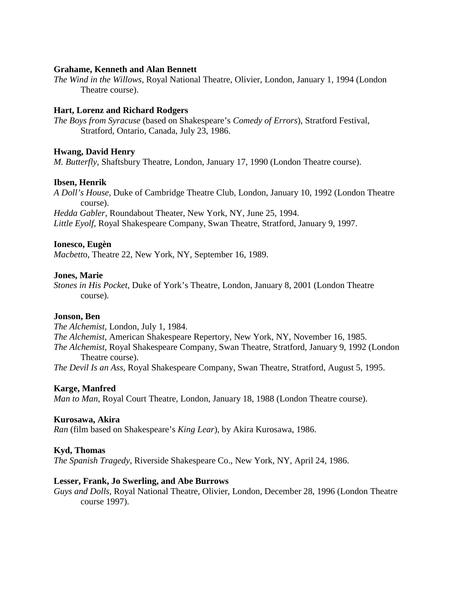#### **Grahame, Kenneth and Alan Bennett**

*The Wind in the Willows,* Royal National Theatre, Olivier, London, January 1, 1994 (London Theatre course).

#### **Hart, Lorenz and Richard Rodgers**

*The Boys from Syracuse* (based on Shakespeare's *Comedy of Errors*), Stratford Festival, Stratford, Ontario, Canada, July 23, 1986.

#### **Hwang, David Henry**

*M. Butterfly*, Shaftsbury Theatre, London, January 17, 1990 (London Theatre course).

#### **Ibsen, Henrik**

*A Doll's House,* Duke of Cambridge Theatre Club, London, January 10, 1992 (London Theatre course).

*Hedda Gabler*, Roundabout Theater, New York, NY, June 25, 1994. *Little Eyolf*, Royal Shakespeare Company, Swan Theatre, Stratford, January 9, 1997.

#### **Ionesco, Eugèn**

*Macbett*o, Theatre 22, New York, NY, September 16, 1989.

#### **Jones, Marie**

*Stones in His Pocket*, Duke of York's Theatre, London, January 8, 2001 (London Theatre course).

#### **Jonson, Ben**

*The Alchemist,* London, July 1, 1984.

*The Alchemist,* American Shakespeare Repertory, New York, NY, November 16, 1985.

*The Alchemist,* Royal Shakespeare Company, Swan Theatre, Stratford, January 9, 1992 (London Theatre course).

*The Devil Is an Ass,* Royal Shakespeare Company, Swan Theatre, Stratford, August 5, 1995.

#### **Karge, Manfred**

*Man to Man*, Royal Court Theatre, London, January 18, 1988 (London Theatre course).

#### **Kurosawa, Akira**

*Ran* (film based on Shakespeare's *King Lear*), by Akira Kurosawa, 1986.

#### **Kyd, Thomas**

*The Spanish Tragedy*, Riverside Shakespeare Co., New York, NY, April 24, 1986.

#### **Lesser, Frank, Jo Swerling, and Abe Burrows**

*Guys and Dolls*, Royal National Theatre, Olivier, London, December 28, 1996 (London Theatre course 1997).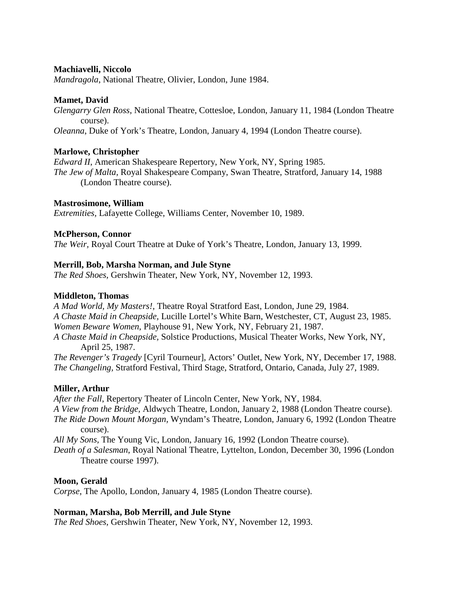## **Machiavelli, Niccolo**

*Mandragola*, National Theatre, Olivier, London, June 1984.

## **Mamet, David**

*Glengarry Glen Ross*, National Theatre, Cottesloe, London, January 11, 1984 (London Theatre course).

*Oleanna*, Duke of York's Theatre, London, January 4, 1994 (London Theatre course).

## **Marlowe, Christopher**

*Edward II*, American Shakespeare Repertory, New York, NY, Spring 1985. *The Jew of Malta,* Royal Shakespeare Company, Swan Theatre, Stratford, January 14, 1988 (London Theatre course).

### **Mastrosimone, William**

*Extremities,* Lafayette College, Williams Center, November 10, 1989.

### **McPherson, Connor**

*The Weir,* Royal Court Theatre at Duke of York's Theatre, London, January 13, 1999.

### **Merrill, Bob, Marsha Norman, and Jule Styne**

*The Red Shoes,* Gershwin Theater, New York, NY, November 12, 1993.

#### **Middleton, Thomas**

*A Mad World, My Masters!,* Theatre Royal Stratford East, London, June 29, 1984. *A Chaste Maid in Cheapside,* Lucille Lortel's White Barn, Westchester, CT, August 23, 1985. *Women Beware Women*, Playhouse 91, New York, NY, February 21, 1987. *A Chaste Maid in Cheapside,* Solstice Productions, Musical Theater Works, New York, NY, April 25, 1987.

*The Revenger's Tragedy* [Cyril Tourneur], Actors' Outlet, New York, NY, December 17, 1988. *The Changeling,* Stratford Festival, Third Stage, Stratford, Ontario, Canada, July 27, 1989.

## **Miller, Arthur**

*After the Fall*, Repertory Theater of Lincoln Center, New York, NY, 1984. *A View from the Bridge,* Aldwych Theatre, London, January 2, 1988 (London Theatre course). *The Ride Down Mount Morgan,* Wyndam's Theatre, London, January 6, 1992 (London Theatre course). *All My Sons,* The Young Vic, London, January 16, 1992 (London Theatre course). *Death of a Salesman*, Royal National Theatre, Lyttelton, London, December 30, 1996 (London Theatre course 1997).

#### **Moon, Gerald**

*Corpse*, The Apollo, London, January 4, 1985 (London Theatre course).

## **Norman, Marsha, Bob Merrill, and Jule Styne**

*The Red Shoes,* Gershwin Theater, New York, NY, November 12, 1993.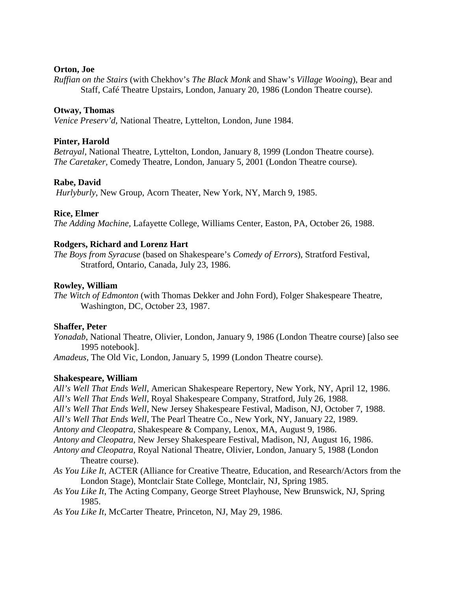## **Orton, Joe**

*Ruffian on the Stairs* (with Chekhov's *The Black Monk* and Shaw's *Village Wooing*), Bear and Staff, Café Theatre Upstairs, London, January 20, 1986 (London Theatre course).

## **Otway, Thomas**

*Venice Preserv'd*, National Theatre, Lyttelton, London, June 1984.

## **Pinter, Harold**

*Betrayal*, National Theatre, Lyttelton, London, January 8, 1999 (London Theatre course). *The Caretaker,* Comedy Theatre, London, January 5, 2001 (London Theatre course).

## **Rabe, David**

*Hurlyburly*, New Group, Acorn Theater, New York, NY, March 9, 1985.

### **Rice, Elmer**

*The Adding Machine,* Lafayette College, Williams Center, Easton, PA, October 26, 1988.

### **Rodgers, Richard and Lorenz Hart**

*The Boys from Syracuse* (based on Shakespeare's *Comedy of Errors*), Stratford Festival, Stratford, Ontario, Canada, July 23, 1986.

### **Rowley, William**

*The Witch of Edmonton* (with Thomas Dekker and John Ford), Folger Shakespeare Theatre, Washington, DC, October 23, 1987.

#### **Shaffer, Peter**

*Yonadab*, National Theatre, Olivier, London, January 9, 1986 (London Theatre course) [also see 1995 notebook].

*Amadeus*, The Old Vic, London, January 5, 1999 (London Theatre course).

#### **Shakespeare, William**

*All's Well That Ends Well*, American Shakespeare Repertory, New York, NY, April 12, 1986. *All's Well That Ends Well,* Royal Shakespeare Company, Stratford, July 26, 1988. *All's Well That Ends Well,* New Jersey Shakespeare Festival, Madison, NJ, October 7, 1988. *All's Well That Ends Well*, The Pearl Theatre Co., New York, NY, January 22, 1989. *Antony and Cleopatra*, Shakespeare & Company, Lenox, MA, August 9, 1986. *Antony and Cleopatra,* New Jersey Shakespeare Festival, Madison, NJ, August 16, 1986. *Antony and Cleopatra,* Royal National Theatre, Olivier, London, January 5, 1988 (London Theatre course). *As You Like It*, ACTER (Alliance for Creative Theatre, Education, and Research/Actors from the London Stage), Montclair State College, Montclair, NJ, Spring 1985.

- *As You Like It*, The Acting Company, George Street Playhouse, New Brunswick, NJ, Spring 1985.
- *As You Like It*, McCarter Theatre, Princeton, NJ, May 29, 1986.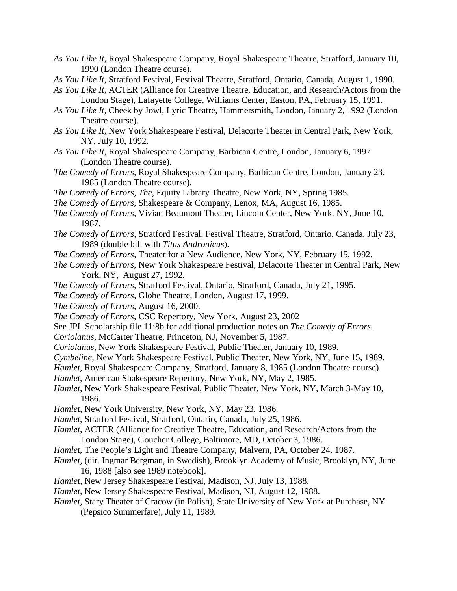- *As You Like It*, Royal Shakespeare Company, Royal Shakespeare Theatre, Stratford, January 10, 1990 (London Theatre course).
- *As You Like It*, Stratford Festival, Festival Theatre, Stratford, Ontario, Canada, August 1, 1990.
- *As You Like It*, ACTER (Alliance for Creative Theatre, Education, and Research/Actors from the London Stage), Lafayette College, Williams Center, Easton, PA, February 15, 1991.
- *As You Like It,* Cheek by Jowl, Lyric Theatre, Hammersmith, London, January 2, 1992 (London Theatre course).
- *As You Like It,* New York Shakespeare Festival, Delacorte Theater in Central Park, New York, NY, July 10, 1992.
- *As You Like It*, Royal Shakespeare Company, Barbican Centre, London, January 6, 1997 (London Theatre course).
- *The Comedy of Errors,* Royal Shakespeare Company, Barbican Centre, London, January 23, 1985 (London Theatre course).
- *The Comedy of Errors, The*, Equity Library Theatre, New York, NY, Spring 1985.
- *The Comedy of Errors,* Shakespeare & Company, Lenox, MA, August 16, 1985.
- *The Comedy of Errors,* Vivian Beaumont Theater, Lincoln Center, New York, NY, June 10, 1987.
- *The Comedy of Errors,* Stratford Festival, Festival Theatre, Stratford, Ontario, Canada, July 23, 1989 (double bill with *Titus Andronicus*).
- *The Comedy of Errors,* Theater for a New Audience, New York, NY, February 15, 1992.
- *The Comedy of Errors,* New York Shakespeare Festival, Delacorte Theater in Central Park, New York, NY, August 27, 1992.
- *The Comedy of Errors,* Stratford Festival, Ontario, Stratford, Canada, July 21, 1995.
- *The Comedy of Errors,* Globe Theatre, London, August 17, 1999.
- *The Comedy of Errors*, August 16, 2000.
- *The Comedy of Errors*, CSC Repertory, New York, August 23, 2002
- See JPL Scholarship file 11:8b for additional production notes on *The Comedy of Errors*.
- *Coriolanus,* McCarter Theatre, Princeton, NJ, November 5, 1987.
- *Coriolanus*, New York Shakespeare Festival, Public Theater, January 10, 1989.
- *Cymbeline,* New York Shakespeare Festival, Public Theater, New York, NY, June 15, 1989.
- *Hamlet*, Royal Shakespeare Company, Stratford, January 8, 1985 (London Theatre course).
- *Hamlet*, American Shakespeare Repertory, New York, NY, May 2, 1985.
- *Hamlet*, New York Shakespeare Festival, Public Theater, New York, NY, March 3-May 10, 1986.
- *Hamlet*, New York University, New York, NY, May 23, 1986.
- *Hamlet*, Stratford Festival, Stratford, Ontario, Canada, July 25, 1986.
- *Hamlet*, ACTER (Alliance for Creative Theatre, Education, and Research/Actors from the London Stage), Goucher College, Baltimore, MD, October 3, 1986.
- *Hamlet*, The People's Light and Theatre Company, Malvern, PA, October 24, 1987.
- *Hamlet,* (dir. Ingmar Bergman, in Swedish), Brooklyn Academy of Music, Brooklyn, NY, June 16, 1988 [also see 1989 notebook].
- *Hamlet,* New Jersey Shakespeare Festival, Madison, NJ, July 13, 1988.
- *Hamlet,* New Jersey Shakespeare Festival, Madison, NJ, August 12, 1988.
- *Hamlet,* Stary Theater of Cracow (in Polish), State University of New York at Purchase, NY (Pepsico Summerfare), July 11, 1989.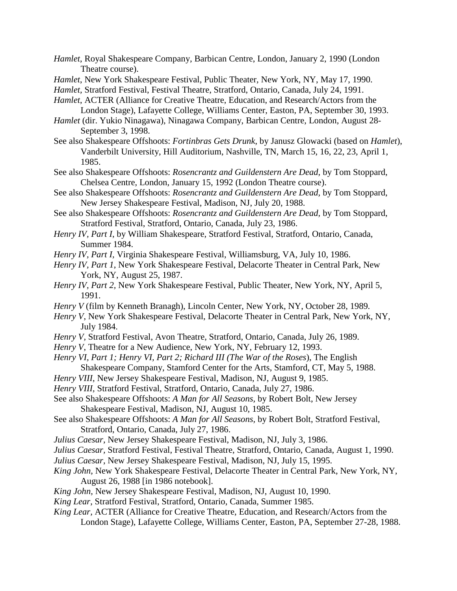- *Hamlet*, Royal Shakespeare Company, Barbican Centre, London, January 2, 1990 (London Theatre course).
- *Hamlet*, New York Shakespeare Festival, Public Theater, New York, NY, May 17, 1990.
- *Hamlet,* Stratford Festival, Festival Theatre, Stratford, Ontario, Canada, July 24, 1991.

*Hamlet*, ACTER (Alliance for Creative Theatre, Education, and Research/Actors from the London Stage), Lafayette College, Williams Center, Easton, PA, September 30, 1993.

- *Hamlet* (dir. Yukio Ninagawa), Ninagawa Company, Barbican Centre, London, August 28- September 3, 1998.
- See also Shakespeare Offshoots: *Fortinbras Gets Drunk*, by Janusz Glowacki (based on *Hamlet*), Vanderbilt University, Hill Auditorium, Nashville, TN, March 15, 16, 22, 23, April 1, 1985.

See also Shakespeare Offshoots: *Rosencrantz and Guildenstern Are Dead,* by Tom Stoppard, Chelsea Centre, London, January 15, 1992 (London Theatre course).

- See also Shakespeare Offshoots: *Rosencrantz and Guildenstern Are Dead,* by Tom Stoppard, New Jersey Shakespeare Festival, Madison, NJ, July 20, 1988.
- See also Shakespeare Offshoots: *Rosencrantz and Guildenstern Are Dead,* by Tom Stoppard, Stratford Festival, Stratford, Ontario, Canada, July 23, 1986.
- *Henry IV, Part I*, by William Shakespeare, Stratford Festival, Stratford, Ontario, Canada, Summer 1984.

*Henry IV, Part I,* Virginia Shakespeare Festival, Williamsburg, VA, July 10, 1986.

- *Henry IV, Part 1*, New York Shakespeare Festival, Delacorte Theater in Central Park, New York, NY, August 25, 1987.
- *Henry IV, Part 2,* New York Shakespeare Festival, Public Theater, New York, NY, April 5, 1991.
- *Henry V* (film by Kenneth Branagh), Lincoln Center, New York, NY, October 28, 1989*.*
- *Henry V*, New York Shakespeare Festival, Delacorte Theater in Central Park, New York, NY, July 1984.
- *Henry V,* Stratford Festival, Avon Theatre, Stratford, Ontario, Canada, July 26, 1989.
- *Henry V*, Theatre for a New Audience, New York, NY, February 12, 1993.
- *Henry VI, Part 1; Henry VI, Part 2; Richard III (The War of the Roses*), The English Shakespeare Company, Stamford Center for the Arts, Stamford, CT, May 5, 1988.
- *Henry VIII*, New Jersey Shakespeare Festival, Madison, NJ, August 9, 1985.
- *Henry VIII,* Stratford Festival, Stratford, Ontario, Canada, July 27, 1986.
- See also Shakespeare Offshoots: *A Man for All Seasons,* by Robert Bolt, New Jersey Shakespeare Festival, Madison, NJ, August 10, 1985.
- See also Shakespeare Offshoots: *A Man for All Seasons,* by Robert Bolt, Stratford Festival, Stratford, Ontario, Canada, July 27, 1986.
- *Julius Caesar*, New Jersey Shakespeare Festival, Madison, NJ, July 3, 1986.
- *Julius Caesar,* Stratford Festival, Festival Theatre, Stratford, Ontario, Canada, August 1, 1990.
- *Julius Caesar*, New Jersey Shakespeare Festival, Madison, NJ, July 15, 1995.
- *King John,* New York Shakespeare Festival, Delacorte Theater in Central Park, New York, NY, August 26, 1988 [in 1986 notebook].
- *King John,* New Jersey Shakespeare Festival, Madison, NJ, August 10, 1990.
- *King Lear*, Stratford Festival, Stratford, Ontario, Canada, Summer 1985.
- *King Lear,* ACTER (Alliance for Creative Theatre, Education, and Research/Actors from the London Stage), Lafayette College, Williams Center, Easton, PA, September 27-28, 1988.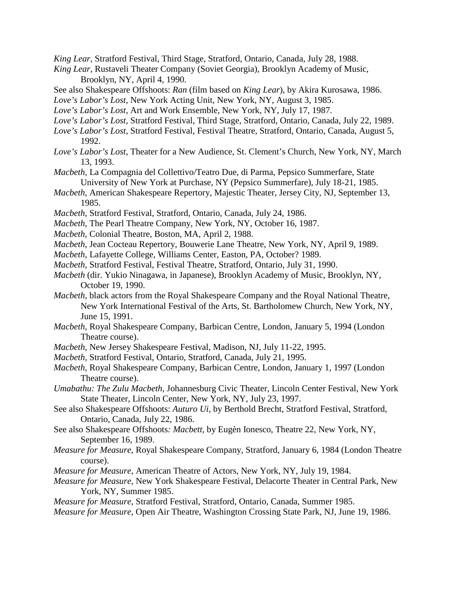*King Lear,* Stratford Festival, Third Stage, Stratford, Ontario, Canada, July 28, 1988.

- *King Lear,* Rustaveli Theater Company (Soviet Georgia), Brooklyn Academy of Music, Brooklyn, NY, April 4, 1990.
- See also Shakespeare Offshoots: *Ran* (film based on *King Lear*), by Akira Kurosawa, 1986.

*Love's Labor's Lost*, New York Acting Unit, New York, NY, August 3, 1985.

- *Love's Labor's Lost*, Art and Work Ensemble, New York, NY, July 17, 1987.
- *Love's Labor's Lost,* Stratford Festival, Third Stage, Stratford, Ontario, Canada, July 22, 1989.
- *Love's Labor's Lost,* Stratford Festival, Festival Theatre, Stratford, Ontario, Canada, August 5, 1992.
- *Love's Labor's Lost*, Theater for a New Audience, St. Clement's Church, New York, NY, March 13, 1993.
- *Macbeth*, La Compagnia del Collettivo/Teatro Due, di Parma, Pepsico Summerfare, State University of New York at Purchase, NY (Pepsico Summerfare), July 18-21, 1985.
- *Macbeth*, American Shakespeare Repertory, Majestic Theater, Jersey City, NJ, September 13, 1985.
- *Macbeth,* Stratford Festival, Stratford, Ontario, Canada, July 24, 1986.
- *Macbeth*, The Pearl Theatre Company, New York, NY, October 16, 1987.
- *Macbeth,* Colonial Theatre, Boston, MA, April 2, 1988.
- *Macbeth*, Jean Cocteau Repertory, Bouwerie Lane Theatre, New York, NY, April 9, 1989.
- *Macbeth,* Lafayette College, Williams Center, Easton, PA, October? 1989.
- *Macbeth,* Stratford Festival, Festival Theatre, Stratford, Ontario, July 31, 1990.
- *Macbeth* (dir. Yukio Ninagawa, in Japanese), Brooklyn Academy of Music, Brooklyn, NY, October 19, 1990.
- *Macbeth,* black actors from the Royal Shakespeare Company and the Royal National Theatre, New York International Festival of the Arts, St. Bartholomew Church, New York, NY, June 15, 1991.
- *Macbeth*, Royal Shakespeare Company, Barbican Centre, London, January 5, 1994 (London Theatre course).
- *Macbeth,* New Jersey Shakespeare Festival, Madison, NJ, July 11-22, 1995.
- *Macbeth*, Stratford Festival, Ontario, Stratford, Canada, July 21, 1995.
- *Macbeth,* Royal Shakespeare Company, Barbican Centre, London, January 1, 1997 (London Theatre course).
- *Umabathu: The Zulu Macbeth*, Johannesburg Civic Theater, Lincoln Center Festival, New York State Theater, Lincoln Center, New York, NY, July 23, 1997.
- See also Shakespeare Offshoots: *Auturo Ui,* by Berthold Brecht, Stratford Festival, Stratford, Ontario, Canada, July 22, 1986.
- See also Shakespeare Offshoots*: Macbett,* by Eugèn Ionesco, Theatre 22, New York, NY, September 16, 1989.
- *Measure for Measure*, Royal Shakespeare Company, Stratford, January 6, 1984 (London Theatre course).
- *Measure for Measure*, American Theatre of Actors, New York, NY, July 19, 1984.
- *Measure for Measure*, New York Shakespeare Festival, Delacorte Theater in Central Park, New York, NY, Summer 1985.

*Measure for Measure*, Stratford Festival, Stratford, Ontario, Canada, Summer 1985.

*Measure for Measure*, Open Air Theatre, Washington Crossing State Park, NJ, June 19, 1986.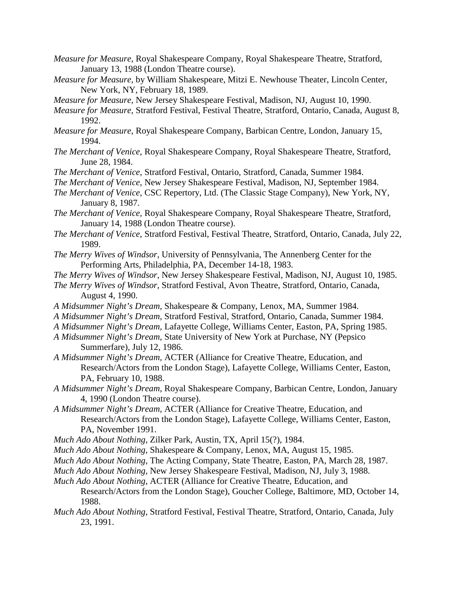- *Measure for Measure*, Royal Shakespeare Company, Royal Shakespeare Theatre, Stratford, January 13, 1988 (London Theatre course).
- *Measure for Measure,* by William Shakespeare, Mitzi E. Newhouse Theater, Lincoln Center, New York, NY, February 18, 1989.
- *Measure for Measure,* New Jersey Shakespeare Festival, Madison, NJ, August 10, 1990.
- *Measure for Measure,* Stratford Festival, Festival Theatre, Stratford, Ontario, Canada, August 8, 1992.
- *Measure for Measure*, Royal Shakespeare Company, Barbican Centre, London, January 15, 1994.
- *The Merchant of Venice,* Royal Shakespeare Company, Royal Shakespeare Theatre, Stratford, June 28, 1984.
- *The Merchant of Venice,* Stratford Festival, Ontario, Stratford, Canada, Summer 1984.
- *The Merchant of Venice,* New Jersey Shakespeare Festival, Madison, NJ, September 1984.
- *The Merchant of Venice,* CSC Repertory, Ltd. (The Classic Stage Company), New York, NY, January 8, 1987.
- *The Merchant of Venice,* Royal Shakespeare Company, Royal Shakespeare Theatre, Stratford, January 14, 1988 (London Theatre course).
- *The Merchant of Venice,* Stratford Festival, Festival Theatre, Stratford, Ontario, Canada, July 22, 1989.
- *The Merry Wives of Windsor,* University of Pennsylvania, The Annenberg Center for the Performing Arts, Philadelphia, PA, December 14-18, 1983.
- *The Merry Wives of Windsor,* New Jersey Shakespeare Festival, Madison, NJ, August 10, 1985.
- *The Merry Wives of Windsor,* Stratford Festival, Avon Theatre, Stratford, Ontario, Canada, August 4, 1990.
- *A Midsummer Night's Dream,* Shakespeare & Company, Lenox, MA, Summer 1984.
- *A Midsummer Night's Dream,* Stratford Festival, Stratford, Ontario, Canada, Summer 1984.
- *A Midsummer Night's Dream,* Lafayette College, Williams Center, Easton, PA, Spring 1985.
- *A Midsummer Night's Dream,* State University of New York at Purchase, NY (Pepsico Summerfare), July 12, 1986.
- *A Midsummer Night's Dream,* ACTER (Alliance for Creative Theatre, Education, and Research/Actors from the London Stage), Lafayette College, Williams Center, Easton, PA, February 10, 1988.
- *A Midsummer Night's Dream,* Royal Shakespeare Company, Barbican Centre, London, January 4, 1990 (London Theatre course).
- *A Midsummer Night's Dream,* ACTER (Alliance for Creative Theatre, Education, and Research/Actors from the London Stage), Lafayette College, Williams Center, Easton, PA, November 1991.
- *Much Ado About Nothing,* Zilker Park, Austin, TX, April 15(?), 1984.
- *Much Ado About Nothing*, Shakespeare & Company, Lenox, MA, August 15, 1985.
- *Much Ado About Nothing,* The Acting Company, State Theatre, Easton, PA, March 28, 1987.
- *Much Ado About Nothing,* New Jersey Shakespeare Festival, Madison, NJ, July 3, 1988.
- *Much Ado About Nothing,* ACTER (Alliance for Creative Theatre, Education, and Research/Actors from the London Stage), Goucher College, Baltimore, MD, October 14, 1988.
- *Much Ado About Nothing,* Stratford Festival, Festival Theatre, Stratford, Ontario, Canada, July 23, 1991.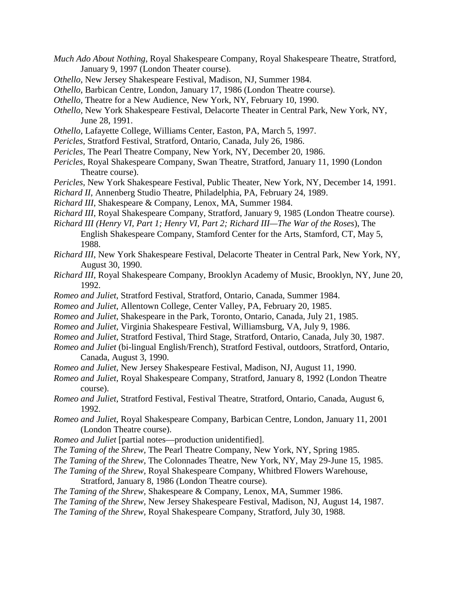- *Much Ado About Nothing*, Royal Shakespeare Company, Royal Shakespeare Theatre, Stratford, January 9, 1997 (London Theater course).
- *Othello*, New Jersey Shakespeare Festival, Madison, NJ, Summer 1984.
- *Othello*, Barbican Centre, London, January 17, 1986 (London Theatre course).
- *Othello,* Theatre for a New Audience, New York, NY, February 10, 1990.
- *Othello,* New York Shakespeare Festival, Delacorte Theater in Central Park, New York, NY, June 28, 1991.
- *Othello*, Lafayette College, Williams Center, Easton, PA, March 5, 1997.
- *Pericles*, Stratford Festival, Stratford, Ontario, Canada, July 26, 1986.
- *Pericles,* The Pearl Theatre Company, New York, NY, December 20, 1986.
- *Pericles*, Royal Shakespeare Company, Swan Theatre, Stratford, January 11, 1990 (London Theatre course).
- *Pericles,* New York Shakespeare Festival, Public Theater, New York, NY, December 14, 1991.
- *Richard II,* Annenberg Studio Theatre, Philadelphia, PA, February 24, 1989.
- *Richard III*, Shakespeare & Company, Lenox, MA, Summer 1984.
- *Richard III*, Royal Shakespeare Company, Stratford, January 9, 1985 (London Theatre course).
- *Richard III (Henry VI, Part 1; Henry VI, Part 2; Richard III—The War of the Roses*), The English Shakespeare Company, Stamford Center for the Arts, Stamford, CT, May 5, 1988.
- *Richard III*, New York Shakespeare Festival, Delacorte Theater in Central Park, New York, NY, August 30, 1990.
- *Richard III,* Royal Shakespeare Company, Brooklyn Academy of Music, Brooklyn, NY, June 20, 1992.
- *Romeo and Juliet*, Stratford Festival, Stratford, Ontario, Canada, Summer 1984.
- *Romeo and Juliet*, Allentown College, Center Valley, PA, February 20, 1985.
- *Romeo and Juliet*, Shakespeare in the Park, Toronto, Ontario, Canada, July 21, 1985.
- *Romeo and Juliet,* Virginia Shakespeare Festival, Williamsburg, VA, July 9, 1986.
- *Romeo and Juliet*, Stratford Festival, Third Stage, Stratford, Ontario, Canada, July 30, 1987.
- *Romeo and Juliet* (bi-lingual English/French), Stratford Festival, outdoors, Stratford, Ontario, Canada, August 3, 1990.
- *Romeo and Juliet,* New Jersey Shakespeare Festival, Madison, NJ, August 11, 1990.
- *Romeo and Juliet,* Royal Shakespeare Company, Stratford, January 8, 1992 (London Theatre course).
- *Romeo and Juliet,* Stratford Festival, Festival Theatre, Stratford, Ontario, Canada, August 6, 1992.
- *Romeo and Juliet*, Royal Shakespeare Company, Barbican Centre, London, January 11, 2001 (London Theatre course).
- *Romeo and Juliet* [partial notes—production unidentified].
- *The Taming of the Shrew,* The Pearl Theatre Company, New York, NY, Spring 1985.
- *The Taming of the Shrew,* The Colonnades Theatre, New York, NY, May 29-June 15, 1985.
- *The Taming of the Shrew,* Royal Shakespeare Company, Whitbred Flowers Warehouse, Stratford, January 8, 1986 (London Theatre course).
- *The Taming of the Shrew,* Shakespeare & Company, Lenox, MA, Summer 1986.
- *The Taming of the Shrew,* New Jersey Shakespeare Festival, Madison, NJ, August 14, 1987.
- *The Taming of the Shrew,* Royal Shakespeare Company, Stratford, July 30, 1988.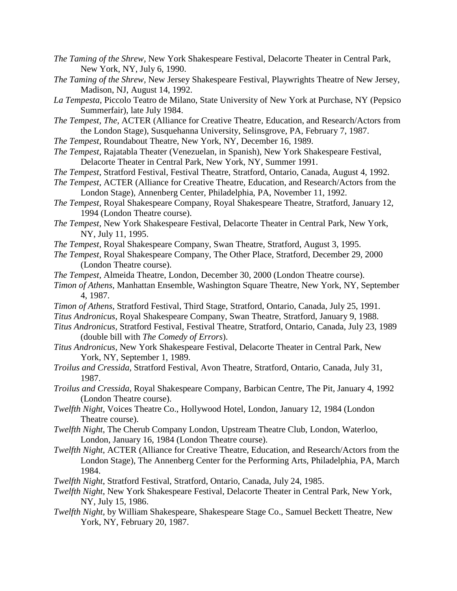- *The Taming of the Shrew,* New York Shakespeare Festival, Delacorte Theater in Central Park, New York, NY, July 6, 1990.
- *The Taming of the Shrew,* New Jersey Shakespeare Festival, Playwrights Theatre of New Jersey, Madison, NJ, August 14, 1992.
- *La Tempesta,* Piccolo Teatro de Milano, State University of New York at Purchase, NY (Pepsico Summerfair), late July 1984.
- *The Tempest, The*, ACTER (Alliance for Creative Theatre, Education, and Research/Actors from the London Stage), Susquehanna University, Selinsgrove, PA, February 7, 1987.
- *The Tempest,* Roundabout Theatre, New York, NY, December 16, 1989.
- *The Tempest,* Rajatabla Theater (Venezuelan, in Spanish), New York Shakespeare Festival, Delacorte Theater in Central Park, New York, NY, Summer 1991.
- *The Tempest,* Stratford Festival, Festival Theatre, Stratford, Ontario, Canada, August 4, 1992.
- *The Tempest,* ACTER (Alliance for Creative Theatre, Education, and Research/Actors from the London Stage), Annenberg Center, Philadelphia, PA, November 11, 1992.
- *The Tempest,* Royal Shakespeare Company, Royal Shakespeare Theatre, Stratford, January 12, 1994 (London Theatre course).
- *The Tempest,* New York Shakespeare Festival, Delacorte Theater in Central Park, New York, NY, July 11, 1995.
- *The Tempest,* Royal Shakespeare Company, Swan Theatre, Stratford, August 3, 1995.
- *The Tempest,* Royal Shakespeare Company, The Other Place, Stratford, December 29, 2000 (London Theatre course).
- *The Tempest,* Almeida Theatre, London, December 30, 2000 (London Theatre course).
- *Timon of Athens,* Manhattan Ensemble, Washington Square Theatre, New York, NY, September 4, 1987.
- *Timon of Athens,* Stratford Festival, Third Stage, Stratford, Ontario, Canada, July 25, 1991.
- *Titus Andronicus*, Royal Shakespeare Company, Swan Theatre, Stratford, January 9, 1988.
- *Titus Andronicus,* Stratford Festival, Festival Theatre, Stratford, Ontario, Canada, July 23, 1989 (double bill with *The Comedy of Errors*).
- *Titus Andronicus,* New York Shakespeare Festival, Delacorte Theater in Central Park, New York, NY, September 1, 1989.
- *Troilus and Cressida,* Stratford Festival, Avon Theatre, Stratford, Ontario, Canada, July 31, 1987.
- *Troilus and Cressida,* Royal Shakespeare Company, Barbican Centre, The Pit, January 4, 1992 (London Theatre course).
- *Twelfth Night*, Voices Theatre Co., Hollywood Hotel, London, January 12, 1984 (London Theatre course).
- *Twelfth Night*, The Cherub Company London, Upstream Theatre Club, London, Waterloo, London, January 16, 1984 (London Theatre course).
- *Twelfth Night*, ACTER (Alliance for Creative Theatre, Education, and Research/Actors from the London Stage), The Annenberg Center for the Performing Arts, Philadelphia, PA, March 1984.
- *Twelfth Night*, Stratford Festival, Stratford, Ontario, Canada, July 24, 1985.
- *Twelfth Night*, New York Shakespeare Festival, Delacorte Theater in Central Park, New York, NY, July 15, 1986.
- *Twelfth Night,* by William Shakespeare, Shakespeare Stage Co., Samuel Beckett Theatre, New York, NY, February 20, 1987.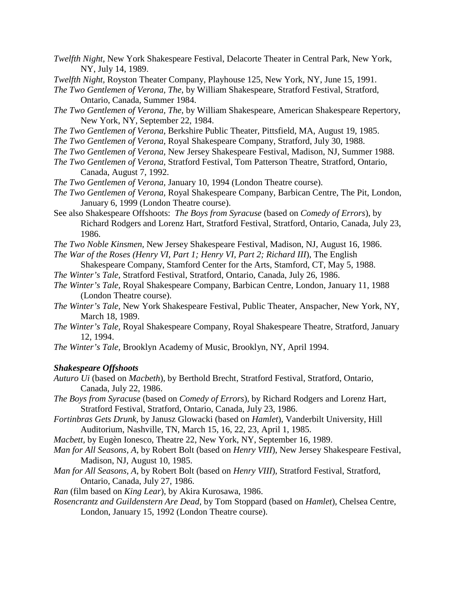- *Twelfth Night,* New York Shakespeare Festival, Delacorte Theater in Central Park, New York, NY, July 14, 1989.
- *Twelfth Night,* Royston Theater Company, Playhouse 125, New York, NY, June 15, 1991.
- *The Two Gentlemen of Verona, The*, by William Shakespeare, Stratford Festival, Stratford, Ontario, Canada, Summer 1984.
- *The Two Gentlemen of Verona, The*, by William Shakespeare, American Shakespeare Repertory, New York, NY, September 22, 1984.
- *The Two Gentlemen of Verona,* Berkshire Public Theater, Pittsfield, MA, August 19, 1985.
- *The Two Gentlemen of Verona,* Royal Shakespeare Company, Stratford, July 30, 1988.
- *The Two Gentlemen of Verona,* New Jersey Shakespeare Festival, Madison, NJ, Summer 1988.
- *The Two Gentlemen of Verona,* Stratford Festival, Tom Patterson Theatre, Stratford, Ontario, Canada, August 7, 1992.
- *The Two Gentlemen of Verona,* January 10, 1994 (London Theatre course).
- *The Two Gentlemen of Verona,* Royal Shakespeare Company, Barbican Centre, The Pit, London, January 6, 1999 (London Theatre course).
- See also Shakespeare Offshoots: *The Boys from Syracuse* (based on *Comedy of Errors*), by Richard Rodgers and Lorenz Hart, Stratford Festival, Stratford, Ontario, Canada, July 23, 1986.
- *The Two Noble Kinsmen,* New Jersey Shakespeare Festival, Madison, NJ, August 16, 1986.
- *The War of the Roses (Henry VI, Part 1; Henry VI, Part 2; Richard III*), The English
	- Shakespeare Company, Stamford Center for the Arts, Stamford, CT, May 5, 1988.
- *The Winter's Tale,* Stratford Festival, Stratford, Ontario, Canada, July 26, 1986.
- *The Winter's Tale,* Royal Shakespeare Company, Barbican Centre, London, January 11, 1988 (London Theatre course).
- *The Winter's Tale,* New York Shakespeare Festival, Public Theater, Anspacher, New York, NY, March 18, 1989.
- *The Winter's Tale,* Royal Shakespeare Company, Royal Shakespeare Theatre, Stratford, January 12, 1994.
- *The Winter's Tale,* Brooklyn Academy of Music, Brooklyn, NY, April 1994.

#### *Shakespeare Offshoots*

- *Auturo Ui* (based on *Macbeth*), by Berthold Brecht, Stratford Festival, Stratford, Ontario, Canada, July 22, 1986.
- *The Boys from Syracuse* (based on *Comedy of Errors*), by Richard Rodgers and Lorenz Hart, Stratford Festival, Stratford, Ontario, Canada, July 23, 1986.
- *Fortinbras Gets Drunk*, by Janusz Glowacki (based on *Hamlet*), Vanderbilt University, Hill Auditorium, Nashville, TN, March 15, 16, 22, 23, April 1, 1985.
- *Macbett,* by Eugèn Ionesco, Theatre 22, New York, NY, September 16, 1989.
- *Man for All Seasons, A,* by Robert Bolt (based on *Henry VIII*), New Jersey Shakespeare Festival, Madison, NJ, August 10, 1985.
- *Man for All Seasons, A,* by Robert Bolt (based on *Henry VIII*), Stratford Festival, Stratford, Ontario, Canada, July 27, 1986.
- *Ran* (film based on *King Lear*), by Akira Kurosawa, 1986.
- *Rosencrantz and Guildenstern Are Dead,* by Tom Stoppard (based on *Hamlet*), Chelsea Centre, London, January 15, 1992 (London Theatre course).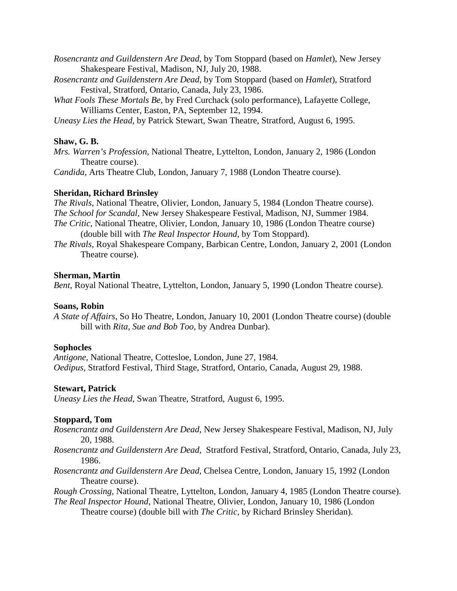- *Rosencrantz and Guildenstern Are Dead,* by Tom Stoppard (based on *Hamlet*), New Jersey Shakespeare Festival, Madison, NJ, July 20, 1988.
- *Rosencrantz and Guildenstern Are Dead,* by Tom Stoppard (based on *Hamlet*), Stratford Festival, Stratford, Ontario, Canada, July 23, 1986.
- *What Fools These Mortals Be*, by Fred Curchack (solo performance), Lafayette College, Williams Center, Easton, PA, September 12, 1994.
- *Uneasy Lies the Head*, by Patrick Stewart, Swan Theatre, Stratford, August 6, 1995.

### **Shaw, G. B.**

*Mrs. Warren's Profession*, National Theatre, Lyttelton, London, January 2, 1986 (London Theatre course).

*Candida*, Arts Theatre Club, London, January 7, 1988 (London Theatre course).

### **Sheridan, Richard Brinsley**

*The Rivals,* National Theatre, Olivier, London, January 5, 1984 (London Theatre course). *The School for Scandal,* New Jersey Shakespeare Festival, Madison, NJ, Summer 1984. *The Critic*, National Theatre, Olivier, London, January 10, 1986 (London Theatre course) (double bill with *The Real Inspector Hound*, by Tom Stoppard).

*The Rivals,* Royal Shakespeare Company, Barbican Centre, London, January 2, 2001 (London Theatre course).

#### **Sherman, Martin**

*Bent*, Royal National Theatre, Lyttelton, London, January 5, 1990 (London Theatre course).

#### **Soans, Robin**

*A State of Affairs*, So Ho Theatre, London, January 10, 2001 (London Theatre course) (double bill with *Rita, Sue and Bob Too*, by Andrea Dunbar).

#### **Sophocles**

*Antigone*, National Theatre, Cottesloe, London, June 27, 1984. *Oedipus,* Stratford Festival, Third Stage, Stratford, Ontario, Canada, August 29, 1988.

#### **Stewart, Patrick**

*Uneasy Lies the Head*, Swan Theatre, Stratford, August 6, 1995.

## **Stoppard, Tom**

- *Rosencrantz and Guildenstern Are Dead,* New Jersey Shakespeare Festival, Madison, NJ, July 20, 1988.
- *Rosencrantz and Guildenstern Are Dead,* Stratford Festival, Stratford, Ontario, Canada, July 23, 1986.
- *Rosencrantz and Guildenstern Are Dead,* Chelsea Centre, London, January 15, 1992 (London Theatre course).

*Rough Crossing*, National Theatre, Lyttelton, London, January 4, 1985 (London Theatre course).

*The Real Inspector Hound*, National Theatre, Olivier, London, January 10, 1986 (London Theatre course) (double bill with *The Critic*, by Richard Brinsley Sheridan).